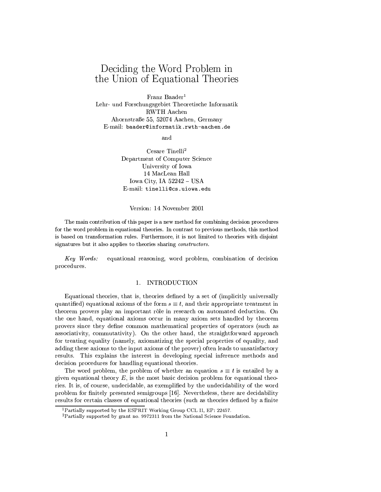# Deciding the Word Problem in the Union of Equational Theories

Franz Baader<sup>1</sup> Lehr- und Forschungsgebiet Theoretische Informatik **RWTH Aachen** Ahornstraße 55, 52074 Aachen, Germany E-mail: baader@informatik.rwth-aachen.de

and

Cesare Tinelli<sup>2</sup> Department of Computer Science University of Iowa 14 MacLean Hall Iowa City, IA  $52242 - USA$ E-mail: tinelli@cs.uiowa.edu

### Version: 14 November 2001

The main contribution of this paper is a new method for combining decision procedures for the word problem in equational theories. In contrast to previous methods, this method is based on transformation rules. Furthermore, it is not limited to theories with disjoint signatures but it also applies to theories sharing *constructors*.

equational reasoning, word problem, combination of decision Key Words: procedures.

### 1. INTRODUCTION

Equational theories, that is, theories defined by a set of (implicitly universally quantified) equational axioms of the form  $s \equiv t$ , and their appropriate treatment in theorem provers play an important rôle in research on automated deduction. On the one hand, equational axioms occur in many axiom sets handled by theorem provers since they define common mathematical properties of operators (such as associativity, commutativity). On the other hand, the straightforward approach for treating equality (namely, axiomatizing the special properties of equality, and adding these axioms to the input axioms of the prover) often leads to unsatisfactory results. This explains the interest in developing special inference methods and decision procedures for handling equational theories.

The word problem, the problem of whether an equation  $s \equiv t$  is entailed by a given equational theory  $E$ , is the most basic decision problem for equational theories. It is, of course, undecidable, as exemplified by the undecidability of the word problem for finitely presented semigroups [16]. Nevertheless, there are decidability results for certain classes of equational theories (such as theories defined by a finite

<sup>&</sup>lt;sup>1</sup>Partially supported by the ESPRIT Working Group CCL II, EP: 22457.

<sup>&</sup>lt;sup>2</sup>Partially supported by grant no. 9972311 from the National Science Foundation.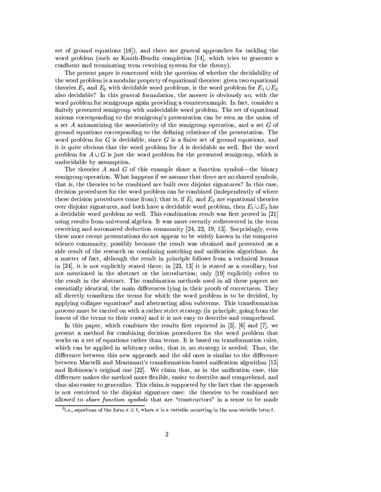set of ground equations [18], and there are general approaches for tackling the word problem (such as Knuth-Bendix completion [14], which tries to generate a confluent and terminating term rewriting system for the theory).

The present paper is concerned with the question of whether the decidability of the word problem is a modular property of equational theories: given two equational theories  $E_1$  and  $E_2$  with decidable word problems, is the word problem for  $E_1 \cup E_2$ also decidable? In this general formulation, the answer is obviously no, with the word problem for semigroups again providing a counterexample. In fact, consider a finitely presented semigroup with undecidable word problem. The set of equational axioms corresponding to the semigroup's presentation can be seen as the union of a set A axiomatizing the associativity of the semigroup operation, and a set  $G$  of ground equations corresponding to the defining relations of the presentation. The word problem for  $G$  is decidable, since  $G$  is a finite set of ground equations, and it is quite obvious that the word problem for  $A$  is decidable as well. But the word problem for  $A \cup G$  is just the word problem for the presented semigroup, which is undecidable by assumption.

The theories A and G of this example share a function symbol—the binary semigroup operation. What happens if we assume that there are no shared symbols, that is, the theories to be combined are built over disjoint signatures? In this case, decision procedures for the word problem can be combined (independently of where these decision procedures come from); that is, if  $E_1$  and  $E_2$  are equational theories over disjoint signatures, and both have a decidable word problem, then  $E_1 \cup E_2$  has a decidable word problem as well. This combination result was first proved in [21] using results from universal algebra. It was more recently rediscovered in the term rewriting and automated deduction community [24, 23, 19, 13]. Surprisingly, even these more recent presentations do not appear to be widely known in the computer science community, possibly because the result was obtained and presented as a side result of the research on combining matching and unification algorithms. As a matter of fact, although the result in principle follows from a technical lemma in  $[24]$ , it is not explicitly stated there; in  $[23, 13]$  it is stated as a corollary, but not mentioned in the abstract or the introduction; only [19] explicitly refers to the result in the abstract. The combination methods used in all these papers are essentially identical, the main differences lying in their proofs of correctness. They all directly transform the terms for which the word problem is to be decided, by applying collapse equations<sup>3</sup> and abstracting alien subterms. This transformation process must be carried on with a rather strict strategy (in principle, going from the leaves of the terms to their roots) and it is not easy to describe and comprehend.

In this paper, which combines the results first reported in  $[3]$ ,  $[6]$  and  $[7]$ , we present a method for combining decision procedures for the word problem that works on a set of equations rather than terms. It is based on transformation rules, which can be applied in arbitrary order, that is, no strategy is needed. Thus, the difference between this new approach and the old ones is similar to the difference between Martelli and Montanari's transformation-based unification algorithm [15] and Robinson's original one [22]. We claim that, as in the unification case, this difference makes the method more flexible, easier to describe and comprehend, and thus also easier to generalize. This claim is supported by the fact that the approach is not restricted to the disjoint signature case: the theories to be combined are allowed to *share function symbols* that are "constructors" in a sense to be made

<sup>&</sup>lt;sup>3</sup>i.e., equations of the form  $x \equiv t$ , where x is a variable occurring in the non-variable term t.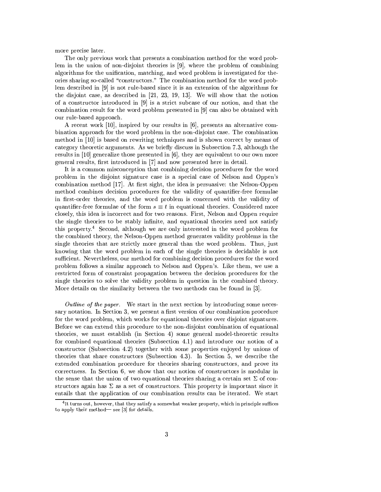more precise later.

The only previous work that presents a combination method for the word problem in the union of non-disjoint theories is  $[9]$ , where the problem of combining algorithms for the unification, matching, and word problem is investigated for theories sharing so-called "constructors." The combination method for the word problem described in  $[9]$  is not rule-based since it is an extension of the algorithms for the disjoint case, as described in  $[21, 23, 19, 13]$ . We will show that the notion of a constructor introduced in [9] is a strict subcase of our notion, and that the combination result for the word problem presented in [9] can also be obtained with our rule-based approach.

A recent work [10], inspired by our results in [6], presents an alternative combination approach for the word problem in the non-disjoint case. The combination method in [10] is based on rewriting techniques and is shown correct by means of category theoretic arguments. As we briefly discuss in Subsection 7.3, although the results in [10] generalize those presented in  $[6]$ , they are equivalent to our own more general results, first introduced in [7] and now presented here in detail.

It is a common misconception that combining decision procedures for the word problem in the disjoint signature case is a special case of Nelson and Oppen's combination method [17]. At first sight, the idea is persuasive: the Nelson-Oppen method combines decision procedures for the validity of quantifier-free formulae in first-order theories, and the word problem is concerned with the validity of quantifier-free formulae of the form  $s \equiv t$  in equational theories. Considered more closely, this idea is incorrect and for two reasons. First, Nelson and Oppen require the single theories to be stably infinite, and equational theories need not satisfy this property.<sup>4</sup> Second, although we are only interested in the word problem for the combined theory, the Nelson-Oppen method generates validity problems in the single theories that are strictly more general than the word problem. Thus, just knowing that the word problem in each of the single theories is decidable is not sufficient. Nevertheless, our method for combining decision procedures for the word problem follows a similar approach to Nelson and Oppen's. Like them, we use a restricted form of constraint propagation between the decision procedures for the single theories to solve the validity problem in question in the combined theory. More details on the similarity between the two methods can be found in [3].

*Outline of the paper.* We start in the next section by introducing some necessary notation. In Section 3, we present a first version of our combination procedure for the word problem, which works for equational theories over disjoint signatures. Before we can extend this procedure to the non-disjoint combination of equational theories, we must establish (in Section 4) some general model-theoretic results for combined equational theories (Subsection 4.1) and introduce our notion of a constructor (Subsection 4.2) together with some properties enjoyed by unions of theories that share constructors (Subsection 4.3). In Section 5, we describe the extended combination procedure for theories sharing constructors, and prove its correctness. In Section 6, we show that our notion of constructors is modular in the sense that the union of two equational theories sharing a certain set  $\Sigma$  of constructors again has  $\Sigma$  as a set of constructors. This property is important since it entails that the application of our combination results can be iterated. We start

<sup>&</sup>lt;sup>4</sup>It turns out, however, that they satisfy a somewhat weaker property, which in principle suffices to apply their method- see [3] for details.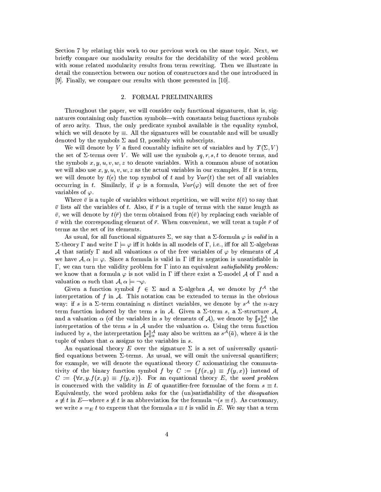Section 7 by relating this work to our previous work on the same topic. Next, we briefly compare our modularity results for the decidebility of the word problem with some related modularity results from term rewriting. Then we illustrate in detail the connection between our notion of constructors and the one introduced in [9]. Finally, we compare our results with those presented in [10].

### 2. FORMAL PRELIMINARIES

Throughout the paper, we will consider only functional signatures, that is, signatures containing only function symbols—with constants being functions symbols of zero arity. Thus, the only predicate symbol available is the equality symbol, which we will denote by  $\equiv$ . All the signatures will be countable and will be usually denoted by the symbols  $\Sigma$  and  $\Omega$ , possibly with subscripts.

We will denote by V a fixed countably infinite set of variables and by  $T(\Sigma, V)$ the set of  $\Sigma$ -terms over V. We will use the symbols  $q, r, s, t$  to denote terms, and the symbols  $x, y, u, v, w, z$  to denote variables. With a common abuse of notation we will also use  $x, y, u, v, w, z$  as the actual variables in our examples. If t is a term, we will denote by  $t(\epsilon)$  the top symbol of t and by  $Var(t)$  the set of all variables occurring in t. Similarly, if  $\varphi$  is a formula,  $Var(\varphi)$  will denote the set of free variables of  $\varphi$ .

Where  $\bar{v}$  is a tuple of variables without repetition, we will write  $t(\bar{v})$  to say that  $\bar{v}$  lists all the variables of t. Also, if  $\bar{r}$  is a tuple of terms with the same length as  $\bar{v}$ , we will denote by  $t(\bar{r})$  the term obtained from  $t(\bar{v})$  by replacing each variable of  $\bar{v}$  with the corresponding element of  $\bar{r}$ . When convenient, we will treat a tuple  $\bar{r}$  of terms as the set of its elements.

As usual, for all functional signatures  $\Sigma$ , we say that a  $\Sigma$ -formula  $\varphi$  is valid in a  $\Sigma$ -theory  $\Gamma$  and write  $\Gamma \models \varphi$  iff it holds in all models of  $\Gamma$ , i.e., iff for all  $\Sigma$ -algebras A that satisfy  $\Gamma$  and all valuations  $\alpha$  of the free variables of  $\varphi$  by elements of A we have  $A, \alpha \models \varphi$ . Since a formula is valid in  $\Gamma$  iff its negation is unsatisfiable in  $\Gamma$ , we can turn the validity problem for  $\Gamma$  into an equivalent *satisfiability problem:* we know that a formula  $\varphi$  is not valid in  $\Gamma$  iff there exist a  $\Sigma$ -model A of  $\Gamma$  and a valuation  $\alpha$  such that  $\mathcal{A}, \alpha \models \neg \varphi$ .

Given a function symbol  $f \in \Sigma$  and a  $\Sigma$ -algebra A, we denote by  $f^{\mathcal{A}}$  the interpretation of f in  $A$ . This notation can be extended to terms in the obvious way: if s is a  $\Sigma$ -term containing n distinct variables, we denote by  $s^A$  the n-ary term function induced by the term s in A. Given a  $\Sigma$ -term s, a  $\Sigma$ -structure A, and a valuation  $\alpha$  (of the variables in s by elements of A), we denote by  $\llbracket s \rrbracket_{\alpha}^{\mathcal{A}}$  the interpretation of the term s in A under the valuation  $\alpha$ . Using the term function induced by s, the interpretation  $[\![s]\!]_{\alpha}^{\mathcal{A}}$  may also be written as  $s^{\mathcal{A}}(\bar{a})$ , where  $\bar{a}$  is the tuple of values that  $\alpha$  assigns to the variables in s.

An equational theory E over the signature  $\Sigma$  is a set of universally quantified equations between  $\Sigma$ -terms. As usual, we will omit the universal quantifiers; for example, we will denote the equational theory  $C$  axiomatizing the commutativity of the binary function symbol f by  $C := \{f(x,y) \equiv f(y,x)\}\$ instead of  $C := \{ \forall x, y. f(x, y) \equiv f(y, x) \}.$  For an equational theory E, the word problem is concerned with the validity in E of quantifier-free formulae of the form  $s \equiv t$ . Equivalently, the word problem asks for the (un)satisfiability of the *disequation*  $s \neq t$  in E—where  $s \neq t$  is an abbreviation for the formula  $\neg (s \equiv t)$ . As customary, we write  $s =_E t$  to express that the formula  $s \equiv t$  is valid in E. We say that a term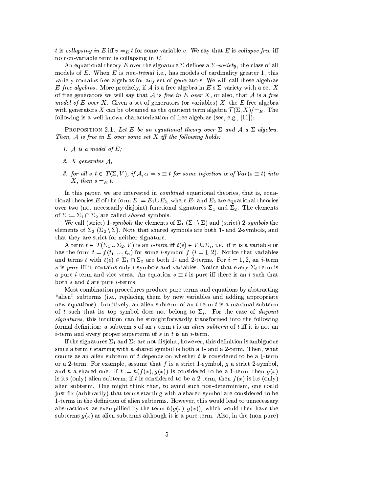t is collapsing in E iff  $v =_E t$  for some variable v. We say that E is collapse-free iff no non-variable term is collapsing in  $E$ .

An equational theory E over the signature  $\Sigma$  defines a  $\Sigma$ -variety, the class of all models of E. When E is non-trivial i.e., has models of cardinality greater 1, this variety contains free algebras for any set of generators. We will call these algebras E-free algebras. More precisely, if A is a free algebra in E's  $\Sigma$ -variety with a set X of free generators we will say that A is free in E over X, or also, that A is a free model of E over X. Given a set of generators (or variables)  $X$ , the E-free algebra with generators X can be obtained as the quotient term algebra  $\mathcal{T}(\Sigma, X)/=_E$ . The following is a well-known characterization of free algebras (see, e.g.,  $[11]$ ):

PROPOSITION 2.1. Let E be an equational theory over  $\Sigma$  and A a  $\Sigma$ -algebra. Then,  $A$  is free in  $E$  over some set  $X$  iff the following holds:

- 1. A is a model of  $E$ ;
- 2.  $X$  generates  $A$ ;
- 3. for all  $s, t \in T(\Sigma, V)$ , if  $\mathcal{A}, \alpha \models s \equiv t$  for some injection  $\alpha$  of  $Var(s \equiv t)$  into X, then  $s =_E t$ .

In this paper, we are interested in *combined* equational theories, that is, equational theories E of the form  $E := E_1 \cup E_2$ , where  $E_1$  and  $E_2$  are equational theories over two (not necessarily disjoint) functional signatures  $\Sigma_1$  and  $\Sigma_2$ . The elements of  $\Sigma := \Sigma_1 \cap \Sigma_2$  are called *shared* symbols.

We call (strict) 1-symbols the elements of  $\Sigma_1$  ( $\Sigma_1$ ) and (strict) 2-symbols the elements of  $\Sigma_2$  ( $\Sigma_2$ ). Note that shared symbols are both 1- and 2-symbols, and that they are strict for neither signature

A term  $t \in T(\Sigma_1 \cup \Sigma_2, V)$  is an *i*-term iff  $t(\epsilon) \in V \cup \Sigma_i$ , i.e., if it is a variable or has the form  $t = f(t_1, ..., t_n)$  for some *i*-symbol  $f(i = 1, 2)$ . Notice that variables and terms t with  $t(\epsilon) \in \Sigma_1 \cap \Sigma_2$  are both 1- and 2-terms. For  $i = 1, 2$ , an i-term s is pure iff it contains only i-symbols and variables. Notice that every  $\Sigma_i$ -term is a pure *i*-term and vice versa. An equation  $s \equiv t$  is pure iff there is an *i* such that both  $s$  and  $t$  are pure *i*-terms.

Most combination procedures produce pure terms and equations by abstracting "alien" subterms (i.e., replacing them by new variables and adding appropriate new equations). Intuitively, an alien subterm of an *i*-term  $t$  is a maximal subterm of t such that its top symbol does not belong to  $\Sigma_i$ . For the case of *disjoint signatures*, this intuition can be straightforwardly transformed into the following formal definition: a subterm s of an *i*-term t is an *alien subterm* of t iff it is not an *i*-term and every proper superterm of s in t is an *i*-term.

If the signatures  $\Sigma_1$  and  $\Sigma_2$  are not disjoint, however, this definition is ambiguous since a term t starting with a shared symbol is both a 1- and a 2-term. Then, what counts as an alien subterm of t depends on whether t is considered to be a 1-term or a 2-term. For example, assume that f is a strict 1-symbol, q a strict 2-symbol, and h a shared one. If  $t := h(f(x), g(x))$  is considered to be a 1-term, then  $g(x)$ is its (only) alien subterm; if t is considered to be a 2-term, then  $f(x)$  is its (only) alien subterm. One might think that, to avoid such non-determinism, one could just fix (arbitrarily) that terms starting with a shared symbol are considered to be 1-terms in the definition of alien subterms. However, this would lead to unnecessary abstractions, as exemplified by the term  $h(g(x), g(x))$ , which would then have the subterms  $g(x)$  as alien subterms although it is a pure term. Also, in the (non-pure)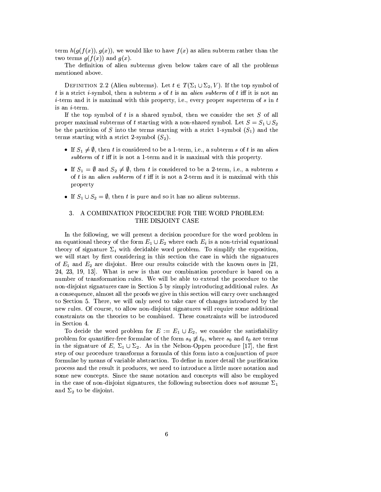term  $h(g(f(x)), g(x))$ , we would like to have  $f(x)$  as alien subterm rather than the two terms  $g(f(x))$  and  $g(x)$ .

The definition of alien subterms given below takes care of all the problems mentioned above.

DEFINITION 2.2 (Alien subterms). Let  $t \in T(\Sigma_1 \cup \Sigma_2, V)$ . If the top symbol of t is a strict *i*-symbol, then a subterm s of t is an *alien subterm* of t iff it is not an *i*-term and it is maximal with this property, i.e., every proper superterm of s in t is an  $i$ -term.

If the top symbol of  $t$  is a shared symbol, then we consider the set  $S$  of all proper maximal subterms of t starting with a non-shared symbol. Let  $S = S_1 \cup S_2$ be the partition of S into the terms starting with a strict 1-symbol  $(S_1)$  and the terms starting with a strict 2-symbol  $(S_2)$ .

- If  $S_1 \neq \emptyset$ , then t is considered to be a 1-term, i.e., a subterm s of t is an alien subterm of  $t$  iff it is not a 1-term and it is maximal with this property.
- If  $S_1 = \emptyset$  and  $S_2 \neq \emptyset$ , then t is considered to be a 2-term, i.e., a subterm s of  $t$  is an *alien subterm* of  $t$  iff it is not a 2-term and it is maximal with this property
- If  $S_1 \cup S_2 = \emptyset$ , then t is pure and so it has no aliens subterms.

# 3. A COMBINATION PROCEDURE FOR THE WORD PROBLEM: THE DISJOINT CASE

In the following, we will present a decision procedure for the word problem in an equational theory of the form  $E_1 \cup E_2$  where each  $E_i$  is a non-trivial equational theory of signature  $\Sigma_i$  with decidable word problem. To simplify the exposition, we will start by first considering in this section the case in which the signatures of  $E_1$  and  $E_2$  are disjoint. Here our results coincide with the known ones in [21, 24, 23, 19, 13. What is new is that our combination procedure is based on a number of transformation rules. We will be able to extend the procedure to the non-disjoint signatures case in Section 5 by simply introducing additional rules. As a consequence, almost all the proofs we give in this section will carry over unchanged to Section 5. There, we will only need to take care of changes introduced by the new rules. Of course, to allow non-disjoint signatures will require some additional constraints on the theories to be combined. These constraints will be introduced in Section 4.

To decide the word problem for  $E := E_1 \cup E_2$ , we consider the satisfiability problem for quantifier-free formulae of the form  $s_0 \neq t_0$ , where  $s_0$  and  $t_0$  are terms in the signature of E,  $\Sigma_1 \cup \Sigma_2$ . As in the Nelson-Oppen procedure [17], the first step of our procedure transforms a formula of this form into a conjunction of pure formulae by means of variable abstraction. To define in more detail the purification process and the result it produces, we need to introduce a little more notation and some new concepts. Since the same notation and concepts will also be employed in the case of non-disjoint signatures, the following subsection does not assume  $\Sigma_1$ and  $\Sigma_2$  to be disjoint.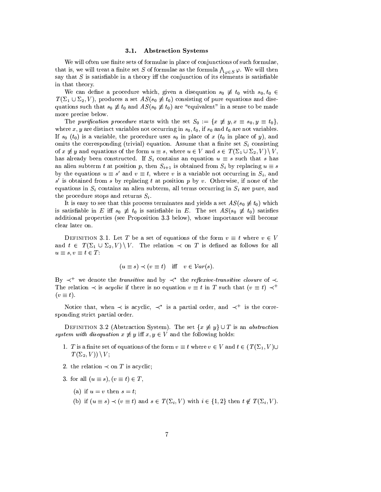#### $3.1.$ **Abstraction Systems**

We will often use finite sets of formulae in place of conjunctions of such formulae, that is, we will treat a finite set S of formulae as the formula  $\bigwedge_{\varphi \in S} \varphi$ . We will then say that S is satisfiable in a theory iff the conjunction of its elements is satisfiable in that theory.

We can define a procedure which, given a disequation  $s_0 \neq t_0$  with  $s_0, t_0 \in$  $T(\Sigma_1 \cup \Sigma_2, V)$ , produces a set  $AS(s_0 \neq t_0)$  consisting of pure equations and disequations such that  $s_0 \neq t_0$  and  $AS(s_0 \neq t_0)$  are "equivalent" in a sense to be made more precise below.

The purification procedure starts with the set  $S_0 := \{x \neq y, x \equiv s_0, y \equiv t_0\},\$ where x, y are distinct variables not occurring in  $s_0$ ,  $t_0$ , if  $s_0$  and  $t_0$  are not variables. If  $s_0$  ( $t_0$ ) is a variable, the procedure uses  $s_0$  in place of x ( $t_0$  in place of y), and omits the corresponding (trivial) equation. Assume that a finite set  $S_i$  consisting of  $x \neq y$  and equations of the form  $u \equiv s$ , where  $u \in V$  and  $s \in T(\Sigma_1 \cup \Sigma_2, V) \setminus V$ , has already been constructed. If  $S_i$  contains an equation  $u \equiv s$  such that s has an alien subterm t at position p, then  $S_{i+1}$  is obtained from  $S_i$  by replacing  $u \equiv s$ by the equations  $u \equiv s'$  and  $v \equiv t$ , where v is a variable not occurring in  $S_i$ , and  $s'$  is obtained from s by replacing t at position p by v. Otherwise, if none of the equations in  $S_i$  contains an alien subterm, all terms occurring in  $S_i$  are pure, and the procedure stops and returns  $S_i$ .

It is easy to see that this process terminates and yields a set  $AS(s_0 \neq t_0)$  which is satisfiable in E iff  $s_0 \neq t_0$  is satisfiable in E. The set  $AS(s_0 \neq t_0)$  satisfies additional properties (see Proposition 3.3 below), whose importance will become clear later on.

DEFINITION 3.1. Let T be a set of equations of the form  $v \equiv t$  where  $v \in V$ and  $t \in T(\Sigma_1 \cup \Sigma_2, V) \setminus V$ . The relation  $\prec$  on T is defined as follows for all  $u \equiv s, v \equiv t \in T$ :

$$
(u \equiv s) \prec (v \equiv t) \quad \text{iff} \quad v \in \mathcal{V}ar(s).
$$

By  $\prec^+$  we denote the *transitive* and by  $\prec^*$  the *reflexive-transitive closure* of  $\prec$ . The relation  $\prec$  is *acyclic* if there is no equation  $v \equiv t$  in T such that  $(v \equiv t) \prec^+$  $(v \equiv t).$ 

Notice that, when  $\prec$  is acyclic,  $\prec^*$  is a partial order, and  $\prec^+$  is the corresponding strict partial order.

DEFINITION 3.2 (Abstraction System). The set  $\{x \neq y\} \cup T$  is an *abstraction* system with disequation  $x \neq y$  iff  $x, y \in V$  and the following holds:

- 1. T is a finite set of equations of the form  $v \equiv t$  where  $v \in V$  and  $t \in (T(\Sigma_1, V) \cup$  $T(\Sigma_2, V) \setminus V;$
- 2. the relation  $\prec$  on T is acyclic;
- 3. for all  $(u \equiv s), (v \equiv t) \in T$ ,
	- (a) if  $u = v$  then  $s = t$ ;
	- (b) if  $(u \equiv s) \prec (v \equiv t)$  and  $s \in T(\Sigma_i, V)$  with  $i \in \{1,2\}$  then  $t \notin T(\Sigma_i, V)$ .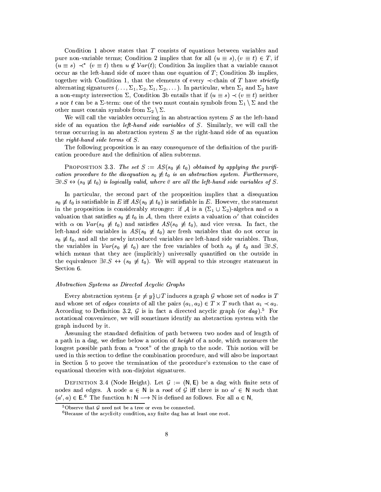Condition 1 above states that T consists of equations between variables and pure non-variable terms; Condition 2 implies that for all  $(u \equiv s), (v \equiv t) \in T$ , if  $(u \equiv s) \prec^* (v \equiv t)$  then  $u \notin Var(t)$ ; Condition 3a implies that a variable cannot occur as the left-hand side of more than one equation of  $T$ ; Condition 3b implies, together with Condition 1, that the elements of every  $\prec$ -chain of T have *strictly* alternating signatures  $(\ldots, \Sigma_1, \Sigma_2, \Sigma_1, \Sigma_2, \ldots)$ . In particular, when  $\Sigma_1$  and  $\Sigma_2$  have a non-empty intersection  $\Sigma$ , Condition 3b entails that if  $(u \equiv s) \prec (v \equiv t)$  neither s nor t can be a  $\Sigma$ -term: one of the two must contain symbols from  $\Sigma_1 \setminus \Sigma$  and the other must contain symbols from  $\Sigma_2 \setminus \Sigma$ .

We will call the variables occurring in an abstraction system  $S$  as the left-hand side of an equation the *left-hand side variables* of S. Similarly, we will call the terms occurring in an abstraction system  $S$  as the right-hand side of an equation the right-hand side terms of  $S$ .

The following proposition is an easy consequence of the definition of the purification procedure and the definition of alien subterms.

**PROPOSITION** 3.3. The set  $S := AS(s_0 \neq t_0)$  obtained by applying the purification procedure to the disequation  $s_0 \neq t_0$  is an abstraction system. Furthermore,  $\exists \overline{v}. S \leftrightarrow (s_0 \not\equiv t_0)$  is logically valid, where  $\overline{v}$  are all the left-hand side variables of S.

In particular, the second part of the proposition implies that a disequation  $s_0 \neq t_0$  is satisfiable in E iff  $AS(s_0 \neq t_0)$  is satisfiable in E. However, the statement in the proposition is considerably stronger: if A is a  $(\Sigma_1 \cup \Sigma_2)$ -algebra and  $\alpha$  a valuation that satisfies  $s_0 \neq t_0$  in A, then there exists a valuation  $\alpha'$  that coincides with  $\alpha$  on  $Var(s_0 \neq t_0)$  and satisfies  $AS(s_0 \neq t_0)$ , and vice versa. In fact, the left-hand side variables in  $AS(s_0 \neq t_0)$  are fresh variables that do not occur in  $s_0 \neq t_0$ , and all the newly introduced variables are left-hand side variables. Thus, the variables in  $Var(s_0 \neq t_0)$  are the free variables of both  $s_0 \neq t_0$  and  $\exists \overline{v}.S$ , which means that they are (implicitly) universally quantified on the outside in the equivalence  $\exists \bar{v}. S \leftrightarrow (s_0 \neq t_0)$ . We will appeal to this stronger statement in Section 6.

### Abstraction Systems as Directed Acyclic Graphs

Every abstraction system  $\{x \neq y\} \cup T$  induces a graph G whose set of nodes is T and whose set of *edges* consists of all the pairs  $(a_1, a_2) \in T \times T$  such that  $a_1 \prec a_2$ . According to Definition 3.2,  $G$  is in fact a directed acyclic graph (or  $dag$ ).<sup>5</sup> For notational convenience, we will sometimes identify an abstraction system with the graph induced by it.

Assuming the standard definition of path between two nodes and of length of a path in a dag, we define below a notion of *height* of a node, which measures the longest possible path from a "root" of the graph to the node. This notion will be used in this section to define the combination procedure, and will also be important in Section 5 to prove the termination of the procedure's extension to the case of equational theories with non-disjoint signatures.

DEFINITION 3.4 (Node Height). Let  $\mathcal{G} := (\mathsf{N}, \mathsf{E})$  be a dag with finite sets of nodes and edges. A node  $a \in \mathbb{N}$  is a *root* of G iff there is no  $a' \in \mathbb{N}$  such that  $(a', a) \in E^6$ . The function  $h: N \longrightarrow N$  is defined as follows. For all  $a \in N$ ,

 $5$ Observe that  $G$  need not be a tree or even be connected.

<sup>&</sup>lt;sup>6</sup>Because of the acyclicity condition, any finite dag has at least one root.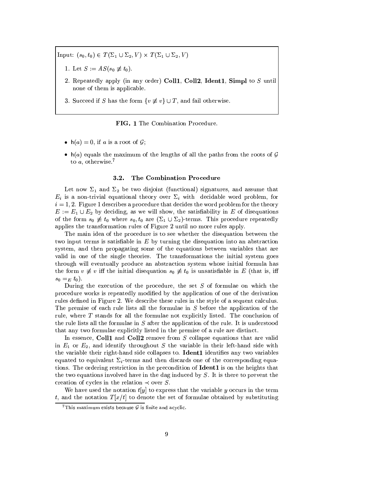Input:  $(s_0, t_0) \in T(\Sigma_1 \cup \Sigma_2, V) \times T(\Sigma_1 \cup \Sigma_2, V)$ 

- 1. Let  $S := AS(s_0 \not\equiv t_0)$ .
- 2. Repeatedly apply (in any order) Coll1, Coll2, Ident1, Simpl to  $S$  until none of them is applicable.
- 3. Succeed if S has the form  $\{v \not\equiv v\} \cup T$ , and fail otherwise.

FIG. 1 The Combination Procedure.

- $h(a) = 0$ , if a is a root of  $\mathcal{G}$ ;
- $h(a)$  equals the maximum of the lengths of all the paths from the roots of G to  $a$ , otherwise.<sup>7</sup>

#### $3.2.$ The Combination Procedure

Let now  $\Sigma_1$  and  $\Sigma_2$  be two disjoint (functional) signatures, and assume that  $E_i$  is a non-trivial equational theory over  $\Sigma_i$  with decidable word problem, for  $i = 1, 2$ . Figure 1 describes a procedure that decides the word problem for the theory  $E := E_1 \cup E_2$  by deciding, as we will show, the satisfiability in E of disequations of the form  $s_0 \neq t_0$  where  $s_0, t_0$  are  $(\Sigma_1 \cup \Sigma_2)$ -terms. This procedure repeatedly applies the transformation rules of Figure 2 until no more rules apply.

The main idea of the procedure is to see whether the disequation between the two input terms is satisfiable in  $E$  by turning the disequation into an abstraction system, and then propagating some of the equations between variables that are valid in one of the single theories. The transformations the initial system goes through will eventually produce an abstraction system whose initial formula has the form  $v \neq v$  iff the initial disequation  $s_0 \neq t_0$  is unsatisfiable in E (that is, iff  $s_0 = _{E} t_0$ .

During the execution of the procedure, the set  $S$  of formulae on which the procedure works is repeatedly modified by the application of one of the derivation rules defined in Figure 2. We describe these rules in the style of a sequent calculus. The premise of each rule lists all the formulae in  $S$  before the application of the rule, where T stands for all the formulae not explicitly listed. The conclusion of the rule lists all the formulae in  $S$  after the application of the rule. It is understood that any two formulae explicitly listed in the premise of a rule are distinct.

In essence, Coll1 and Coll2 remove from  $S$  collapse equations that are valid in  $E_1$  or  $E_2$ , and identify throughout S the variable in their left-hand side with the variable their right-hand side collapses to. **Ident1** identifies any two variables equated to equivalent  $\Sigma_i$ -terms and then discards one of the corresponding equations. The ordering restriction in the precondition of **Ident1** is on the heights that the two equations involved have in the dag induced by  $S$ . It is there to prevent the creation of cycles in the relation  $\prec$  over S.

We have used the notation  $t[y]$  to express that the variable y occurs in the term t, and the notation  $T[x/t]$  to denote the set of formulae obtained by substituting

 $7$ This maximum exists because  $G$  is finite and acyclic.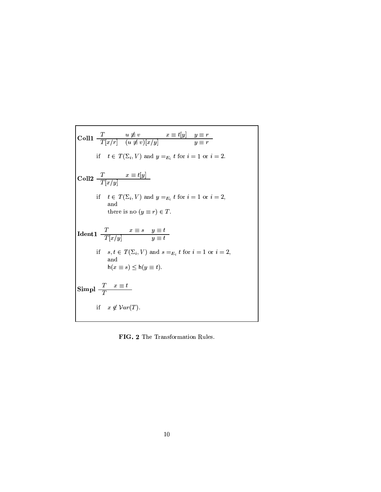$$
\begin{array}{|c|c|}\n\hline\n\text{Coll1} & \frac{T}{T[x/r]} & u \not\equiv v & x \equiv t[y] & y \equiv r \\
\text{if} & t \in T(\Sigma_i, V) \text{ and } y =_{E_i} t \text{ for } i = 1 \text{ or } i = 2. \\
\hline\n\text{Coll2} & \frac{T}{T[x/y]} & \text{if} & t \in T(\Sigma_i, V) \text{ and } y =_{E_i} t \text{ for } i = 1 \text{ or } i = 2, \\
\text{and} & \text{there is no } (y \equiv r) \in T. \\
\hline\n\text{Ident1} & \frac{T}{T[x/y]} & y \equiv t \\
\text{if} & s, t \in T(\Sigma_i, V) \text{ and } s =_{E_i} t \text{ for } i = 1 \text{ or } i = 2, \\
\text{and} & \text{h}(x \equiv s) \leq h(y \equiv t).\n\end{array}
$$
\n
$$
\text{Simpl} & \frac{T}{T} \quad x \equiv t \\
\text{if} & x \notin \mathcal{V}ar(T).
$$

FIG. 2 The Transformation Rules.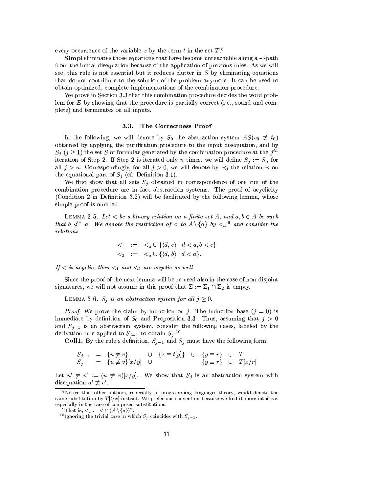every occurrence of the variable x by the term t in the set  $T$ <sup>8</sup>

**Simpl** eliminates those equations that have become unreachable along a  $\prec$ -path from the initial disequation because of the application of previous rules. As we will see, this rule is not essential but it reduces clutter in  $S$  by eliminating equations that do not contribute to the solution of the problem anymore. It can be used to obtain optimized, complete implementations of the combination procedure.

We prove in Section 3.3 that this combination procedure decides the word problem for  $E$  by showing that the procedure is partially correct (i.e., sound and complete) and terminates on all inputs.

### The Correctness Proof  $3.3.$

In the following, we will denote by  $S_0$  the abstraction system  $AS(s_0 \neq t_0)$ obtained by applying the purification procedure to the input disequation, and by  $S_i$  ( $j \geq 1$ ) the set S of formulae generated by the combination procedure at the  $j^{th}$ iteration of Step 2. If Step 2 is iterated only n times, we will define  $S_i := S_n$  for all  $j > n$ . Correspondingly, for all  $j > 0$ , we will denote by  $\prec_i$  the relation  $\prec$  on the equational part of  $S_i$  (cf. Definition 3.1).

We first show that all sets  $S_j$  obtained in correspondence of one run of the combination procedure are in fact abstraction systems. The proof of acyclicity (Condition 2 in Definition 3.2) will be facilitated by the following lemma, whose simple proof is omitted.

LEMMA 3.5. Let  $\lt$  be a binary relation on a finite set A, and  $a, b \in A$  be such that b  $\nless^*$  a. We denote the restriction of  $\lt$  to  $A \setminus \{a\}$  by  $\lt_{a}$ , <sup>9</sup> and consider the  $relations$ 

$$
\begin{array}{rcl} & <_1 & := <_a \cup \{ \langle d, e \rangle \mid d < a, b < e \} \\ & <_2 & := <_a \cup \{ \langle d, b \rangle \mid d < a \}. \end{array}
$$

If  $\langle$  is acyclic, then  $\langle$ <sub>1</sub> and  $\langle$ <sub>2</sub> are acyclic as well.

Since the proof of the next lemma will be re-used also in the case of non-disjoint signatures, we will not assume in this proof that  $\Sigma := \Sigma_1 \cap \Sigma_2$  is empty.

LEMMA 3.6.  $S_j$  is an abstraction system for all  $j \geq 0$ .

*Proof.* We prove the claim by induction on j. The induction base  $(j = 0)$  is immediate by definition of  $S_0$  and Proposition 3.3. Thus, assuming that  $j > 0$ and  $S_{j-1}$  is an abstraction system, consider the following cases, labeled by the derivation rule applied to  $S_{i-1}$  to obtain  $S_i$ .<sup>10</sup>

**Coll1.** By the rule's definition,  $S_{j-1}$  and  $S_j$  must have the following form:

$$
S_{j-1} = \{u \neq v\} \qquad \cup \quad \{x \equiv t[y]\} \quad \cup \quad \{y \equiv r\} \quad \cup \quad T
$$
  

$$
S_j = \{u \neq v\}[x/y] \quad \cup \qquad \{y \equiv r\} \quad \cup \quad T[x/r]
$$

Let  $u' \neq v' := (u \neq v)[x/y]$ . We show that  $S_j$  is an abstraction system with disequation  $u' \not\equiv v'$ .

<sup>&</sup>lt;sup>8</sup>Notice that other authors, especially in programming languages theory, would denote the same substitution by  $T[t/x]$  instead. We prefer our convention because we find it more intuitive, especially in the case of composed substitutions.

<sup>&</sup>lt;sup>9</sup>That is,  $\lt_a := \lt \cap (A \setminus \{a\})^2$ .

<sup>&</sup>lt;sup>10</sup>Ignoring the trivial case in which  $S_i$  coincides with  $S_{i-1}$ .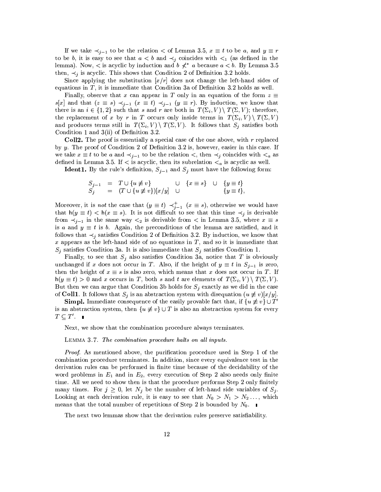If we take  $\prec_{j-1}$  to be the relation  $\prec$  of Lemma 3.5,  $x \equiv t$  to be a, and  $y \equiv r$ to be b, it is easy to see that  $a < b$  and  $\prec_j$  coincides with  $\prec_1$  (as defined in the lemma). Now,  $\lt$  is acyclic by induction and  $b \nless t^*$  a because  $a \lt b$ . By Lemma 3.5 then,  $\prec_i$  is acyclic. This shows that Condition 2 of Definition 3.2 holds.

Since applying the substitution  $[x/r]$  does not change the left-hand sides of equations in  $T$ , it is immediate that Condition 3a of Definition 3.2 holds as well.

Finally, observe that x can appear in T only in an equation of the form  $z \equiv$  $s[x]$  and that  $(z \equiv s) \prec_{j-1} (x \equiv t) \prec_{j-1} (y \equiv r)$ . By induction, we know that there is an  $i \in \{1,2\}$  such that s and r are both in  $T(\Sigma_i, V) \setminus T(\Sigma, V)$ ; therefore, the replacement of x by r in T occurs only inside terms in  $T(\Sigma_i, V) \setminus T(\Sigma, V)$ and produces terms still in  $T(\Sigma_i, V) \setminus T(\Sigma, V)$ . It follows that  $S_j$  satisfies both Condition 1 and  $3(ii)$  of Definition 3.2.

Coll2. The proof is essentially a special case of the one above, with  $r$  replaced by y. The proof of Condition 2 of Definition 3.2 is, however, easier in this case. If we take  $x \equiv t$  to be a and  $\prec_{j-1}$  to be the relation  $\prec$ , then  $\prec_j$  coincides with  $\prec_a$  as defined in Lemma 3.5. If  $\lt$  is acyclic, then its subrelation  $\lt_a$  is acyclic as well.

**Ident1.** By the rule's definition,  $S_{j-1}$  and  $S_j$  must have the following form:

$$
S_{j-1} = T \cup \{u \neq v\} \cup \{x \equiv s\} \cup \{y \equiv t\}
$$
  
\n
$$
S_j = (T \cup \{u \neq v\})[x/y] \cup \{y \equiv t\}
$$

Moreover, it is not the case that  $(y \equiv t) \prec_{j=1}^{+} (x \equiv s)$ , otherwise we would have that  $h(y \equiv t) < h(x \equiv s)$ . It is not difficult to see that this time  $\prec_i$  is derivable from  $\prec_{j-1}$  in the same way  $\prec_2$  is derivable from  $\prec$  in Lemma 3.5, where  $x \equiv s$ is a and  $y \equiv t$  is b. Again, the preconditions of the lemma are satisfied, and it follows that  $\prec_j$  satisfies Condition 2 of Definition 3.2. By induction, we know that  $x$  appears as the left-hand side of no equations in  $T$ , and so it is immediate that  $S_j$  satisfies Condition 3a. It is also immediate that  $S_j$  satisfies Condition 1.

Finally, to see that  $S_i$  also satisfies Condition 3a, notice that T is obviously unchanged if x does not occur in T. Also, if the height of  $y \equiv t$  in  $S_{j-1}$  is zero, then the height of  $x \equiv s$  is also zero, which means that x does not occur in T. If  $h(y \equiv t) > 0$  and x occurs in T, both s and t are elements of  $T(\Sigma_i, V) \setminus T(\Sigma, V)$ . But then we can argue that Condition 3b holds for  $S_j$  exactly as we did in the case of Coll1. It follows that  $S_i$  is an abstraction system with disequation  $(u \neq v)[x/y]$ .

**Simpl.** Immediate consequence of the easily provable fact that, if  $\{u \neq v\} \cup T'$ is an abstraction system, then  $\{u \neq v\} \cup T$  is also an abstraction system for every  $T \subseteq T'$ .

Next, we show that the combination procedure always terminates.

LEMMA 3.7. The combination procedure halts on all inputs.

*Proof.* As mentioned above, the purification procedure used in Step 1 of the combination procedure terminates. In addition, since every equivalence test in the derivation rules can be performed in finite time because of the decidability of the word problems in  $E_1$  and in  $E_2$ , every execution of Step 2 also needs only finite time. All we need to show then is that the procedure performs Step 2 only finitely many times. For  $j \geq 0$ , let  $N_j$  be the number of left-hand side variables of  $S_j$ . Looking at each derivation rule, it is easy to see that  $N_0 > N_1 > N_2 \dots$ , which means that the total number of repetitions of Step 2 is bounded by  $N_0$ .

The next two lemmas show that the derivation rules preserve satisfiability.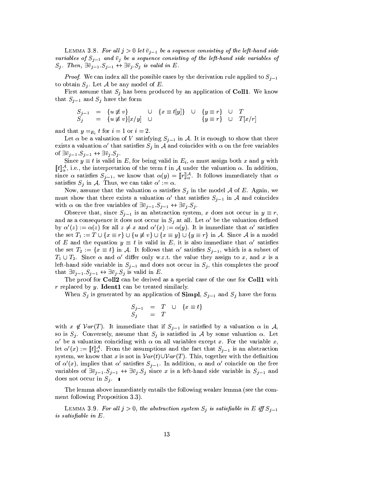LEMMA 3.8. For all  $j > 0$  let  $\overline{v}_{j-1}$  be a sequence consisting of the left-hand side variables of  $S_{j-1}$  and  $\bar{v}_j$  be a sequence consisting of the left-hand side variables of  $S_j$ . Then,  $\exists \bar{v}_{j-1}.S_{j-1} \leftrightarrow \exists \bar{v}_j.S_j$  is valid in E.

*Proof.* We can index all the possible cases by the derivation rule applied to  $S_{j-1}$ to obtain  $S_j$ . Let  $\mathcal A$  be any model of  $E$ .

First assume that  $S_j$  has been produced by an application of Coll1. We know that  $S_{j-1}$  and  $S_j$  have the form

$$
\begin{array}{rcl}\nS_{j-1} & = & \{u \neq v\} \\
S_j & = & \{u \neq v\}[x/y] \quad \cup \quad \{x \equiv t[y]\} \quad \cup \quad \{y \equiv r\} \quad \cup \quad T \\
\{y \equiv r\} & \cup \quad T[x/r]\n\end{array}
$$

and that  $y =_{E_i} t$  for  $i = 1$  or  $i = 2$ .

Let  $\alpha$  be a valuation of V satisfying  $S_{i-1}$  in A. It is enough to show that there exists a valuation  $\alpha'$  that satisfies  $S_j$  in A and coincides with  $\alpha$  on the free variables of  $\exists \bar{v}_{j-1}.S_{j-1} \leftrightarrow \exists \bar{v}_j.S_j.$ 

Since  $y \equiv t$  is valid in E, for being valid in  $E_i$ ,  $\alpha$  must assign both x and y with  $[[t]]^{\mathcal{A}}_{\alpha}$ , i.e., the interpretation of the term t in A under the valuation  $\alpha$ . In addition, since  $\alpha$  satisfies  $S_{j-1}$ , we know that  $\alpha(y) = [r]_{\alpha}^{\mathcal{A}}$ . It follows immediately that  $\alpha$ satisfies  $S_i$  in A. Thus, we can take  $\alpha' := \alpha$ .

Now, assume that the valuation  $\alpha$  satisfies  $S_j$  in the model A of E. Again, we must show that there exists a valuation  $\alpha'$  that satisfies  $S_{j-1}$  in A and coincides with  $\alpha$  on the free variables of  $\exists \bar{v}_{j-1}.S_{j-1} \leftrightarrow \exists \bar{v}_j.S_j.$ 

Observe that, since  $S_{j-1}$  is an abstraction system, x does not occur in  $y \equiv r$ , and as a consequence it does not occur in  $S_j$  at all. Let  $\alpha'$  be the valuation defined by  $\alpha'(z) := \alpha(z)$  for all  $z \neq x$  and  $\alpha'(x) := \alpha(y)$ . It is immediate that  $\alpha'$  satisfies the set  $T_1 := T \cup \{x \equiv r\} \cup \{u \not\equiv v\} \cup \{x \equiv y\} \cup \{y \equiv r\}$  in A. Since A is a model of E and the equation  $y \equiv t$  is valid in E, it is also immediate that  $\alpha'$  satisfies the set  $T_2 := \{x \equiv t\}$  in A. It follows that  $\alpha'$  satisfies  $S_{i-1}$ , which is a subset of  $T_1 \cup T_2$ . Since  $\alpha$  and  $\alpha'$  differ only w.r.t. the value they assign to x, and x is a left-hand side variable in  $S_{i-1}$  and does not occur in  $S_i$ , this completes the proof that  $\exists \bar{v}_{j-1}.S_{j-1} \leftrightarrow \exists \bar{v}_j.S_j$  is valid in E.

The proof for Coll2 can be derived as a special case of the one for Coll1 with  $r$  replaced by  $y$ . **Ident1** can be treated similarly.

When  $S_i$  is generated by an application of **Simpl**,  $S_{i-1}$  and  $S_i$  have the form

$$
S_{j-1} = T \cup \{x \equiv t\}
$$
  

$$
S_j = T
$$

with  $x \notin Var(T)$ . It immediate that if  $S_{j-1}$  is satisfied by a valuation  $\alpha$  in A, so is  $S_j$ . Conversely, assume that  $S_j$  is satisfied in A by some valuation  $\alpha$ . Let  $\alpha'$  be a valuation coinciding with  $\alpha$  on all variables except x. For the variable x, let  $\alpha'(x) := \llbracket t \rrbracket_{\alpha}^{\mathcal{A}}$ . From the assumptions and the fact that  $S_{j-1}$  is an abstraction system, we know that x is not in  $Var(t) \cup Var(T)$ . This, together with the definition of  $\alpha'(x)$ , implies that  $\alpha'$  satisfies  $S_{j-1}$ . In addition,  $\alpha$  and  $\alpha'$  coincide on the free variables of  $\exists \bar{v}_{j-1}$   $S_{j-1} \leftrightarrow \exists \bar{v}_j S_j$  since x is a left-hand side variable in  $S_{j-1}$  and does not occur in  $S_j$ .

The lemma above immediately entails the following weaker lemma (see the comment following Proposition 3.3.

LEMMA 3.9. For all  $j > 0$ , the abstraction system  $S_j$  is satisfiable in E iff  $S_{j-1}$ is satisfiable in  $E.$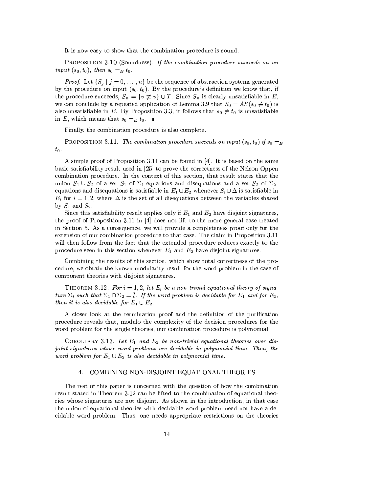It is now easy to show that the combination procedure is sound.

PROPOSITION 3.10 (Soundness). If the combination procedure succeeds on an *input*  $(s_0, t_0)$ , then  $s_0 =_E t_0$ .

*Proof.* Let  $\{S_j \mid j = 0, \ldots, n\}$  be the sequence of abstraction systems generated by the procedure on input  $(s_0, t_0)$ . By the procedure's definition we know that, if the procedure succeeds,  $S_n = \{v \not\equiv v\} \cup T$ . Since  $S_n$  is clearly unsatisfiable in  $E$ , we can conclude by a repeated application of Lemma 3.9 that  $S_0 = AS(s_0 \neq t_0)$  is also unsatisfiable in E. By Proposition 3.3, it follows that  $s_0 \neq t_0$  is unsatisfiable in E, which means that  $s_0 =_E t_0$ .

Finally, the combination procedure is also complete.

**PROPOSITION** 3.11. The combination procedure succeeds on input  $(s_0, t_0)$  if  $s_0 = E$  $t_0$ .

A simple proof of Proposition 3.11 can be found in [4]. It is based on the same basic satisfiability result used in [25] to prove the correctness of the Nelson-Oppen combination procedure. In the context of this section, that result states that the union  $S_1 \cup S_2$  of a set  $S_1$  of  $\Sigma_1$ -equations and disequations and a set  $S_2$  of  $\Sigma_2$ equations and disequations is satisfiable in  $E_1 \cup E_2$  whenever  $S_i \cup \Delta$  is satisfiable in  $E_i$  for  $i = 1, 2$ , where  $\Delta$  is the set of all disequations between the variables shared by  $S_1$  and  $S_2$ .

Since this satisfiability result applies only if  $E_1$  and  $E_2$  have disjoint signatures, the proof of Proposition 3.11 in [4] does not lift to the more general case treated in Section 5. As a consequence, we will provide a completeness proof only for the extension of our combination procedure to that case. The claim in Proposition 3.11 will then follow from the fact that the extended procedure reduces exactly to the procedure seen in this section whenever  $E_1$  and  $E_2$  have disjoint signatures.

Combining the results of this section, which show total correctness of the procedure, we obtain the known modularity result for the word problem in the case of component theories with disjoint signatures.

THEOREM 3.12. For  $i = 1, 2$ , let  $E_i$  be a non-trivial equational theory of signature  $\Sigma_i$  such that  $\Sigma_1 \cap \Sigma_2 = \emptyset$ . If the word problem is decidable for  $E_1$  and for  $E_2$ , then it is also decidable for  $E_1 \cup E_2$ .

A closer look at the termination proof and the definition of the purification procedure reveals that, modulo the complexity of the decision procedures for the word problem for the single theories, our combination procedure is polynomial.

COROLLARY 3.13. Let  $E_1$  and  $E_2$  be non-trivial equational theories over disjoint signatures whose word problems are decidable in polynomial time. Then, the word problem for  $E_1 \cup E_2$  is also decidable in polynomial time.

#### COMBINING NON-DISJOINT EQUATIONAL THEORIES 4.

The rest of this paper is concerned with the question of how the combination result stated in Theorem 3.12 can be lifted to the combination of equational theories whose signatures are not disjoint. As shown in the introduction, in that case the union of equational theories with decidable word problem need not have a decidable word problem. Thus, one needs appropriate restrictions on the theories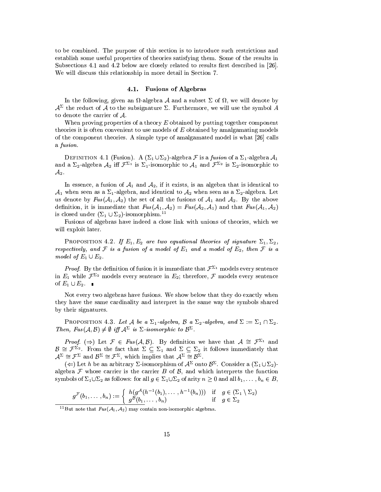to be combined. The purpose of this section is to introduce such restrictions and establish some useful properties of theories satisfying them. Some of the results in Subsections 4.1 and 4.2 below are closely related to results first described in [26]. We will discuss this relationship in more detail in Section 7.

# 4.1. Fusions of Algebras

In the following, given an  $\Omega$ -algebra A and a subset  $\Sigma$  of  $\Omega$ , we will denote by  $\mathcal{A}^{\Sigma}$  the reduct of  $\widetilde{\mathcal{A}}$  to the subsignature  $\Sigma$ . Furthermore, we will use the symbol A to denote the carrier of  $A$ .

When proving properties of a theory  $E$  obtained by putting together component theories it is often convenient to use models of  $E$  obtained by amalgamating models of the component theories. A simple type of amalgamated model is what [26] calls a fusion.

DEFINITION 4.1 (Fusion). A  $(\Sigma_1 \cup \Sigma_2)$ -algebra F is a fusion of a  $\Sigma_1$ -algebra  $\mathcal{A}_1$ and a  $\Sigma_2$ -algebra  $\mathcal{A}_2$  iff  $\mathcal{F}^{\Sigma_1}$  is  $\Sigma_1$ -isomorphic to  $\mathcal{A}_1$  and  $\mathcal{F}^{\Sigma_2}$  is  $\Sigma_2$ -isomorphic to  $\mathcal{A}_2$  .

In essence, a fusion of  $A_1$  and  $A_2$ , if it exists, is an algebra that is identical to  $\mathcal{A}_1$  when seen as a  $\Sigma_1$ -algebra, and identical to  $\mathcal{A}_2$  when seen as a  $\Sigma_2$ -algebra. Let us denote by  $Fus(\mathcal{A}_1, \mathcal{A}_2)$  the set of all the fusions of  $\mathcal{A}_1$  and  $\mathcal{A}_2$ . By the above definition, it is immediate that  $Fus(\mathcal{A}_1, \mathcal{A}_2) = Fus(\mathcal{A}_2, \mathcal{A}_1)$  and that  $Fus(\mathcal{A}_1, \mathcal{A}_2)$ is closed under  $(\Sigma_1 \cup \Sigma_2)$ -isomorphism.<sup>11</sup>

Fusions of algebras have indeed a close link with unions of theories, which we will exploit later.

PROPOSITION 4.2. If  $E_1, E_2$  are two equational theories of signature  $\Sigma_1, \Sigma_2$ , respectively, and F is a fusion of a model of  $E_1$  and a model of  $E_2$ , then F is a model of  $E_1 \cup E_2$ .

*Proof.* By the definition of fusion it is immediate that  $\mathcal{F}^{\Sigma_1}$  models every sentence in  $E_1$  while  $\mathcal{F}^{\Sigma_2}$  models every sentence in  $E_2$ ; therefore,  $\mathcal F$  models every sentence of  $E_1 \cup E_2$ .

Not every two algebras have fusions. We show below that they do exactly when they have the same cardinality and interpret in the same way the symbols shared by their signatures.

PROPOSITION 4.3. Let A be a  $\Sigma_1$ -algebra, B a  $\Sigma_2$ -algebra, and  $\Sigma := \Sigma_1 \cap \Sigma_2$ . Then,  $Fus(\mathcal{A}, \mathcal{B}) \neq \emptyset$  iff  $\mathcal{A}^{\Sigma}$  is  $\Sigma$ -isomorphic to  $\mathcal{B}^{\Sigma}$ .

*Proof.*  $(\Rightarrow)$  Let  $\mathcal{F} \in \text{Fus}(\mathcal{A}, \mathcal{B})$ . By definition we have that  $\mathcal{A} \cong \mathcal{F}^{\Sigma_1}$  and  $\mathcal{B} \cong \mathcal{F}^{\Sigma_2}$ . From the fact that  $\Sigma \subseteq \Sigma_1$  and  $\Sigma \subseteq \Sigma_2$  it follows immediately that  $\mathcal{A}^{\Sigma} \cong \mathcal{F}^{\Sigma}$  and  $\mathcal{B}^{\Sigma} \cong \mathcal{F}^{\Sigma}$ , which implies that  $\mathcal{A}^{\Sigma} \cong \mathcal{B}^{\Sigma}$ .

 $(\Leftarrow)$  Let h be an arbitrary  $\Sigma$ -isomorphism of  $\mathcal{A}^{\Sigma}$  onto  $\mathcal{B}^{\Sigma}$ . Consider a  $(\Sigma_1 \cup \Sigma_2)$ algebra  $\mathcal F$  whose carrier is the carrier B of B, and which interprets the function symbols of  $\Sigma_1 \cup \Sigma_2$  as follows: for all  $g \in \Sigma_1 \cup \Sigma_2$  of arity  $n \geq 0$  and all  $b_1, \ldots, b_n \in B$ ,

$$
g^{\mathcal{F}}(b_1,\ldots,b_n) := \begin{cases} h(g^{\mathcal{A}}(h^{-1}(b_1),\ldots,h^{-1}(b_n))) & \text{if } g \in (\Sigma_1 \setminus \Sigma_2) \\ g^{\mathcal{B}}(b_1,\ldots,b_n) & \text{if } g \in \Sigma_2 \end{cases}
$$

<sup>&</sup>lt;sup>11</sup>But note that  $Fus(\mathcal{A}_1, \mathcal{A}_2)$  may contain non-isomorphic algebras.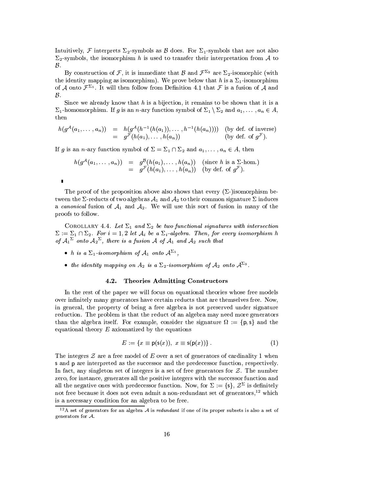Intuitively, F interprets  $\Sigma_2$ -symbols as B does. For  $\Sigma_1$ -symbols that are not also  $\Sigma_2$ -symbols, the isomorphism h is used to transfer their interpretation from A to  $\mathcal{B}.$ 

By construction of F, it is immediate that B and  $\mathcal{F}^{\Sigma_2}$  are  $\Sigma_2$ -isomorphic (with the identity mapping as isomorphism). We prove below that h is a  $\Sigma_1$ -isomorphism of A onto  $\mathcal{F}^{\Sigma_1}$ . It will then follow from Definition 4.1 that F is a fusion of A and  $\mathcal{B}.$ 

Since we already know that  $h$  is a bijection, it remains to be shown that it is a  $\Sigma_1$ -homomorphism. If g is an n-ary function symbol of  $\Sigma_1 \setminus \Sigma_2$  and  $a_1, \ldots, a_n \in A$ , then

$$
h(g^{\mathcal{A}}(a_1,\ldots,a_n)) = h(g^{\mathcal{A}}(h^{-1}(h(a_1)),\ldots,h^{-1}(h(a_n))))
$$
 (by def. of inverse)  
= 
$$
g^{\mathcal{F}}(h(a_1),\ldots,h(a_n))
$$
 (by def. of  $g^{\mathcal{F}}$ ).

If g is an n-ary function symbol of  $\Sigma = \Sigma_1 \cap \Sigma_2$  and  $a_1, \ldots, a_n \in A$ , then

$$
h(g^{\mathcal{A}}(a_1,\ldots,a_n)) = g^{\mathcal{B}}(h(a_1),\ldots,h(a_n)) \text{ (since } h \text{ is a } \Sigma \text{-hom.})
$$
  
=  $g^{\mathcal{F}}(h(a_1),\ldots,h(a_n))$  (by def. of  $g^{\mathcal{F}})$ ).

The proof of the proposition above also shows that every  $(\Sigma$ -)isomorphism between the  $\Sigma$ -reducts of two algebras  $\mathcal{A}_1$  and  $\mathcal{A}_2$  to their common signature  $\Sigma$  induces a canonical fusion of  $A_1$  and  $A_2$ . We will use this sort of fusion in many of the proofs to follow.

COROLLARY 4.4. Let  $\Sigma_1$  and  $\Sigma_2$  be two functional signatures with intersection  $\Sigma := \Sigma_1 \cap \Sigma_2$ . For  $i = 1, 2$  let  $\mathcal{A}_i$  be a  $\Sigma_i$ -algebra. Then, for every isomorphism h of  $\mathcal{A}_1^{\Sigma}$  onto  $\mathcal{A}_2^{\Sigma}$ , there is a fusion A of  $\mathcal{A}_1$  and  $\mathcal{A}_2$  such that

- h is a  $\Sigma_1$ -isomorphism of  $\mathcal{A}_1$  onto  $\mathcal{A}^{\Sigma_1}$ ,
- the identity mapping on  $A_2$  is a  $\Sigma_2$ -isomorphism of  $A_2$  onto  $A^{\Sigma_2}$ .

#### **Theories Admitting Constructors**  $4.2.$

In the rest of the paper we will focus on equational theories whose free models over infinitely many generators have certain reducts that are themselves free. Now, in general, the property of being a free algebra is not preserved under signature reduction. The problem is that the reduct of an algebra may need more generators than the algebra itself. For example, consider the signature  $\Omega := \{p, s\}$  and the equational theory  $E$  axiomatized by the equations

$$
E := \{ x \equiv \mathsf{p}(\mathsf{s}(x)), \ x \equiv \mathsf{s}(\mathsf{p}(x)) \} . \tag{1}
$$

The integers  $\mathcal Z$  are a free model of E over a set of generators of cardinality 1 when s and p are interpreted as the successor and the predecessor function, respectively. In fact, any singleton set of integers is a set of free generators for  $\mathcal{Z}$ . The number zero, for instance, generates all the positive integers with the successor function and all the negative ones with predecessor function. Now, for  $\Sigma := \{s\}, \mathcal{Z}^{\Sigma}$  is definitely not free because it does not even admit a non-redundant set of generators,<sup>12</sup> which is a necessary condition for an algebra to be free.

 $12A$  set of generators for an algebra A is redundant if one of its proper subsets is also a set of generators for  $A$ .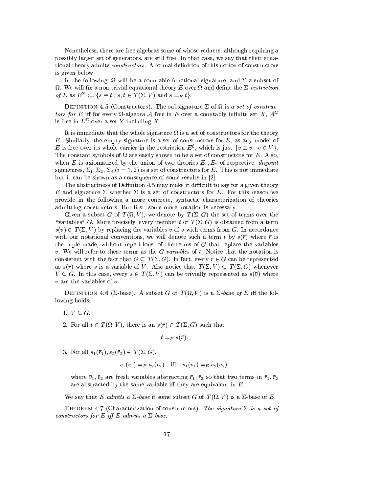Nonetheless, there are free algebras some of whose reducts, although requiring a possibly larger set of generators, are still free. In that case, we say that their equational theory admits *constructors*. A formal definition of this notion of constructors is given below.

In the following,  $\Omega$  will be a countable functional signature, and  $\Sigma$  a subset of  $\Omega$ . We will fix a non-trivial equational theory E over  $\Omega$  and define the  $\Sigma$ -restriction of E as  $E^{\Sigma} := \{ s \equiv t \mid s, t \in T(\Sigma, V) \text{ and } s =_E t \}.$ 

DEFINITION 4.5 (Constructors). The subsignature  $\Sigma$  of  $\Omega$  is a set of constructors for E iff for every  $\Omega$ -algebra A free in E over a countably infinite set X,  $\mathcal{A}^{\Sigma}$ is free in  $E^{\Sigma}$  over a set Y including X.

It is immediate that the whole signature  $\Omega$  is a set of constructors for the theory E. Similarly, the empty signature is a set of constructors for  $E$ , as any model of E is free over its whole carrier in the restriction  $E^{\emptyset}$ , which is just  $\{v \equiv v \mid v \in V\}$ . The constant symbols of  $\Omega$  are easily shown to be a set of constructors for E. Also, when E is axiomatized by the union of two theories  $E_1, E_2$  of respective, disjoint signatures,  $\Sigma_1, \Sigma_2, \Sigma_i$   $(i = 1, 2)$  is a set of constructors for E. This is not immediate but it can be shown as a consequence of some results in [2].

The abstractness of Definition 4.5 may make it difficult to say for a given theory E and signature  $\Sigma$  whether  $\Sigma$  is a set of constructors for E. For this reason we provide in the following a more concrete, syntactic characterization of theories admitting constructors. But first, some more notation is necessary.

Given a subset G of  $T(\Omega, V)$ , we denote by  $T(\Sigma, G)$  the set of terms over the "variables" G. More precisely, every member t of  $T(\Sigma, G)$  is obtained from a term  $s(\bar{v}) \in T(\Sigma, V)$  by replacing the variables  $\bar{v}$  of s with terms from G. In accordance with our notational conventions, we will denote such a term t by  $s(\bar{r})$  where  $\bar{r}$  is the tuple made, without repetitions, of the terms of  $G$  that replace the variables  $\bar{v}$ . We will refer to these terms as the *G*-variables of t. Notice that the notation is consistent with the fact that  $G \subseteq T(\Sigma, G)$ . In fact, every  $r \in G$  can be represented as  $s(r)$  where s is a variable of V. Also notice that  $T(\Sigma, V) \subseteq T(\Sigma, G)$  whenever  $V \subseteq G$ . In this case, every  $s \in T(\Sigma, V)$  can be trivially represented as  $s(\bar{v})$  where  $\bar{v}$  are the variables of s.

DEFINITION 4.6 ( $\Sigma$ -base). A subset G of  $T(\Omega, V)$  is a  $\Sigma$ -base of E iff the following holds:

- 1.  $V \subset G$ .
- 2. For all  $t \in T(\Omega, V)$ , there is an  $s(\overline{r}) \in T(\Sigma, G)$  such that

$$
:=_{E} s(\bar{r}).
$$

3. For all  $s_1(\bar{r}_1), s_2(\bar{r}_2) \in T(\Sigma, G),$ 

$$
s_1(\bar{r}_1) =_E s_2(\bar{r}_2) \quad \text{iff} \quad s_1(\bar{v}_1) =_E s_2(\bar{v}_2),
$$

where  $\bar{v}_1, \bar{v}_2$  are fresh variables abstracting  $\bar{r}_1, \bar{r}_2$  so that two terms in  $\bar{r}_1, \bar{r}_2$ are abstracted by the same variable iff they are equivalent in  $E$ .

We say that E admits a  $\Sigma$ -base if some subset G of  $T(\Omega, V)$  is a  $\Sigma$ -base of E.

THEOREM 4.7 (Characterization of constructors). The signature  $\Sigma$  is a set of constructors for E iff E admits a  $\Sigma$ -base.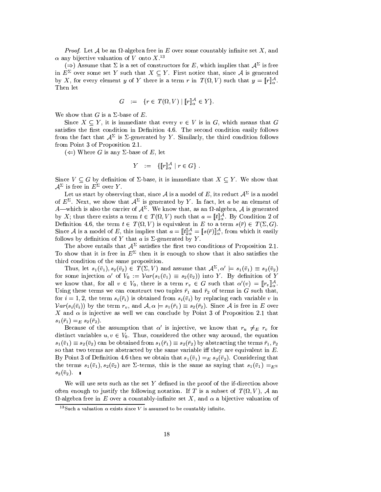*Proof.* Let A be an  $\Omega$ -algebra free in E over some countably infinite set X, and  $\alpha$  any bijective valuation of V onto X.<sup>13</sup>

 $(\Rightarrow)$  Assume that  $\Sigma$  is a set of constructors for E, which implies that  $\mathcal{A}^{\Sigma}$  is free in  $E^{\Sigma}$  over some set Y such that  $X \subseteq Y$ . First notice that, since A is generated by X, for every element y of Y there is a term r in  $T(\Omega, V)$  such that  $y = [r]_{\alpha}^{\mathcal{A}}$ . Then let

$$
G \quad := \quad \{r \in T(\Omega, V) \mid [r]_\alpha^{\mathcal{A}} \in Y\}.
$$

We show that G is a  $\Sigma$ -base of E.

Since  $X \subseteq Y$ , it is immediate that every  $v \in V$  is in G, which means that G satisfies the first condition in Definition 4.6. The second condition easily follows from the fact that  $A^{\Sigma}$  is  $\Sigma$ -generated by Y. Similarly, the third condition follows from Point 3 of Proposition 2.1.

 $(\Leftarrow)$  Where G is any  $\Sigma$ -base of E, let

$$
Y := \{ [\![r]\!]_{\alpha}^{\mathcal{A}} \mid r \in G \} .
$$

Since  $V \subseteq G$  by definition of  $\Sigma$ -base, it is immediate that  $X \subseteq Y$ . We show that  $\mathcal{A}^{\Sigma}$  is free in  $E^{\Sigma}$  over Y.

Let us start by observing that, since A is a model of E, its reduct  $\mathcal{A}^{\Sigma}$  is a model of  $E^{\Sigma}$ . Next, we show that  $\mathcal{A}^{\Sigma}$  is generated by Y. In fact, let a be an element of A—which is also the carrier of  $A^{\Sigma}$ . We know that, as an  $\Omega$ -algebra, A is generated by X; thus there exists a term  $t \in T(\Omega, V)$  such that  $a = [t]_{\alpha}^{\mathcal{A}}$ . By Condition 2 of Definition 4.6, the term  $t \in T(\Omega, V)$  is equivalent in E to a term  $s(\bar{r}) \in T(\Sigma, G)$ . Since A is a model of E, this implies that  $a = [\![t]\!]_{\alpha}^{\mathcal{A}} = [\![s(\bar{r})]\!]_{\alpha}^{\mathcal{A}}$ , from which it easily follows by definition of Y that a is  $\Sigma$ -generated by Y.<br>The above entails that  $\mathcal{A}^{\Sigma}$  satisfies the first

To show that it is free in  $E^{\Sigma}$  then it is enough to show that it also satisfies the third condition of the same proposition.

Thus, let  $s_1(\bar{v}_1), s_2(\bar{v}_2) \in T(\Sigma, V)$  and assume that  $\mathcal{A}^{\Sigma}, \alpha' \models s_1(\bar{v}_1) \equiv s_2(\bar{v}_2)$ for some injection  $\alpha'$  of  $V_0 := \mathcal{V}ar(s_1(\bar{v}_1) \equiv s_2(\bar{v}_2))$  into Y. By definition of Y we know that, for all  $v \in V_0$ , there is a term  $r_v \in G$  such that  $\alpha'(v) = ||r_v||_{\alpha}^A$ . Using these terms we can construct two tuples  $\bar{r}_1$  and  $\bar{r}_2$  of terms in G such that, for  $i = 1, 2$ , the term  $s_i(\bar{r}_i)$  is obtained from  $s_i(\bar{v}_i)$  by replacing each variable v in  $Var(s_i(\bar{v}_i))$  by the term  $r_v$ , and  $\mathcal{A}, \alpha \models s_1(\bar{r}_1) \equiv s_2(\bar{r}_2)$ . Since A is free in E over X and  $\alpha$  is injective as well we can conclude by Point 3 of Proposition 2.1 that  $s_1(\bar{r}_1) =_E s_2(\bar{r}_2).$ 

Because of the assumption that  $\alpha'$  is injective, we know that  $r_u \neq_{E} r_v$  for distinct variables  $u, v \in V_0$ . Thus, considered the other way around, the equation  $s_1(\bar{v}_1) \equiv s_2(\bar{v}_2)$  can be obtained from  $s_1(\bar{r}_1) \equiv s_2(\bar{r}_2)$  by abstracting the terms  $\bar{r}_1, \bar{r}_2$ so that two terms are abstracted by the same variable iff they are equivalent in  $E$ . By Point 3 of Definition 4.6 then we obtain that  $s_1(\bar{v}_1) =_E s_2(\bar{v}_2)$ . Considering that the terms  $s_1(\bar{v}_1)$ ,  $s_2(\bar{v}_2)$  are  $\Sigma$ -terms, this is the same as saying that  $s_1(\bar{v}_1) =_{E\Sigma}$  $s_2(\bar{v}_2)$ .

We will use sets such as the set Y defined in the proof of the if-direction above often enough to justify the following notation. If T is a subset of  $T(\Omega, V)$ , A an  $\Omega$ -algebra free in E over a countably-infinite set X, and  $\alpha$  a bijective valuation of

<sup>&</sup>lt;sup>13</sup>Such a valuation  $\alpha$  exists since V is assumed to be countably infinite.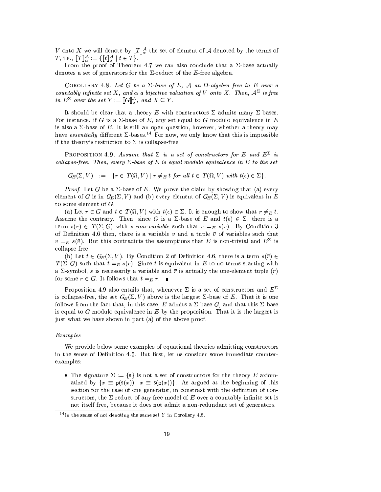V onto X we will denote by  $[\![T]\!]_{\alpha}^{\mathcal{A}}$  the set of element of A denoted by the terms of *T*, i.e.,  $[[T]]_{\alpha}^{\mathcal{A}} := \{ [[t]]_{\alpha}^{\mathcal{A}} \mid t \in T \}.$ 

From the proof of Theorem 4.7 we can also conclude that a  $\Sigma$ -base actually denotes a set of generators for the  $\Sigma$ -reduct of the E-free algebra.

COROLLARY 4.8. Let G be a  $\Sigma$ -base of E, A an  $\Omega$ -algebra free in E over a countably infinite set X, and  $\alpha$  a bijective valuation of V onto X. Then,  $A^{\Sigma}$  is free in  $E^{\Sigma}$  over the set  $Y := [[G]]_{\alpha}^{\mathcal{A}},$  and  $X \subseteq Y$ .

It should be clear that a theory E with constructors  $\Sigma$  admits many  $\Sigma$ -bases. For instance, if G is a  $\Sigma$ -base of E, any set equal to G modulo equivalence in E is also a  $\Sigma$ -base of E. It is still an open question, however, whether a theory may have essentially different  $\Sigma$ -bases.<sup>14</sup> For now, we only know that this is impossible if the theory's restriction to  $\Sigma$  is collapse-free.

**PROPOSITION** 4.9. Assume that  $\Sigma$  is a set of constructors for E and  $E^{\Sigma}$  is collapse-free. Then, every  $\Sigma$ -base of E is equal modulo equivalence in E to the set

 $G_E(\Sigma, V) := \{r \in T(\Omega, V) \mid r \neq_E t \text{ for all } t \in T(\Omega, V) \text{ with } t(\epsilon) \in \Sigma\}.$ 

*Proof.* Let G be a  $\Sigma$ -base of E. We prove the claim by showing that (a) every element of G is in  $G_E(\Sigma, V)$  and (b) every element of  $G_E(\Sigma, V)$  is equivalent in E to some element of  $G$ .

(a) Let  $r \in G$  and  $t \in T(\Omega, V)$  with  $t(\epsilon) \in \Sigma$ . It is enough to show that  $r \neq_E t$ . Assume the contrary. Then, since G is a  $\Sigma$ -base of E and  $t(\epsilon) \in \Sigma$ , there is a term  $s(\bar{r}) \in T(\Sigma, G)$  with s non-variable such that  $r =_E s(\bar{r})$ . By Condition 3 of Definition 4.6 then, there is a variable v and a tuple  $\bar{v}$  of variables such that  $v =_E s(\bar{v})$ . But this contradicts the assumptions that E is non-trivial and  $E^{\Sigma}$  is collapse-free.

(b) Let  $t \in G_E(\Sigma, V)$ . By Condition 2 of Definition 4.6, there is a term  $s(\bar{r}) \in$  $T(\Sigma, G)$  such that  $t =_E s(\overline{r})$ . Since t is equivalent in E to no terms starting with a  $\Sigma$ -symbol, s is necessarily a variable and  $\bar{r}$  is actually the one-element tuple  $(r)$ for some  $r \in G$ . It follows that  $t =_E r$ .

Proposition 4.9 also entails that, whenever  $\Sigma$  is a set of constructors and  $E^{\Sigma}$ is collapse-free, the set  $G_E(\Sigma, V)$  above is the largest  $\Sigma$ -base of E. That it is one follows from the fact that, in this case, E admits a  $\Sigma$ -base G, and that this  $\Sigma$ -base is equal to  $G$  modulo equivalence in  $E$  by the proposition. That it is the largest is just what we have shown in part (a) of the above proof.

### Examples

We provide below some examples of equational theories admitting constructors in the sense of Definition 4.5. But first, let us consider some immediate counterexamples:

• The signature  $\Sigma := \{s\}$  is not a set of constructors for the theory E axiomatized by  $\{x \equiv p(s(x)), x \equiv s(p(x))\}$ . As argued at the beginning of this section for the case of one generator, in constrast with the definition of constructors, the  $\Sigma$ -reduct of any free model of E over a countably infinite set is not itself free, because it does not admit a non-redundant set of generators.

<sup>&</sup>lt;sup>14</sup>In the sense of not denoting the same set Y in Corollary 4.8.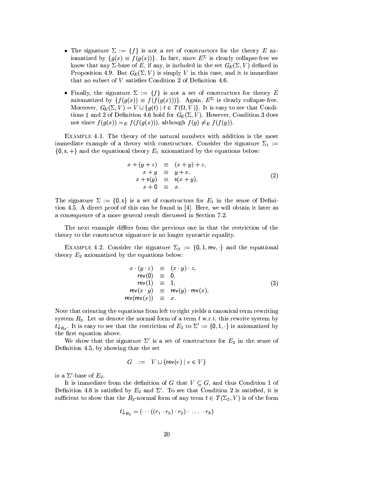- The signature  $\Sigma := \{f\}$  is not a set of constructors for the theory E axiomatized by  $\{g(x) \equiv f(g(x))\}$ . In fact, since  $E^{\Sigma}$  is clearly collapse-free we know that any  $\Sigma$ -base of E, if any, is included in the set  $G_E(\Sigma, V)$  defined in Proposition 4.9. But  $G_E(\Sigma, V)$  is simply V in this case, and it is immediate that no subset of  $V$  satisfies Condition 2 of Definition 4.6.
- Finally, the signature  $\Sigma := \{f\}$  is not a set of constructors for theory E axiomatized by  $\{f(g(x)) \equiv f(f(g(x)))\}$ . Again,  $E^{\Sigma}$  is clearly collapse-free. Moreover,  $G_E(\Sigma, V) = V \cup \{g(t) | t \in T(\Omega, V)\}\.$  It is easy to see that Conditions 1 and 2 of Definition 4.6 hold for  $G_E(\Sigma, V)$ . However, Condition 3 does not since  $f(g(x)) =_E f(f(g(x)))$ , although  $f(y) \neq_E f(f(y))$ .

EXAMPLE 4.1. The theory of the natural numbers with addition is the most immediate example of a theory with constructors. Consider the signature  $\Sigma_1$ :=  $\{0, s, +\}$  and the equational theory  $E_1$  axiomatized by the equations below:

$$
x + (y + z) \equiv (x + y) + z,
$$
  
\n
$$
x + y \equiv y + x,
$$
  
\n
$$
x + s(y) \equiv s(x + y),
$$
  
\n
$$
x + 0 \equiv x.
$$
\n(2)

The signature  $\Sigma := \{0, s\}$  is a set of constructors for  $E_1$  in the sense of Definition 4.5. A direct proof of this can be found in [4]. Here, we will obtain it later as a consequence of a more general result discussed in Section 7.2.

The next example differs from the previous one in that the restriction of the theory to the constructor signature is no longer syntactic equality.

EXAMPLE 4.2. Consider the signature  $\Sigma_2 := \{0, 1, rev, \cdot\}$  and the equational theory  $E_2$  axiomatized by the equations below:

$$
x \cdot (y \cdot z) \equiv (x \cdot y) \cdot z,
$$
  
\n
$$
rev(0) \equiv 0,
$$
  
\n
$$
rev(1) \equiv 1,
$$
  
\n
$$
rev(x \cdot y) \equiv rev(y) \cdot rev(x),
$$
  
\n
$$
rev(rev(x)) \equiv x.
$$
  
\n(3)

Note that orienting the equations from left to right yields a canonical term rewriting system  $R_2$ . Let us denote the normal form of a term  $t$  w.r.t. this rewrite system by  $t\downarrow_{R_2}$ . It is easy to see that the restriction of  $E_2$  to  $\Sigma' := \{0,1,\cdot\}$  is axiomatized by the first equation above.

We show that the signature  $\Sigma'$  is a set of constructors for  $E_2$  in the sense of Definition 4.5, by showing that the set

$$
G \quad := \quad V \cup \{ \mathsf{rev}(v) \mid v \in V \}
$$

is a  $\Sigma'$ -base of  $E_2$ .

It is immediate from the definition of G that  $V \subseteq G$ , and thus Condition 1 of Definition 4.6 is satisfied by  $E_2$  and  $\Sigma'$ . To see that Condition 2 is satisfied, it is sufficient to show that the  $R_2$ -normal form of any term  $t \in T(\Sigma_2, V)$  is of the form

$$
t\downarrow_{R_2}=(\cdots((r_1\cdot r_2)\cdot r_3)\cdot\ldots\cdot r_k)
$$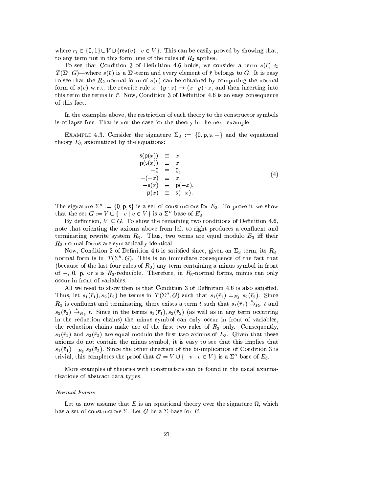where  $r_i \in \{0,1\} \cup V \cup \{rev(v) \mid v \in V\}$ . This can be easily proved by showing that, to any term not in this form, one of the rules of  $R_2$  applies.

To see that Condition 3 of Definition 4.6 holds, we consider a term  $s(\bar{r}) \in$  $T(\Sigma', G)$ —where  $s(\bar{v})$  is a  $\Sigma'$ -term and every element of  $\bar{r}$  belongs to G. It is easy to see that the  $R_2$ -normal form of  $s(\bar{r})$  can be obtained by computing the normal form of  $s(\bar{v})$  w.r.t. the rewrite rule  $x \cdot (y \cdot z) \rightarrow (x \cdot y) \cdot z$ , and then inserting into this term the terms in  $\bar{r}$ . Now, Condition 3 of Definition 4.6 is an easy consequence of this fact.

In the examples above, the restriction of each theory to the constructor symbols is collapse-free. That is not the case for the theory in the next example.

EXAMPLE 4.3. Consider the signature  $\Sigma_3 := \{0, p, s, -\}$  and the equational theory  $E_3$  axiomatized by the equations:

$$
s(p(x)) \equiv x
$$
  
\n
$$
p(s(x)) \equiv x
$$
  
\n
$$
-0 \equiv 0,
$$
  
\n
$$
-(-x) \equiv x,
$$
  
\n
$$
-s(x) \equiv p(-x),
$$
  
\n
$$
-p(x) \equiv s(-x).
$$
\n(4)

The signature  $\Sigma'' := \{0, p, s\}$  is a set of constructors for  $E_3$ . To prove it we show that the set  $G := V \cup \{-v \mid v \in V\}$  is a  $\Sigma^{\prime\prime}$ -base of  $E_3$ .

By definition,  $V \subseteq G$ . To show the remaining two conditions of Definition 4.6. note that orienting the axioms above from left to right produces a confluent and terminating rewrite system  $R_3$ . Thus, two terms are equal modulo  $E_3$  iff their  $R_3$ -normal forms are syntactically identical.

Now, Condition 2 of Definition 4.6 is satisfied since, given an  $\Sigma_3$ -term, its  $R_3$ normal form is in  $T(\Sigma'', G)$ . This is an immediate consequence of the fact that (because of the last four rules of  $R_3$ ) any term containing a minus symbol in front of -, 0, p, or s is  $R_3$ -reducible. Therefore, in  $R_3$ -normal forms, minus can only occur in front of variables.

All we need to show then is that Condition 3 of Definition 4.6 is also satisfied. Thus, let  $s_1(\bar{r}_1), s_2(\bar{r}_2)$  be terms in  $T(\Sigma'', G)$  such that  $s_1(\bar{r}_1) =_{E_3} s_2(\bar{r}_2)$ . Since  $R_3$  is confluent and terminating, there exists a term t such that  $s_1(\bar{r}_1) \stackrel{*}{\to}_{R_3} t$  and  $s_2(\bar{r}_2) \stackrel{*}{\rightarrow}_{R_3} t$ . Since in the terms  $s_1(\bar{r}_1), s_2(\bar{r}_2)$  (as well as in any term occurring in the reduction chains) the minus symbol can only occur in front of variables, the reduction chains make use of the first two rules of  $R_3$  only. Consequently,  $s_1(\bar{r}_1)$  and  $s_2(\bar{r}_2)$  are equal modulo the first two axioms of  $E_3$ . Given that these axioms do not contain the minus symbol, it is easy to see that this implies that  $s_1(\bar{v}_1) =_{E_3} s_2(\bar{v}_2)$ . Since the other direction of the bi-implication of Condition 3 is trivial, this completes the proof that  $G = V \cup \{-v \mid v \in V\}$  is a  $\Sigma''$ -base of  $E_3$ .

More examples of theories with constructors can be found in the usual axiomatizations of abstract data types.

### Normal Forms

Let us now assume that E is an equational theory over the signature  $\Omega$ , which has a set of constructors  $\Sigma$ . Let G be a  $\Sigma$ -base for E.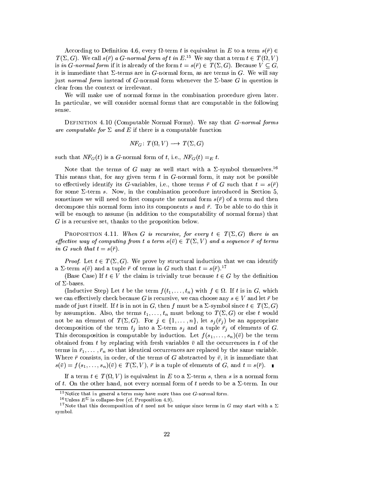According to Definition 4.6, every  $\Omega$ -term t is equivalent in E to a term  $s(\bar{r}) \in$  $T(\Sigma, G)$ . We call  $s(\bar{r})$  a G-normal form of t in  $E^{15}$ . We say that a term  $t \in T(\Omega, V)$ is in G-normal form if it is already of the form  $t = s(\overline{r}) \in T(\Sigma, G)$ . Because  $V \subset G$ , it is immediate that  $\Sigma$ -terms are in G-normal form, as are terms in G. We will say just normal form instead of G-normal form whenever the  $\Sigma$ -base G in question is clear from the context or irrelevant.

We will make use of normal forms in the combination procedure given later. In particular, we will consider normal forms that are computable in the following sense.

DEFINITION 4.10 (Computable Normal Forms). We say that *G-normal forms* are computable for  $\Sigma$  and E if there is a computable function

$$
NF_G: T(\Omega, V) \longrightarrow T(\Sigma, G)
$$

such that  $NF_G(t)$  is a G-normal form of t, i.e.,  $NF_G(t) =_E t$ .

Note that the terms of G may as well start with a  $\Sigma$ -symbol themselves.<sup>16</sup> This means that, for any given term  $t$  in  $G$ -normal form, it may not be possible to effectively identify its G-variables, i.e., those terms  $\bar{r}$  of G such that  $t = s(\bar{r})$ for some  $\Sigma$ -term s. Now, in the combination procedure introduced in Section 5, sometimes we will need to first compute the normal form  $s(\bar{r})$  of a term and then decompose this normal form into its components s and  $\bar{r}$ . To be able to do this it will be enough to assume (in addition to the computability of normal forms) that  $G$  is a recursive set, thanks to the proposition below.

**PROPOSITION** 4.11. When G is recursive, for every  $t \in T(\Sigma, G)$  there is an effective way of computing from t a term  $s(\bar{v}) \in T(\Sigma, V)$  and a sequence  $\bar{r}$  of terms in G such that  $t = s(\bar{r}).$ 

*Proof.* Let  $t \in T(\Sigma, G)$ . We prove by structural induction that we can identify a  $\Sigma$ -term  $s(\bar{v})$  and a tuple  $\bar{r}$  of terms in G such that  $t = s(\bar{r})$ .<sup>17</sup>

(Base Case) If  $t \in V$  the claim is trivially true because  $t \in G$  by the definition of  $\Sigma$ -bases.

(Inductive Step) Let t be the term  $f(t_1,\ldots,t_n)$  with  $f \in \Omega$ . If t is in G, which we can effectively check because G is recursive, we can choose any  $s \in V$  and let  $\bar{r}$  be made of just t itself. If t is in not in G, then f must be a  $\Sigma$ -symbol since  $t \in T(\Sigma, G)$ by assumption. Also, the terms  $t_1, \ldots, t_n$  must belong to  $T(\Sigma, G)$  or else t would not be an element of  $T(\Sigma, G)$ . For  $j \in \{1, ..., n\}$ , let  $s_j(\overline{r}_j)$  be an appropriate decomposition of the term  $t_j$  into a  $\Sigma$ -term  $s_j$  and a tuple  $\bar{r}_j$  of elements of G. This decomposition is computable by induction. Let  $f(s_1,\ldots,s_n)(\bar{v})$  be the term obtained from t by replacing with fresh variables  $\bar{v}$  all the occurrences in t of the terms in  $\bar{r}_1, \ldots, \bar{r}_n$  so that identical occurrences are replaced by the same variable. Where  $\bar{r}$  consists, in order, of the terms of G abstracted by  $\bar{v}$ , it is immediate that  $s(\bar{v}) = f(s_1, \ldots, s_n)(\bar{v}) \in T(\Sigma, V), \bar{r}$  is a tuple of elements of G, and  $t = s(\bar{r}).$ 

If a term  $t \in T(\Omega, V)$  is equivalent in E to a  $\Sigma$ -term s, then s is a normal form of t. On the other hand, not every normal form of t needs to be a  $\Sigma$ -term. In our

<sup>&</sup>lt;sup>15</sup>Notice that in general a term may have more than one  $G$ -normal form.

<sup>&</sup>lt;sup>16</sup>Unless  $E^{\Sigma}$  is collapse-free (cf. Proposition 4.9).

<sup>&</sup>lt;sup>17</sup>Note that this decomposition of t need not be unique since terms in G may start with a  $\Sigma$ symbol.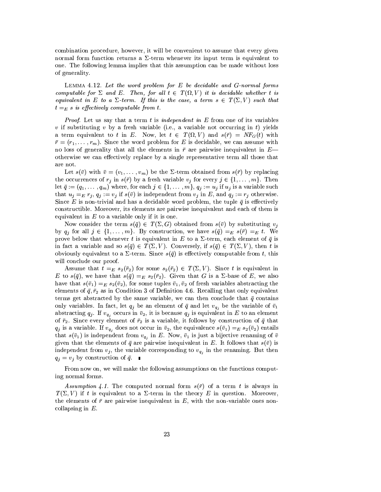combination procedure, however, it will be convenient to assume that every given normal form function returns a  $\Sigma$ -term whenever its input term is equivalent to one. The following lemma implies that this assumption can be made without loss of generality.

LEMMA 4.12. Let the word problem for  $E$  be decidable and  $G$ -normal forms computable for  $\Sigma$  and E. Then, for all  $t \in T(\Omega, V)$  it is decidable whether t is equivalent in E to a  $\Sigma$ -term. If this is the case, a term  $s \in T(\Sigma, V)$  such that  $t =_E s$  is effectively computable from t.

*Proof.* Let us say that a term  $t$  is independent in  $E$  from one of its variables v if substituting v by a fresh variable (i.e., a variable not occurring in t) yields a term equivalent to t in E. Now, let  $t \in T(\Omega, V)$  and  $s(\overline{r}) = NF_G(t)$  with  $\bar{r} = (r_1, \ldots, r_m)$ . Since the word problem for E is decidable, we can assume with no loss of generality that all the elements in  $\bar{r}$  are pairwise inequivalent in  $E$ otherwise we can effectively replace by a single representative term all those that are not.

Let  $s(\bar{v})$  with  $\bar{v} = (v_1, \ldots, v_m)$  be the  $\Sigma$ -term obtained from  $s(\bar{r})$  by replacing the occurrences of  $r_i$  in  $s(\bar{r})$  by a fresh variable  $v_j$  for every  $j \in \{1, ..., m\}$ . Then let  $\bar{q} := (q_1, \ldots, q_m)$  where, for each  $j \in \{1, \ldots, m\}$ ,  $q_j := u_j$  if  $u_j$  is a variable such that  $u_j =_E r_j$ ,  $q_j := v_j$  if  $s(\bar{v})$  is independent from  $v_j$  in E, and  $q_j := r_j$  otherwise. Since E is non-trivial and has a decidable word problem, the tuple  $\bar{q}$  is effectively constructible. Moreover, its elements are pairwise inequivalent and each of them is equivalent in  $E$  to a variable only if it is one.

Now consider the term  $s(\bar{q}) \in T(\Sigma, G)$  obtained from  $s(\bar{v})$  by substituting  $v_i$ by  $q_j$  for all  $j \in \{1, ..., m\}$ . By construction, we have  $s(\bar{q}) =_E s(\bar{r}) =_E t$ . We prove below that whenever t is equivalent in E to a  $\Sigma$ -term, each element of  $\bar{q}$  is in fact a variable and so  $s(\bar{q}) \in T(\Sigma, V)$ . Conversely, if  $s(\bar{q}) \in T(\Sigma, V)$ , then t is obviously equivalent to a  $\Sigma$ -term. Since  $s(\bar{q})$  is effectively computable from t, this will conclude our proof.

Assume that  $t =_E s_2(\bar{r}_2)$  for some  $s_2(\bar{r}_2) \in T(\Sigma, V)$ . Since t is equivalent in E to  $s(\bar{q})$ , we have that  $s(\bar{q}) =_E s_2(\bar{r}_2)$ . Given that G is a  $\Sigma$ -base of E, we also have that  $s(\bar{v}_1) =_E s_2(\bar{v}_2)$ , for some tuples  $\bar{v}_1, \bar{v}_2$  of fresh variables abstracting the elements of  $\bar{q}$ ,  $\bar{r}_2$  as in Condition 3 of Definition 4.6. Recalling that only equivalent terms get abstracted by the same variable, we can then conclude that  $\bar{q}$  contains only variables. In fact, let  $q_i$  be an element of  $\bar{q}$  and let  $v_{q_i}$  be the variable of  $\bar{v}_1$ abstracting  $q_j$ . If  $v_{q_j}$  occurs in  $\bar{v}_2$ , it is because  $q_j$  is equivalent in E to an element of  $\bar{r}_2$ . Since every element of  $\bar{r}_2$  is a variable, it follows by construction of  $\bar{q}$  that  $q_i$  is a variable. If  $v_{q_i}$  does not occur in  $\bar{v}_2$ , the equivalence  $s(\bar{v}_1) =_E s_2(\bar{v}_2)$  entails that  $s(\bar{v}_1)$  is independent from  $v_{q_i}$  in E. Now,  $\bar{v}_1$  is just a bijective renaming of  $\bar{v}$ given that the elements of  $\bar{q}$  are pairwise inequivalent in E. It follows that  $s(\bar{v})$  is independent from  $v_j$ , the variable corresponding to  $v_{q_j}$  in the renaming. But then  $q_i = v_j$  by construction of  $\bar{q}$ .

From now on, we will make the following assumptions on the functions computing normal forms.

Assumption 4.1. The computed normal form  $s(\bar{r})$  of a term t is always in  $T(\Sigma, V)$  if t is equivalent to a  $\Sigma$ -term in the theory E in question. Moreover, the elements of  $\bar{r}$  are pairwise inequivalent in E, with the non-variable ones noncollapsing in  $E$ .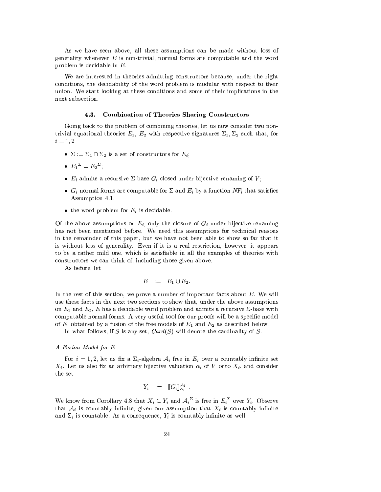As we have seen above, all these assumptions can be made without loss of generality whenever  $E$  is non-trivial, normal forms are computable and the word problem is decidable in  $E$ .

We are interested in theories admitting constructors because, under the right conditions, the decidebility of the word problem is modular with respect to their union. We start looking at these conditions and some of their implications in the next subsection.

#### **Combination of Theories Sharing Constructors**  $4.3.$

Going back to the problem of combining theories, let us now consider two nontrivial equational theories  $E_1, E_2$  with respective signatures  $\Sigma_1, \Sigma_2$  such that, for  $i=1,2$ 

- $\Sigma := \Sigma_1 \cap \Sigma_2$  is a set of constructors for  $E_i$ ;
- $E_1^{\Sigma} = E_2^{\Sigma}$
- $E_i$  admits a recursive  $\Sigma$ -base  $G_i$  closed under bijective renaming of V;
- $G_i$ -normal forms are computable for  $\Sigma$  and  $E_i$  by a function  $NF_i$  that satisfies Assumption 4.1.
- the word problem for  $E_i$  is decidable.

Of the above assumptions on  $E_i$ , only the closure of  $G_i$  under bijective renaming has not been mentioned before. We need this assumptions for technical reasons in the remainder of this paper, but we have not been able to show so far that it is without loss of generality. Even if it is a real restriction, however, it appears to be a rather mild one, which is satisfiable in all the examples of theories with constructors we can think of, including those given above.

As before, let

$$
E \quad := \quad E_1 \cup E_2.
$$

In the rest of this section, we prove a number of important facts about  $E$ . We will use these facts in the next two sections to show that, under the above assumptions on  $E_1$  and  $E_2$ , E has a decidable word problem and admits a recursive  $\Sigma$ -base with computable normal forms. A very useful tool for our proofs will be a specific model of E, obtained by a fusion of the free models of  $E_1$  and  $E_2$  as described below.

In what follows, if S is any set,  $Card(S)$  will denote the cardinality of S.

### A Fusion Model for E

For  $i = 1, 2$ , let us fix a  $\Sigma_i$ -algebra  $\mathcal{A}_i$  free in  $E_i$  over a countably infinite set  $X_i$ . Let us also fix an arbitrary bijective valuation  $\alpha_i$  of V onto  $X_i$ , and consider  ${\rm the\; set}$ 

$$
Y_i \quad := \quad \llbracket G_i \rrbracket^{\mathcal{A}_i}_{\alpha_i}
$$

We know from Corollary 4.8 that  $X_i \subseteq Y_i$  and  $\mathcal{A}_i^{\Sigma}$  is free in  $E_i^{\Sigma}$  over  $Y_i$ . Observe that  $A_i$  is countably infinite, given our assumption that  $X_i$  is countably infinite and  $\Sigma_i$  is countable. As a consequence,  $Y_i$  is countably infinite as well.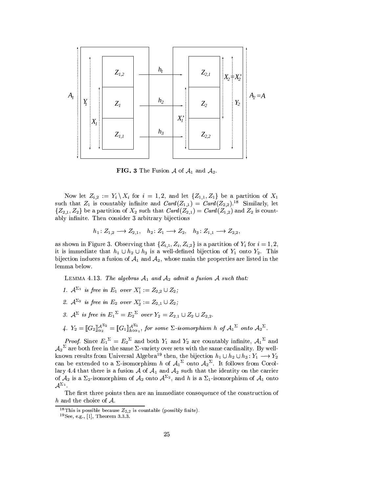

**FIG.** 3 The Fusion A of  $A_1$  and  $A_2$ .

Now let  $Z_{i,2} := Y_i \setminus X_i$  for  $i = 1,2$ , and let  $\{Z_{1,1}, Z_1\}$  be a partition of  $X_1$ such that  $Z_1$  is countably infinite and  $Card(Z_{1,1})=Card(Z_{2,2})$ .<sup>18</sup> Similarly, let  $\{Z_{2,1}, Z_2\}$  be a partition of  $X_2$  such that  $Card(Z_{2,1})=Card(Z_{1,2})$  and  $Z_2$  is countably infinite. Then consider 3 arbitrary bijections

$$
h_1: Z_{1,2} \longrightarrow Z_{2,1}, \quad h_2: Z_1 \longrightarrow Z_2, \quad h_3: Z_{1,1} \longrightarrow Z_{2,2},
$$

as shown in Figure 3. Observing that  $\{Z_{i,1}, Z_i, Z_{i,2}\}$  is a partition of  $Y_i$  for  $i = 1, 2,$ it is immediate that  $h_1 \cup h_2 \cup h_3$  is a well-defined bijection of  $Y_1$  onto  $Y_2$ . This bijection induces a fusion of  $A_1$  and  $A_2$ , whose main the properties are listed in the lemma below.

LEMMA 4.13. The algebras  $A_1$  and  $A_2$  admit a fusion A such that:

- 1.  $\mathcal{A}^{\Sigma_1}$  is free in  $E_1$  over  $X'_1 := Z_{2,2} \cup Z_2$ ;
- 2.  $\mathcal{A}^{\Sigma_2}$  is free in  $E_2$  over  $X'_2 := Z_{2,1} \cup Z_2$ .
- 3.  $A^{\Sigma}$  is free in  $E_1^{\Sigma} = E_2^{\Sigma}$  over  $Y_2 = Z_{2,1} \cup Z_2 \cup Z_{2,2}$ .
- 4.  $Y_2 = \llbracket G_2 \rrbracket_{\alpha_2}^{\mathcal{A}^{\Sigma_2}} = \llbracket G_1 \rrbracket_{h \circ \alpha_1}^{\mathcal{A}^{\Sigma_1}}$ , for some  $\Sigma$ -isomorphism h of  $\mathcal{A}_1^{\Sigma}$  onto  $\mathcal{A}_2^{\Sigma}$ .

*Proof.* Since  $E_1^{\Sigma} = E_2^{\Sigma}$  and both  $Y_1$  and  $Y_2$  are countably infinite,  $\mathcal{A}_1^{\Sigma}$  and  ${\cal A_2}^\Sigma$  are both free in the same  $\Sigma$ -variety over sets with the same cardinality. By wellknown results from Universal Algebra<sup>19</sup> then, the bijection  $h_1 \cup h_2 \cup h_3: Y_1 \longrightarrow Y_2$ can be extended to a  $\Sigma$ -isomorphism h of  $\mathcal{A}_1^{\Sigma}$  onto  $\mathcal{A}_2^{\Sigma}$ . It follows from Corollary 4.4 that there is a fusion  $\mathcal A$  of  $\mathcal A_1$  and  $\mathcal A_2$  such that the identity on the carrier of  $\mathcal A_2$  is a  $\Sigma_2$ -isomorphism of  $\mathcal A_2$  onto  $\mathcal A^{\Sigma_2}$ , and h is a  $\Sigma_1$ -isomorphism of  $\mathcal A_1$  onto  $\mathcal{A}^{\Sigma_1}.$ 

The first three points then are an immediate consequence of the construction of h and the choice of  $A$ .

<sup>&</sup>lt;sup>18</sup>This is possible because  $Z_{2,2}$  is countable (possibly finite).

 $19$ See, e.g., [1], Theorem 3.3.3.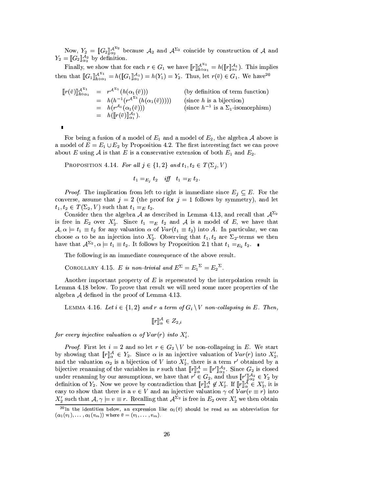Now,  $Y_2 = [[G_2]]_{\alpha_2}^{\mathcal{A}^{\Sigma_2}}$  because  $\mathcal{A}_2$  and  $\mathcal{A}^{\Sigma_2}$  coincide by construction of  $\mathcal A$  and  $Y_2 = [[G_2]]_{\alpha_2}^{\mathcal{A}_2}$  by definition.

Finally, we show that for each  $r \in G_1$  we have  $[\![r]\!]_{h \circ \alpha_1}^{\mathcal{A}^{\Sigma_1}} = h([\![r]\!]_{\alpha_1}^{\mathcal{A}_1})$ . This implies then that  $[\![G_1]\!]_{h \circ \alpha_1}^{A^{\Sigma_1}} = h([\![G_1]\!]_{\alpha_1}^{A_1}) = h(Y_1) = Y_2$ . Thus, let  $r(\bar{v}) \in G_1$ . We have  $e^{20}$ 

$$
\begin{array}{rcl}\n[\![r(\bar{v})]\!]_{h\circ\alpha_1}^{A^{\Sigma_1}} & = & r^{A^{\Sigma_1}}(h(\alpha_1(\bar{v})))\n\end{array}\n\quad \text{(by definition of term function)} \\
\begin{array}{rcl}\n[h(h^{-1}(r^{A^{\Sigma_1}}(h(\alpha_1(\bar{v})))) & \text{(since } h \text{ is a bijection)} \\
& = & h(r^{A_1}(\alpha_1(\bar{v})))\n\end{array}\n\quad \text{(since } h^{-1} \text{ is a } \Sigma_1\text{-isomorphism})\n\begin{array}{rcl}\n& = & h(\llbracket r(\bar{v})\rrbracket_{A_1}^{A_1}.\n\end{array}
$$

For being a fusion of a model of  $E_1$  and a model of  $E_2$ , the algebra A above is a model of  $E = E_1 \cup E_2$  by Proposition 4.2. The first interesting fact we can prove about E using A is that E is a conservative extension of both  $E_1$  and  $E_2$ .

PROPOSITION 4.14. For all  $j \in \{1,2\}$  and  $t_1, t_2 \in T(\Sigma_i, V)$ 

 $t_1 =_{E_i} t_2$  iff  $t_1 =_E t_2$ .

*Proof.* The implication from left to right is immediate since  $E_j \subseteq E$ . For the converse, assume that  $j = 2$  (the proof for  $j = 1$  follows by symmetry), and let  $t_1, t_2 \in T(\Sigma_2, V)$  such that  $t_1 =_E t_2$ .

Consider then the algebra  $A$  as described in Lemma 4.13, and recall that  $A^{\Sigma_2}$ is free in  $E_2$  over  $X'_2$ . Since  $t_1 =_E t_2$  and A is a model of E, we have that  $\mathcal{A}, \alpha \models t_1 \equiv t_2$  for any valuation  $\alpha$  of  $Var(t_1 \equiv t_2)$  into A. In particular, we can choose  $\alpha$  to be an injection into  $X'_2$ . Observing that  $t_1, t_2$  are  $\Sigma_2$ -terms we then have that  $\mathcal{A}^{\Sigma_2}$ ,  $\alpha \models t_1 \equiv t_2$ . It follows by Proposition 2.1 that  $t_1 =_{E_2} t_2$ .

The following is an immediate consequence of the above result.

COROLLARY 4.15. E is non-trivial and  $E^{\Sigma} = E_1^{\Sigma} = E_2^{\Sigma}$ .

Another important property of  $E$  is represented by the interpolation result in Lemma 4.18 below. To prove that result we will need some more properties of the algebra  $A$  defined in the proof of Lemma 4.13.

LEMMA 4.16. Let  $i \in \{1,2\}$  and r a term of  $G_i \setminus V$  non-collapsing in E. Then,

 $[\![r]\!]_{\alpha}^{\mathcal{A}} \in Z_{2,i}$ 

for every injective valuation  $\alpha$  of  $Var(r)$  into  $X_i'$ .

*Proof.* First let  $i = 2$  and so let  $r \in G_2 \setminus V$  be non-collapsing in E. We start by showing that  $[\![r]\!]_{\alpha}^{\mathcal{A}} \in Y_2$ . Since  $\alpha$  is an injective valuation of  $Var(r)$  into  $X_2'$ , and the valuation  $\alpha_2$  is a bijection of V into  $X'_2$ , there is a term r' obtained by a bijective renaming of the variables in r such that  $[\![r]\!]_{\alpha}^{\mathcal{A}} = [\![r']\!]_{\alpha_2}^{\mathcal{A}_2}$ . Since  $G_2$  is closed<br>under renaming by our assumptions, we have that  $r' \in G_2$ , and thus  $[\![r']\!]_{\alpha_2}^{\mathcal{A}_2} \in Y_2$  by definition of  $Y_2$ . Now we prove by contradiction that  $[\![r]\!]_{\alpha}^{\mathcal{A}} \notin X_2'$ . If  $[\![r]\!]_{\alpha}^{\mathcal{A}} \in X_2'$ , it is easy to show that there is a  $v \in V$  and an injective valuation  $\gamma$  of  $Var(v \equiv r)$  into  $X'_2$  such that  $\mathcal{A}, \gamma \models v \equiv r$ . Recalling that  $\mathcal{A}^{\Sigma_2}$  is free in  $E_2$  over  $X'_2$  we then obtain

<sup>&</sup>lt;sup>20</sup>In the identities below, an expression like  $\alpha_1(\bar{v})$  should be read as an abbreviation for  $(\alpha_1(v_1), \ldots, \alpha_1(v_m))$  where  $\bar{v} = (v_1, \ldots, v_m)$ .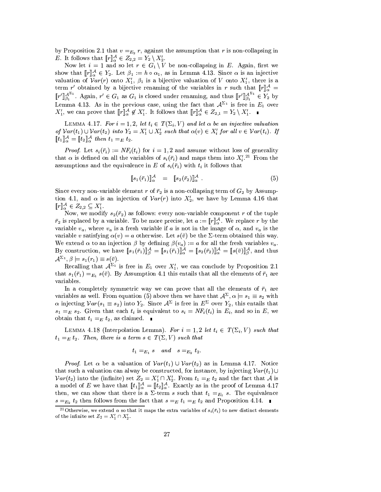by Proposition 2.1 that  $v =_{E_2} r$ , against the assumption that r is non-collapsing in *E*. It follows that  $[\![r]\!]_{\alpha}^{\mathcal{A}} \in Z_{2,2} = Y_2 \setminus X_2'.$ 

Now let  $i = 1$  and so let  $r \in G_1 \setminus V$  be non-collapsing in E. Again, first we show that  $[\![r]\!]_{\alpha}^{\mathcal{A}} \in Y_2$ . Let  $\beta_1 := h \circ \alpha_1$ , as in Lemma 4.13. Since  $\alpha$  is an injective valuation of  $Var(r)$  onto  $X'_1$ ,  $\beta_1$  is a bijective valuation of V onto  $X'_1$ , there is a term  $r'$  obtained by a bijective renaming of the variables in r such that  $[r]_{\alpha}^{\mathcal{A}}$  =  $[\![r']\!]_{\beta_1}^{\mathcal{A}^{\Sigma_1}}$ . Again,  $r' \in G_1$  as  $G_1$  is closed under renaming, and thus  $[\![r']\!]_{\beta_1}^{\mathcal{A}^{\Sigma_1}} \in Y_2$  by Lemma 4.13. As in the previous case, using the fact that  $\mathcal{A}^{\Sigma_1}$  is free in  $E_1$  over  $X'_1$ , we can prove that  $[\![r]\!]_{\alpha}^{\mathcal{A}} \notin X'_1$ . It follows that  $[\![r]\!]_{\alpha}^{\mathcal{A}} \in Z_{2,1} = Y_2 \setminus X'_1$ .

LEMMA 4.17. For  $i = 1, 2$ , let  $t_i \in T(\Sigma_i, V)$  and let  $\alpha$  be an injective valuation of  $Var(t_1) \cup Var(t_2)$  into  $Y_2 = X'_1 \cup X'_2$  such that  $\alpha(v) \in X'_i$  for all  $v \in Var(t_i)$ . If  $[[t_1]]_{\alpha}^{\mathcal{A}} = [[t_2]]_{\alpha}^{\mathcal{A}}$  then  $t_1 =_E t_2$ .

*Proof.* Let  $s_i(\bar{r}_i) := NF_i(t_i)$  for  $i = 1, 2$  and assume without loss of generality that  $\alpha$  is defined on all the variables of  $s_i(\bar{r}_i)$  and maps them into  $X_i^{\prime}$ .<sup>21</sup> From the assumptions and the equivalence in E of  $s_i(\bar{r}_i)$  with  $t_i$  it follows that

$$
\llbracket s_1(\bar{r}_1) \rrbracket_{\alpha}^{\mathcal{A}} = \llbracket s_2(\bar{r}_2) \rrbracket_{\alpha}^{\mathcal{A}} . \tag{5}
$$

Since every non-variable element r of  $\bar{r}_2$  is a non-collapsing term of  $G_2$  by Assumption 4.1, and  $\alpha$  is an injection of  $Var(r)$  into  $X'_2$ , we have by Lemma 4.16 that  $[\![r]\!]_{\alpha}^{\mathcal{A}} \in Z_{2,2} \subseteq X'_1.$ 

Now, we modify  $s_2(\bar{r}_2)$  as follows: every non-variable component r of the tuple  $\bar{r}_2$  is replaced by a variable. To be more precise, let  $a := [r]_{\alpha}^{\mathcal{A}}$ . We replace r by the variable  $v_a$ , where  $v_a$  is a fresh variable if a is not in the image of  $\alpha$ , and  $v_a$  is the variable v satisfying  $\alpha(v) = a$  otherwise. Let  $s(\bar{v})$  be the  $\Sigma$ -term obtained this way. We extend  $\alpha$  to an injection  $\beta$  by defining  $\beta(v_a) := a$  for all the fresh variables  $v_a$ . By construction, we have  $[\![s_1(\bar{r}_1)]\!]_{\beta}^{\mathcal{A}} = [\![s_1(\bar{r}_1)]\!]_{\alpha}^{\mathcal{A}} = [\![s_2(\bar{r}_2)]\!]_{\alpha}^{\mathcal{A}} = [\![s(\bar{v})]\!]_{\beta}^{\mathcal{A}}$ , and thus  $\mathcal{A}^{\Sigma_1}, \beta \models s_1(r_1) \equiv s(\bar{v}).$ 

Recalling that  $\mathcal{A}^{\Sigma_1}$  is free in  $E_1$  over  $X'_1$ , we can conclude by Proposition 2.1 that  $s_1(\bar{r}_1) =_{E_1} s(\bar{v})$ . By Assumption 4.1 this entails that all the elements of  $\bar{r}_1$  are variables.

In a completely symmetric way we can prove that all the elements of  $\bar{r}_1$  are variables as well. From equation (5) above then we have that  $\mathcal{A}^{\Sigma}, \alpha \models s_1 \equiv s_2$  with  $\alpha$  injecting  $Var(s_1 \equiv s_2)$  into  $Y_2$ . Since  $\mathcal{A}^{\Sigma}$  is free in  $E^{\Sigma}$  over  $Y_2$ , this entails that  $s_1 =_E s_2$ . Given that each  $t_i$  is equivalent to  $s_i = NF_i(t_i)$  in  $E_i$ , and so in E, we obtain that  $t_1 =_E t_2$ , as claimed.

LEMMA 4.18 (Interpolation Lemma). For  $i = 1, 2$  let  $t_i \in T(\Sigma_i, V)$  such that  $t_1 =_E t_2$ . Then, there is a term  $s \in T(\Sigma, V)$  such that

$$
t_1 =_{E_1} s \quad and \quad s =_{E_2} t_2.
$$

*Proof.* Let  $\alpha$  be a valuation of  $Var(t_1) \cup Var(t_2)$  as in Lemma 4.17. Notice that such a valuation can alway be constructed, for instance, by injecting  $Var(t_1) \cup$  $Var(t_2)$  into the (infinite) set  $Z_2 = X'_1 \cap X'_2$ . From  $t_1 =_E t_2$  and the fact that A is a model of E we have that  $[\![t_1]\!]_{\alpha}^{\mathcal{A}} = [\![t_2]\!]_{\alpha}^{\mathcal{A}}$ . Exactly as in the proof of Lemma 4.17 then, we can show that there is a  $\Sigma$ -term s such that  $t_1 =_{E_1} s$ . The equivalence  $s =_{E_2} t_2$  then follows from the fact that  $s =_E t_1 =_E t_2$  and Proposition 4.14.

<sup>&</sup>lt;sup>21</sup>Otherwise, we extend  $\alpha$  so that it maps the extra variables of  $s_i(\bar{r}_i)$  to new distinct elements of the infinite set  $Z_2 = X'_1 \cap X'_2$ .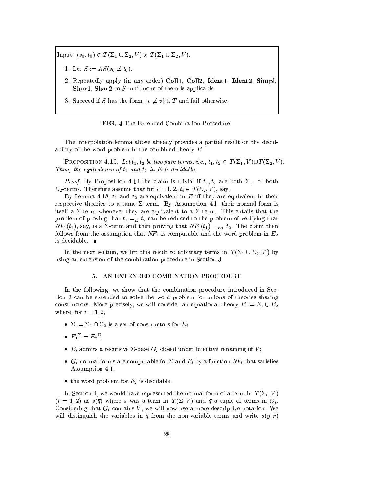Input:  $(s_0, t_0) \in T(\Sigma_1 \cup \Sigma_2, V) \times T(\Sigma_1 \cup \Sigma_2, V)$ .

- 1. Let  $S := AS(s_0 \not\equiv t_0)$ .
- 2. Repeatedly apply (in any order) Coll1, Coll2, Ident1, Ident2, Simpl **Shar1**, **Shar2** to  $S$  until none of them is applicable.
- 3. Succeed if S has the form  $\{v \not\equiv v\} \cup T$  and fail otherwise.

FIG. 4 The Extended Combination Procedure.

The interpolation lemma above already provides a partial result on the decidability of the word problem in the combined theory  $E$ .

PROPOSITION 4.19. Let  $t_1, t_2$  be two pure terms, i.e.,  $t_1, t_2 \in T(\Sigma_1, V) \cup T(\Sigma_2, V)$ Then, the equivalence of  $t_1$  and  $t_2$  in E is decidable.

*Proof.* By Proposition 4.14 the claim is trivial if  $t_1, t_2$  are both  $\Sigma_1$ - or both  $\Sigma_2$ -terms. Therefore assume that for  $i = 1, 2, t_i \in T(\Sigma_i, V)$ , say.

By Lemma 4.18,  $t_1$  and  $t_2$  are equivalent in E iff they are equivalent in their respective theories to a same  $\Sigma$ -term. By Assumption 4.1, their normal form is itself a  $\Sigma$ -term whenever they are equivalent to a  $\Sigma$ -term. This entails that the problem of proving that  $t_1 =_E t_2$  can be reduced to the problem of verifying that  $NF_1(t_1)$ , say, is a  $\Sigma$ -term and then proving that  $NF_1(t_1) =_{E_2} t_2$ . The claim then follows from the assumption that  $NF_1$  is computable and the word problem in  $E_2$ is decidable.

In the next section, we lift this result to arbitrary terms in  $T(\Sigma_1 \cup \Sigma_2, V)$  by using an extension of the combination procedure in Section 3.

## 5. AN EXTENDED COMBINATION PROCEDURE

In the following, we show that the combination procedure introduced in Section 3 can be extended to solve the word problem for unions of theories sharing constructors. More precisely, we will consider an equational theory  $E := E_1 \cup E_2$ where, for  $i = 1, 2$ ,

- $\Sigma := \Sigma_1 \cap \Sigma_2$  is a set of constructors for  $E_i$ ;
- $E_1^{\Sigma} = E_2^{\Sigma}$ ;
- $E_i$  admits a recursive  $\Sigma$ -base  $G_i$  closed under bijective renaming of V;
- $G_i$ -normal forms are computable for  $\Sigma$  and  $E_i$  by a function  $NF_i$  that satisfies Assumption 4.1.
- the word problem for  $E_i$  is decidable.

In Section 4, we would have represented the normal form of a term in  $T(\Sigma_i, V)$  $(i = 1, 2)$  as  $s(\bar{q})$  where s was a term in  $T(\Sigma, V)$  and  $\bar{q}$  a tuple of terms in  $G_i$ . Considering that  $G_i$  contains V, we will now use a more descriptive notation. We will distinguish the variables in  $\bar{q}$  from the non-variable terms and write  $s(\bar{y}, \bar{r})$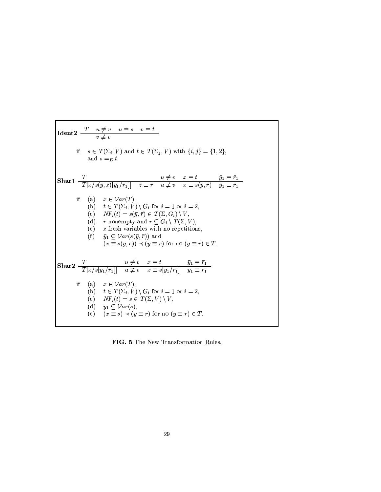| Ident2                                                                                                                                                                                                                                                                                                                                                                                                                                                                     | $T$                                                       | $u \not\equiv v$         | $u \equiv s$     | $v \equiv t$                 |                              |
|----------------------------------------------------------------------------------------------------------------------------------------------------------------------------------------------------------------------------------------------------------------------------------------------------------------------------------------------------------------------------------------------------------------------------------------------------------------------------|-----------------------------------------------------------|--------------------------|------------------|------------------------------|------------------------------|
| if $s \in T(\Sigma_i, V)$ and $t \in T(\Sigma_j, V)$ with $\{i, j\} = \{1, 2\}$ ,<br>and $s = E t$ .                                                                                                                                                                                                                                                                                                                                                                       |                                                           |                          |                  |                              |                              |
| Shar1                                                                                                                                                                                                                                                                                                                                                                                                                                                                      | $\frac{T}{T[x/s(\bar{y}, \bar{z})[\bar{y}_1/\bar{r}_1]]}$ | $\bar{z} \equiv \bar{r}$ | $u \not\equiv v$ | $x \equiv t$                 | $\bar{y}_1 \equiv \bar{r}_1$ |
| if (a) $x \in Var(T)$ ,<br>(b) $t \in T(\Sigma_i, V) \setminus G_i$ for $i = 1$ or $i = 2$ ,<br>(c) $NF_i(t) = s(\bar{y}, \bar{r}) \in T(\Sigma, G_i) \setminus V$ ,<br>(d) $\bar{r}$ nonempty and $\bar{r} \subseteq G_i \setminus T(\Sigma, V)$ ,<br>(e) $\bar{z}$ fresh variables with no repetitions,<br>(f) $\bar{y}_1 \subseteq Var(s(\bar{y}, \bar{r}))$ and<br>( $x \equiv s(\bar{y}, \bar{r}) \setminus \langle y \equiv r \rangle$ for no $(y \equiv r) \in T$ . |                                                           |                          |                  |                              |                              |
| Shar2                                                                                                                                                                                                                                                                                                                                                                                                                                                                      | $\frac{T}{T[x/s[\bar{y}_1/\bar{r}_1]]}$                   | $u \not\equiv v$         | $x \equiv t$     | $\bar{y}_1 \equiv \bar{r}_1$ |                              |
| if (a) $x \in Var(T)$ ,<br>(b) $t \in T(\Sigma_i, V) \setminus G_i$ for $i = 1$ or $i = 2$ ,<br>(c) $NF_i(t) = s \in T(\Sigma, V) \setminus V$ ,<br>(d) $\bar{y}_1 \subseteq Var(s)$ ,<br>(e) $(x \equiv s) \prec (y \equiv r$                                                                                                                                                                                                                                             |                                                           |                          |                  |                              |                              |

FIG. 5 The New Transformation Rules.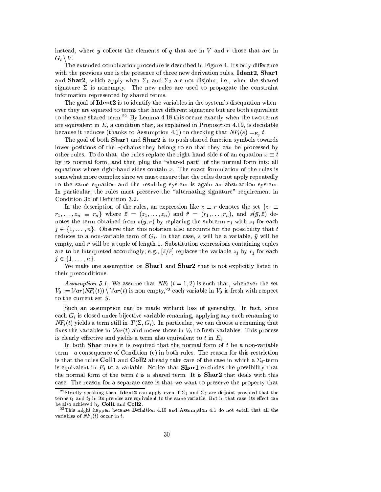instead, where  $\bar{y}$  collects the elements of  $\bar{q}$  that are in V and  $\bar{r}$  those that are in  $G_i \setminus V$ .

The extended combination procedure is described in Figure 4. Its only difference with the previous one is the presence of three new derivation rules, Ident2, Shar1 and Shar2, which apply when  $\Sigma_1$  and  $\Sigma_2$  are not disjoint, i.e., when the shared signature  $\Sigma$  is nonempty. The new rules are used to propagate the constraint information represented by shared terms.

The goal of **Ident2** is to identify the variables in the system's disequation whenever they are equated to terms that have different signature but are both equivalent to the same shared term.<sup>22</sup> By Lemma 4.18 this occurs exactly when the two terms are equivalent in  $E$ , a condition that, as explained in Proposition 4.19, is decidable because it reduces (thanks to Assumption 4.1) to checking that  $NF_i(s) =_{E_i} t$ .

The goal of both Shar1 and Shar2 is to push shared function symbols towards lower positions of the  $\prec$ -chains they belong to so that they can be processed by other rules. To do that, the rules replace the right-hand side t of an equation  $x \equiv t$ by its normal form, and then plug the "shared part" of the normal form into all equations whose right-hand sides contain  $x$ . The exact formulation of the rules is somewhat more complex since we must ensure that the rules do not apply repeatedly to the same equation and the resulting system is again an abstraction system. In particular, the rules must preserve the "alternating signature" requirement in Condition 3b of Definition 3.2.

In the description of the rules, an expression like  $\bar{z} \equiv \bar{r}$  denotes the set  $\{z_1 \equiv$  $r_1,\ldots,z_n \equiv r_n$ } where  $\bar{z} = (z_1,\ldots,z_n)$  and  $\bar{r} = (r_1,\ldots,r_n)$ , and  $s(\bar{y},\bar{z})$  denotes the term obtained from  $s(\bar{y}, \bar{r})$  by replacing the subterm  $r_j$  with  $z_j$  for each  $j \in \{1, \ldots, n\}$ . Observe that this notation also accounts for the possibility that t reduces to a non-variable term of  $G_i$ . In that case, s will be a variable,  $\bar{y}$  will be empty, and  $\bar{r}$  will be a tuple of length 1. Substitution expressions containing tuples are to be interpreted accordingly; e.g.,  $[\bar{z}/\bar{r}]$  replaces the variable  $z_j$  by  $r_j$  for each  $j \in \{1, \ldots, n\}.$ 

We make one assumption on Shar1 and Shar2 that is not explicitly listed in their preconditions.

Assumption 5.1. We assume that  $NF_i$   $(i = 1, 2)$  is such that, whenever the set  $V_0 := \mathcal{V}ar(NF_i(t)) \setminus \mathcal{V}ar(t)$  is non-empty,<sup>23</sup> each variable in  $V_0$  is fresh with respect to the current set  $S$ .

Such an assumption can be made without loss of generality. In fact, since each  $G_i$  is closed under bijective variable renaming, applying any such renaming to  $NF_i(t)$  yields a term still in  $T(\Sigma, G_i)$ . In particular, we can choose a renaming that fixes the variables in  $Var(t)$  and moves those in  $V_0$  to fresh variables. This process is clearly effective and yields a term also equivalent to t in  $E_i$ .

In both **Shar** rules it is required that the normal form of t be a non-variable term—a consequence of Condition  $(c)$  in both rules. The reason for this restriction is that the rules Coll1 and Coll2 already take care of the case in which a  $\Sigma_i$ -term is equivalent in  $E_i$  to a variable. Notice that **Sharl** excludes the possibility that the normal form of the term  $t$  is a shared term. It is **Shar2** that deals with this case. The reason for a separate case is that we want to preserve the property that

<sup>&</sup>lt;sup>22</sup>Strictly speaking then, **Ident2** can apply even if  $\Sigma_1$  and  $\Sigma_2$  are disjoint provided that the terms  $t_1$  and  $t_2$  in its premise are equivalent to the same variable. But in that case, its effect can be also achieved by Coll1 and Coll2.

 $^{23}$ This might happen because Definition 4.10 and Assumption 4.1 do not entail that all the variables of  $NF_i(t)$  occur in t.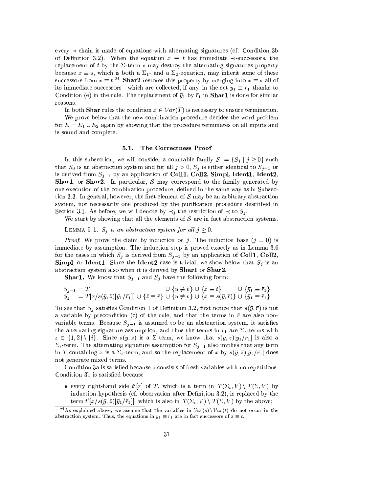every  $\prec$ -chain is made of equations with alternating signatures (cf. Condition 3b) of Definition 3.2). When the equation  $x \equiv t$  has immediate  $\prec$ -successors, the replacement of t by the  $\Sigma$ -term s may destroy the alternating signatures property because  $x \equiv s$ , which is both a  $\Sigma_1$ - and a  $\Sigma_2$ -equation, may inherit some of these successors from  $x \equiv t^{24}$  Shar2 restores this property by merging into  $x \equiv s$  all of its immediate successors—which are collected, if any, in the set  $\bar{y}_1 \equiv \bar{r}_1$  thanks to Condition (e) in the rule. The replacement of  $\bar{y}_1$  by  $\bar{r}_1$  in **Sharl** is done for similar reasons.

In both **Shar** rules the condition  $x \in Var(T)$  is necessary to ensure termination.

We prove below that the new combination procedure decides the word problem for  $E = E_1 \cup E_2$  again by showing that the procedure terminates on all inputs and is sound and complete.

#### $5.1.$ The Correctness Proof

In this subsection, we will consider a countable family  $S := \{S_j | j \geq 0\}$  such that  $S_0$  is an abstraction system and for all  $j > 0$ ,  $S_j$  is either identical to  $S_{j-1}$  or is derived from  $S_{i-1}$  by an application of Coll1, Coll2, Simpl, Ident1, Ident2, **Shar1**, or **Shar2**. In particular, S may correspond to the family generated by one execution of the combination procedure, defined in the same way as in Subsection 3.3. In general, however, the first element of S may be an arbitrary abstraction system, not necessarily one produced by the purification procedure described in Section 3.1. As before, we will denote by  $\prec_j$  the restriction of  $\prec$  to  $S_j$ .

We start by showing that all the elements of  $S$  are in fact abstraction systems.

LEMMA 5.1.  $S_j$  is an abstraction system for all  $j \geq 0$ .

*Proof.* We prove the claim by induction on j. The induction base  $(j = 0)$  is immediate by assumption. The induction step is proved exactly as in Lemma 3.6 for the cases in which  $S_j$  is derived from  $S_{j-1}$  by an application of Coll1, Coll2. **Simpl**, or **Ident1**. Since the **Ident2** case is trivial, we show below that  $S_j$  is an abstraction system also when it is derived by Shar1 or Shar2.

**Shar1.** We know that  $S_{j-1}$  and  $S_j$  have the following form:

$$
S_{j-1} = T \qquad \qquad \cup \{ u \neq v \} \cup \{ x \equiv t \} \qquad \qquad \cup \{ \bar{y}_1 \equiv \bar{r}_1 \} S_j = T[x/s(\bar{y}, \bar{z})[\bar{y}_1/\bar{r}_1]] \cup \{ \bar{z} \equiv \bar{r} \} \cup \{ u \neq v \} \cup \{ x \equiv s(\bar{y}, \bar{r}) \} \cup \{ \bar{y}_1 \equiv \bar{r}_1 \}
$$

To see that  $S_i$  satisfies Condition 1 of Definition 3.2, first notice that  $s(\bar{y}, \bar{r})$  is not a variable by precondition (c) of the rule, and that the terms in  $\bar{r}$  are also nonvariable terms. Because  $S_{j-1}$  is assumed to be an abstraction system, it satisfies the alternating signature assumption, and thus the terms in  $\bar{r}_1$  are  $\Sigma_t$ -terms with  $\iota \in \{1,2\} \setminus \{i\}.$  Since  $s(\bar{y},\bar{z})$  is a  $\Sigma$ -term, we know that  $s(\bar{y},\bar{z})[\bar{y}_1/\bar{r}_1]$  is also a  $\Sigma_i$ -term. The alternating signature assumption for  $S_{i-1}$  also implies that any term in T containing x is a  $\Sigma_i$ -term, and so the replacement of x by  $s(\bar{y}, \bar{z})[\bar{y}_1/\bar{r}_1]$  does not generate mixed terms.

Condition 3a is satisfied because  $\bar{z}$  consists of fresh variables with no repetitions. Condition 3b is satisfied because

• every right-hand side  $t'[x]$  of T, which is a term in  $T(\Sigma_t, V) \setminus T(\Sigma, V)$  by induction hypothesis (cf. observation after Definition 3.2), is replaced by the term  $t'[x/s(\bar{y}, \bar{z})[\bar{y}_1/\bar{r}_1]]$ , which is also in  $T(\Sigma_t, V) \setminus T(\Sigma, V)$  by the above;

<sup>&</sup>lt;sup>24</sup>As explained above, we assume that the variables in  $Var(s) \ Var(t)$  do not occur in the abstraction system. Thus, the equations in  $\bar{y}_1 \equiv \bar{r}_1$  are in fact successors of  $x \equiv t$ .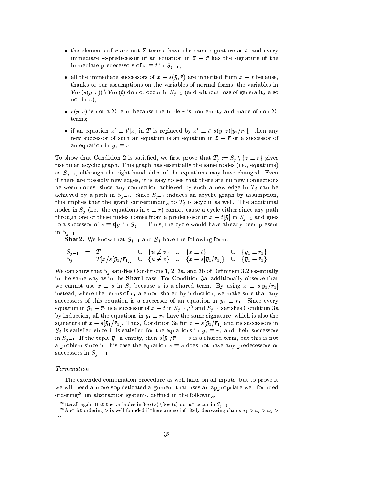- the elements of  $\bar{r}$  are not  $\Sigma$ -terms, have the same signature as t, and every immediate  $\prec$ -predecessor of an equation in  $\bar{z} \equiv \bar{r}$  has the signature of the immediate predecessors of  $x \equiv t$  in  $S_{i-1}$ ;
- all the immediate successors of  $x \equiv s(\bar{y}, \bar{r})$  are inherited from  $x \equiv t$  because, thanks to our assumptions on the variables of normal forms, the variables in  $Var(s(\bar{y}, \bar{r})) \setminus Var(t)$  do not occur in  $S_{j-1}$  (and without loss of generality also not in  $\bar{z}$ );
- $s(\bar{y}, \bar{r})$  is not a  $\Sigma$ -term because the tuple  $\bar{r}$  is non-empty and made of non- $\Sigma$ terms:
- if an equation  $x' \equiv t'[x]$  in T is replaced by  $x' \equiv t'[s(\bar{y}, \bar{z})[\bar{y}_1/\bar{r}_1]]$ , then any new successor of such an equation is an equation in  $\bar{z} \equiv \bar{r}$  or a successor of an equation in  $\bar{y}_1 \equiv \bar{r}_1$ .

To show that Condition 2 is satisfied, we first prove that  $T_j := S_j \setminus {\{\bar{z} \equiv \bar{r}\}}$  gives rise to an acyclic graph. This graph has essentially the same nodes (i.e., equations) as  $S_{j-1}$ , although the right-hand sides of the equations may have changed. Even if there are possibly new edges, it is easy to see that there are no new connections between nodes, since any connection achieved by such a new edge in  $T_j$  can be achieved by a path in  $S_{j-1}$ . Since  $S_{j-1}$  induces an acyclic graph by assumption, this implies that the graph corresponding to  $T_i$  is acyclic as well. The additional nodes in  $S_i$  (i.e., the equations in  $\overline{z} \equiv \overline{r}$ ) cannot cause a cycle either since any path through one of these nodes comes from a predecessor of  $x \equiv t[\bar{y}]$  in  $S_{i-1}$  and goes to a successor of  $x \equiv t[\bar{y}]$  in  $S_{j-1}$ . Thus, the cycle would have already been present in  $S_{j-1}$ .

**Shar2.** We know that  $S_{j-1}$  and  $S_j$  have the following form:

$$
\begin{array}{rcl}\nS_{j-1} & = & T & \cup & \{u \neq v\} & \cup & \{x \equiv t\} & \cup & \{\bar{y}_1 \equiv \bar{r}_1\} \\
S_j & = & T[x/s[\bar{y}_1/\bar{r}_1]] & \cup & \{u \neq v\} & \cup & \{x \equiv s[\bar{y}_1/\bar{r}_1]\} & \cup & \{\bar{y}_1 \equiv \bar{r}_1\}\n\end{array}
$$

We can show that  $S_i$  satisfies Conditions 1, 2, 3a, and 3b of Definition 3.2 essentially in the same way as in the **Sharl** case. For Condition 3a, additionally observe that we cannot use  $x \equiv s$  in  $S_i$  because s is a shared term. By using  $x \equiv s[\bar{y}_1/\bar{r}_1]$ instead, where the terms of  $\bar{r}_1$  are non-shared by induction, we make sure that any successors of this equation is a successor of an equation in  $\bar{y}_1 \equiv \bar{r}_1$ . Since every equation in  $\bar{y}_1 \equiv \bar{r}_1$  is a successor of  $x \equiv t$  in  $S_{j-1}$ ,  $2^5$  and  $S_{j-1}$  satisfies Condition 3a by induction, all the equations in  $\bar{y}_1 \equiv \bar{r}_1$  have the same signature, which is also the signature of  $x \equiv s[\bar{y}_1/\bar{r}_1]$ . Thus, Condition 3a for  $x \equiv s[\bar{y}_1/\bar{r}_1]$  and its successors in  $S_i$  is satisfied since it is satisfied for the equations in  $\bar{y}_1 \equiv \bar{r}_1$  and their successors in  $S_{j-1}$ . If the tuple  $\bar{y}_1$  is empty, then  $s[\bar{y}_1/\bar{r}_1] = s$  is a shared term, but this is not a problem since in this case the equation  $x \equiv s$  does not have any predecessors or successors in  $S_j$ .

### Termination

The extended combination procedure as well halts on all inputs, but to prove it we will need a more sophisticated argument that uses an appropriate well-founded ordering<sup>26</sup> on abstraction systems, defined in the following.

<sup>&</sup>lt;sup>25</sup>Recall again that the variables in  $Var(s) \setminus Var(t)$  do not occur in  $S_{j-1}$ .

<sup>&</sup>lt;sup>26</sup>A strict ordering > is well-founded if there are no infinitely decreasing chains  $a_1 > a_2 > a_3$  >  $\alpha$  and  $\alpha$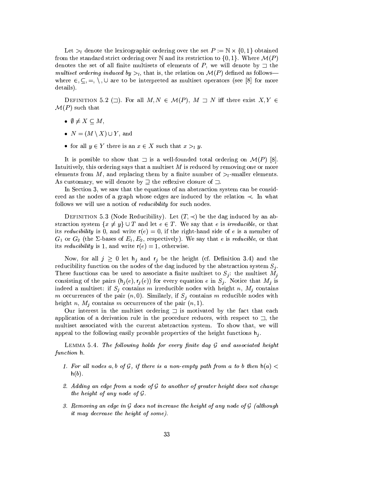Let  $\geq_l$  denote the lexicographic ordering over the set  $P := \mathbb{N} \times \{0, 1\}$  obtained from the standard strict ordering over N and its restriction to  $\{0,1\}$ . Where  $\mathcal{M}(P)$ denotes the set of all finite multisets of elements of P, we will denote by  $\Box$  the multiset ordering induced by  $>l_1$ , that is, the relation on  $\mathcal{M}(P)$  defined as follows where  $\in$ ,  $\subseteq$ ,  $=$ ,  $\setminus$ ,  $\cup$  are to be interpreted as multiset operators (see [8] for more details).

DEFINITION 5.2 ( $\Box$ ). For all  $M, N \in \mathcal{M}(P)$ ,  $M \Box N$  iff there exist  $X, Y \in$  $\mathcal{M}(P)$  such that

- $\bullet \emptyset \neq X \subseteq M$ ,
- $N = (M \setminus X) \cup Y$ , and
- for all  $y \in Y$  there is an  $x \in X$  such that  $x >_l y$ .

It is possible to show that  $\Box$  is a well-founded total ordering on  $\mathcal{M}(P)$  [8]. Intuitively, this ordering says that a multiset  $M$  is reduced by removing one or more elements from M, and replacing them by a finite number of  $>l$ -smaller elements. As customary, we will denote by  $\exists$  the reflexive closure of  $\exists$ .

In Section 3, we saw that the equations of an abstraction system can be considered. ered as the nodes of a graph whose edges are induced by the relation  $\prec$ . In what follows we will use a notion of *reducibility* for such nodes.

DEFINITION 5.3 (Node Reducibility). Let  $(T, \prec)$  be the dag induced by an abstraction system  $\{x \neq y\} \cup T$  and let  $e \in T$ . We say that e is *irreducible*, or that its *reducibility* is 0, and write  $r(e) = 0$ , if the right-hand side of e is a member of  $G_1$  or  $G_2$  (the  $\Sigma$ -bases of  $E_1, E_2$ , respectively). We say that e is *reducible*, or that its *reducibility* is 1, and write  $r(e) = 1$ , otherwise.

Now, for all  $j \geq 0$  let  $h_j$  and  $r_j$  be the height (cf. Definition 3.4) and the reducibility function on the nodes of the dag induced by the abstraction system  $S_i$ . These functions can be used to associate a finite multiset to  $S_i$ : the multiset  $M_i$ consisting of the pairs  $(h_j(e), r_j(e))$  for every equation e in  $S_j$ . Notice that  $M_j$  is indeed a multiset: if  $S_j$  contains m irreducible nodes with height n,  $M_j$  contains m occurrences of the pair  $(n,0)$ . Similarly, if  $S_i$  contains m reducible nodes with height n,  $M_j$  contains m occurrences of the pair  $(n, 1)$ .

Our interest in the multiset ordering  $\Box$  is motivated by the fact that each application of a derivation rule in the procedure reduces, with respect to  $\Box$ , the multiset associated with the current abstraction system. To show that, we will appeal to the following easily provable properties of the height functions  $h_i$ .

LEMMA 5.4. The following holds for every finite dag  $\mathcal G$  and associated height function h.

- 1. For all nodes a, b of G, if there is a non-empty path from a to b then  $h(a)$  $h(b)$ .
- 2. Adding an edge from a node of  $G$  to another of greater height does not change the height of any node of  $\mathcal G$ .
- 3. Removing an edge in  $G$  does not increase the height of any node of  $G$  (although it may decrease the height of some).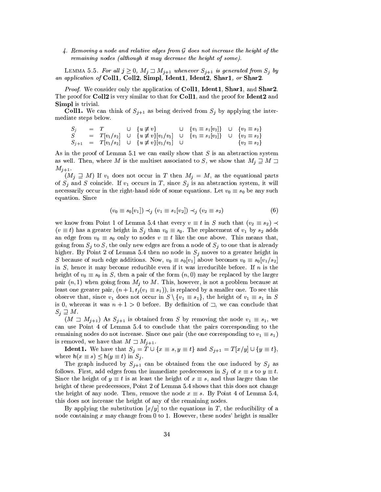$4.$  Removing a node and relative edges from  $G$  does not increase the height of the remaining nodes (although it may decrease the height of some).

LEMMA 5.5. For all  $j \geq 0$ ,  $M_j \sqsupset M_{j+1}$  whenever  $S_{j+1}$  is generated from  $S_j$  by an application of Coll1, Coll2, Simpl, Ident1, Ident2, Shar1, or Shar2.

Proof. We consider only the application of Coll1, Ident1, Shar1, and Shar2. The proof for Coll2 is very similar to that for Coll1, and the proof for Ident2 and **Simpl** is trivial.

**Coll1.** We can think of  $S_{j+1}$  as being derived from  $S_j$  by applying the intermediate steps below.

|       |  | $S_i = T \cup \{u \not\equiv v\}$                                                                  | $\cup \{v_1 \equiv s_1[v_2]\}$ $\cup \{v_2 \equiv s_2\}$ |                      |
|-------|--|----------------------------------------------------------------------------------------------------|----------------------------------------------------------|----------------------|
| $S^-$ |  | $T[v_1/s_2] \cup \{u \not\equiv v\}[v_1/v_2] \cup \{v_1 \equiv s_1[v_2]\} \cup \{v_2 \equiv s_2\}$ |                                                          |                      |
|       |  | $S_{j+1} = T[v_1/s_2] \cup \{u \not\equiv v\}[v_1/v_2] \cup$                                       |                                                          | $\{v_2 \equiv s_2\}$ |

As in the proof of Lemma 5.1 we can easily show that  $S$  is an abstraction system as well. Then, where M is the multiset associated to S, we show that  $M_i \supseteq M \supseteq$  $M_{j+1}$ .

 $(M_j \supseteq M)$  If  $v_1$  does not occur in T then  $M_j = M$ , as the equational parts of  $S_j$  and S coincide. If  $v_1$  occurs in T, since  $S_j$  is an abstraction system, it will necessarily occur in the right-hand side of some equations. Let  $v_0 \equiv s_0$  be any such equation. Since

$$
(v_0 \equiv s_0[v_1]) \prec_j (v_1 \equiv s_1[v_2]) \prec_j (v_2 \equiv s_2)
$$
 (6)

we know from Point 1 of Lemma 5.4 that every  $v \equiv t$  in S such that  $(v_2 \equiv s_2) \prec$  $(v \equiv t)$  has a greater height in  $S_i$  than  $v_0 \equiv s_0$ . The replacement of  $v_1$  by  $s_2$  adds an edge from  $v_0 \equiv s_0$  only to nodes  $v \equiv t$  like the one above. This means that, going from  $S_j$  to S, the only new edges are from a node of  $S_j$  to one that is already higher. By Point 2 of Lemma 5.4 then no node in  $S_j$  moves to a greater height in S because of such edge additions. Now,  $v_0 \equiv s_0[v_1]$  above becomes  $v_0 \equiv s_0[v_1/s_2]$ in  $S$ , hence it may become reducible even if it was irreducible before. If  $n$  is the height of  $v_0 \equiv s_0$  in S, then a pair of the form  $(n,0)$  may be replaced by the larger pair  $(n,1)$  when going from  $M_j$  to M. This, however, is not a problem because at least one greater pair,  $(n + 1, r_i(v_1 \equiv s_1))$ , is replaced by a smaller one. To see this observe that, since  $v_1$  does not occur in  $S \setminus \{v_1 \equiv s_1\}$ , the height of  $v_1 \equiv s_1$  in S is 0, whereas it was  $n + 1 > 0$  before. By definition of  $\exists$ , we can conclude that  $S_j \sqsupseteq M$ .

 $(M \supset M_{j+1})$  As  $S_{j+1}$  is obtained from S by removing the node  $v_1 \equiv s_1$ , we can use Point 4 of Lemma 5.4 to conclude that the pairs corresponding to the remaining nodes do not increase. Since one pair (the one corresponding to  $v_1 \equiv s_1$ ) is removed, we have that  $M \sqsupset M_{j+1}$ .

**Ident1.** We have that  $S_j = T \cup \{x \equiv s, y \equiv t\}$  and  $S_{j+1} = T[x/y] \cup \{y \equiv t\},$ where  $h(x \equiv s) \leq h(y \equiv t)$  in  $S_i$ .

The graph induced by  $S_{j+1}$  can be obtained from the one induced by  $S_j$  as follows. First, add edges from the immediate predecessors in  $S_j$  of  $x \equiv s$  to  $y \equiv t$ . Since the height of  $y \equiv t$  is at least the height of  $x \equiv s$ , and thus larger than the height of these predecessors, Point 2 of Lemma 5.4 shows that this does not change the height of any node. Then, remove the node  $x \equiv s$ . By Point 4 of Lemma 5.4, this does not increase the height of any of the remaining nodes.

By applying the substitution  $[x/y]$  to the equations in T, the reducibility of a node containing  $x$  may change from 0 to 1. However, these nodes' height is smaller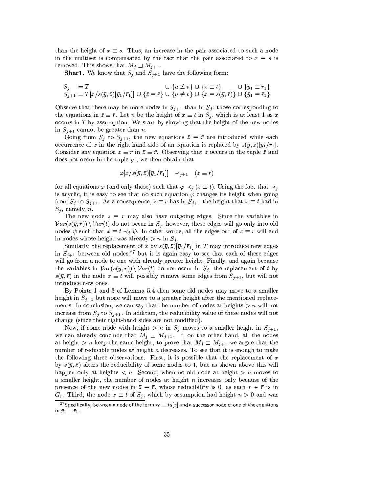than the height of  $x \equiv s$ . Thus, an increase in the pair associated to such a node in the multiset is compensated by the fact that the pair associated to  $x \equiv s$  is removed. This shows that  $M_j \supset M_{j+1}$ .

**Shar1.** We know that  $S_j$  and  $S_{j+1}$  have the following form:

$$
\begin{array}{l} S_j \quad = \, T \qquad \qquad \cup \, \, \{ u \not\equiv v \} \, \cup \, \, \{ x \equiv t \} \qquad \cup \, \, \{ \bar{y}_1 \equiv \bar{r}_1 \} \\ S_{j+1} \, = \, T[x/s(\bar{y}, \bar{z})[\bar{y}_1/\bar{r}_1]] \, \cup \, \{ \bar{z} \equiv \bar{r} \} \, \cup \, \{ u \not\equiv v \} \, \cup \, \, \{ x \equiv s(\bar{y}, \bar{r}) \} \, \cup \, \{ \bar{y}_1 \equiv \bar{r}_1 \} \end{array}
$$

Observe that there may be more nodes in  $S_{j+1}$  than in  $S_j$ : those corresponding to the equations in  $\bar{z} \equiv \bar{r}$ . Let n be the height of  $x \equiv t$  in  $S_j$ , which is at least 1 as x occurs in  $T$  by assumption. We start by showing that the height of the new nodes in  $S_{j+1}$  cannot be greater than *n*.

Going from  $S_j$  to  $S_{j+1}$ , the new equations  $\bar{z} \equiv \bar{r}$  are introduced while each occurrence of x in the right-hand side of an equation is replaced by  $s(\bar{y}, \bar{z})[\bar{y}_1/\bar{r}_1]$ . Consider any equation  $z \equiv r$  in  $\bar{z} \equiv \bar{r}$ . Observing that z occurs in the tuple  $\bar{z}$  and does not occur in the tuple  $\bar{y}_1$ , we then obtain that

$$
\varphi[x/s(\bar{y}, \bar{z})[\bar{y}_1/\bar{r}_1]] \prec_{j+1} (z \equiv r)
$$

for all equations  $\varphi$  (and only those) such that  $\varphi \prec_j (x \equiv t)$ . Using the fact that  $\prec_j$ is acyclic, it is easy to see that no such equation  $\varphi$  changes its height when going from  $S_i$  to  $S_{i+1}$ . As a consequence,  $z \equiv r$  has in  $S_{i+1}$  the height that  $x \equiv t$  had in  $S_j$ , namely, n.

The new node  $z \equiv r$  may also have outgoing edges. Since the variables in  $Var(s(\bar{y},\bar{r})) \setminus Var(t)$  do not occur in  $S_j$ , however, these edges will go only into old nodes  $\psi$  such that  $x \equiv t \prec_j \psi$ . In other words, all the edges out of  $z \equiv r$  will end in nodes whose height was already  $> n$  in  $S_i$ .

Similarly, the replacement of x by  $s(\bar{y}, \bar{z})[\bar{y}_1/\bar{r}_1]$  in T may introduce new edges in  $S_{i+1}$  between old nodes,<sup>27</sup> but it is again easy to see that each of these edges will go from a node to one with already greater height. Finally, and again because the variables in  $Var(s(\bar{y}, \bar{r})) \setminus Var(t)$  do not occur in  $S_i$ , the replacement of t by  $s(\bar{y}, \bar{r})$  in the node  $x \equiv t$  will possibly remove some edges from  $S_{j+1}$ , but will not introduce new ones.

By Points 1 and 3 of Lemma 5.4 then some old nodes may move to a smaller height in  $S_{i+1}$  but none will move to a greater height after the mentioned replacements. In conclusion, we can say that the number of nodes at heights  $> n$  will not increase from  $S_i$  to  $S_{i+1}$ . In addition, the reducibility value of these nodes will not change (since their right-hand sides are not modified).

Now, if some node with height  $> n$  in  $S_i$  moves to a smaller height in  $S_{i+1}$ , we can already conclude that  $M_j \supset M_{j+1}$ . If, on the other hand, all the nodes at height > n keep the same height, to prove that  $M_j \supset M_{j+1}$  we argue that the number of reducible nodes at height  $n$  decreases. To see that it is enough to make the following three observations. First, it is possible that the replacement of x by  $s(\bar{y}, \bar{z})$  alters the reducibility of some nodes to 1, but as shown above this will happen only at heights  $\langle n. \text{ Second}, \text{when no old node at height } \rangle n$  moves to a smaller height, the number of nodes at height  $n$  increases only because of the presence of the new nodes in  $\bar{z} \equiv \bar{r}$ , whose reducibility is 0, as each  $r \in \bar{r}$  is in  $G_i$ . Third, the node  $x \equiv t$  of  $S_j$ , which by assumption had height  $n > 0$  and was

<sup>&</sup>lt;sup>27</sup>Specifically, between a node of the form  $x_0 \equiv t_0[x]$  and a successor node of one of the equations in  $\bar{y}_1 \equiv \bar{r}_1$ .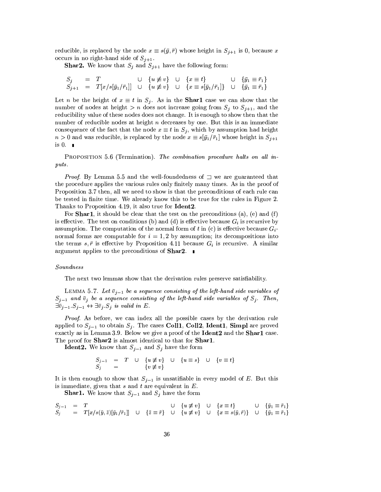reducible, is replaced by the node  $x \equiv s(\bar{y}, \bar{r})$  whose height in  $S_{j+1}$  is 0, because x occurs in no right-hand side of  $S_{j+1}$ .

**Shar2.** We know that  $S_j$  and  $S_{j+1}$  have the following form:

$$
S_j = T \cup \{u \neq v\} \cup \{x \equiv t\} \cup \{y_1 \equiv \bar{r}_1\} S_{j+1} = T[x/s[\bar{y}_1/\bar{r}_1]] \cup \{u \neq v\} \cup \{x \equiv s[\bar{y}_1/\bar{r}_1]\} \cup \{\bar{y}_1 \equiv \bar{r}_1\}
$$

Let *n* be the height of  $x \equiv t$  in  $S_j$ . As in the **Sharl** case we can show that the number of nodes at height > n does not increase going from  $S_j$  to  $S_{j+1}$ , and the reducibility value of these nodes does not change. It is enough to show then that the number of reducible nodes at height  $n$  decreases by one. But this is an immediate consequence of the fact that the node  $x \equiv t$  in  $S_i$ , which by assumption had height  $n > 0$  and was reducible, is replaced by the node  $x \equiv s[\bar{y}_1/\bar{r}_1]$  whose height in  $S_{j+1}$ is  $0.$ 

PROPOSITION 5.6 (Termination). The combination procedure halts on all inputs.

*Proof.* By Lemma 5.5 and the well-foundedness of  $\Box$  we are guaranteed that the procedure applies the various rules only finitely many times. As in the proof of Proposition 3.7 then, all we need to show is that the preconditions of each rule can be tested in finite time. We already know this to be true for the rules in Figure 2. Thanks to Proposition 4.19, it also true for Ident2.

For **Shar1**, it should be clear that the test on the preconditions (a), (e) and (f) is effective. The test on conditions (b) and (d) is effective because  $G_i$  is recursive by assumption. The computation of the normal form of t in (c) is effective because  $G_i$ . normal forms are computable for  $i = 1, 2$  by assumption; its decompositions into the terms  $s, \bar{r}$  is effective by Proposition 4.11 because  $G_i$  is recursive. A similar argument applies to the preconditions of **Shar2.** 

### Soundness

The next two lemmas show that the derivation rules preserve satisfiability.

LEMMA 5.7. Let  $\bar{v}_{j-1}$  be a sequence consisting of the left-hand side variables of  $S_{j-1}$  and  $\bar{v}_j$  be a sequence consisting of the left-hand side variables of  $S_j$ . Then,  $\exists \bar{v}_{j-1}.S_{j-1} \leftrightarrow \exists \bar{v}_j.S_j$  is valid in E.

*Proof.* As before, we can index all the possible cases by the derivation rule applied to  $S_{i-1}$  to obtain  $S_i$ . The cases Coll1, Coll2, Ident1, Simpl are proved exactly as in Lemma 3.9. Below we give a proof of the Ident2 and the Shar1 case. The proof for Shar2 is almost identical to that for Shar1.

**Ident2.** We know that  $S_{j-1}$  and  $S_j$  have the form

$$
S_{j-1} = T \cup \{u \neq v\} \cup \{u \equiv s\} \cup \{v \equiv t\}
$$
  

$$
S_j = \{v \neq v\}
$$

It is then enough to show that  $S_{j-1}$  is unsatifiable in every model of E. But this is immediate, given that  $s$  and  $t$  are equivalent in  $E$ .

**Shar1.** We know that  $S_{j-1}$  and  $S_j$  have the form

$$
\begin{array}{lllllll} S_{j-1} & = & T & \cup & \{u \not\equiv v\} & \cup & \{x \equiv t\} & \cup & \{\bar{y}_1 \equiv \bar{r}_1\} \\ S_j & = & T[x/s(\bar{y}, \bar{z})[\bar{y}_1/\bar{r}_1]] & \cup & \{\bar{z} \equiv \bar{r}\} & \cup & \{u \not\equiv v\} & \cup & \{x \equiv s(\bar{y}, \bar{r})\} & \cup & \{\bar{y}_1 \equiv \bar{r}_1\} \end{array}
$$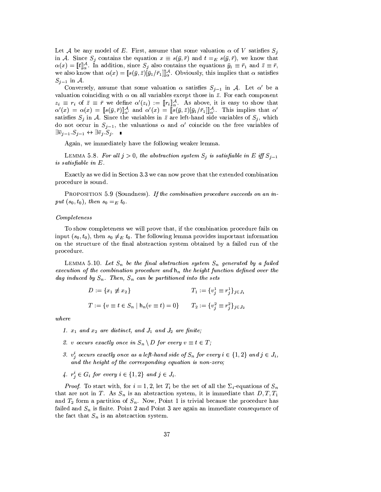Let A be any model of E. First, assume that some valuation  $\alpha$  of V satisfies  $S_i$ in A. Since  $S_j$  contains the equation  $x \equiv s(\bar{y}, \bar{r})$  and  $t =_E s(\bar{y}, \bar{r})$ , we know that  $\alpha(x) = \llbracket t \rrbracket_{\alpha}^{\mathcal{A}}$ . In addition, since  $S_j$  also contains the equations  $\bar{y}_1 \equiv \bar{r}_1$  and  $\bar{z} \equiv \bar{r}$ , we also know that  $\alpha(x) = [s(\bar{y}, \bar{z})[\bar{y}_1/\bar{r}_1]]_{\alpha}^{\mathcal{A}}$ . Obviously, this implies that  $\alpha$  satisfies  $S_{j-1}$  in A.

Conversely, assume that some valuation  $\alpha$  satisfies  $S_{j-1}$  in A. Let  $\alpha'$  be a valuation coinciding with  $\alpha$  on all variables except those in  $\bar{z}$ . For each component  $z_i \equiv r_i$  of  $\bar{z} \equiv \bar{r}$  we define  $\alpha'(z_i) := [r_i]_{\alpha}^{\mathcal{A}}$ . As above, it is easy to show that  $\alpha'(x) = \alpha(x) = [s(\bar{y}, \bar{r})]_{\alpha'}^{\mathcal{A}}$  and  $\alpha'(x) = [s(\bar{y}, \bar{z})[\bar{y}_1/\bar{r}_1]]_{\alpha'}^{\mathcal{A}}$ . This implies that  $\alpha'$ satisfies  $S_j$  in A. Since the variables in  $\overline{z}$  are left-hand side variables of  $S_j$ , which do not occur in  $S_{j-1}$ , the valuations  $\alpha$  and  $\alpha'$  coincide on the free variables of  $\exists \bar{v}_{j-1}.S_{j-1} \leftrightarrow \exists \bar{v}_j.S_j.$ 

Again, we immediately have the following weaker lemma.

LEMMA 5.8. For all  $j > 0$ , the abstraction system  $S_j$  is satisfiable in E iff  $S_{j-1}$ is satisfiable in E.

Exactly as we did in Section 3.3 we can now prove that the extended combination procedure is sound.

PROPOSITION 5.9 (Soundness). If the combination procedure succeeds on an input  $(s_0, t_0)$ , then  $s_0 =_E t_0$ .

### $Completeness$

To show completeness we will prove that, if the combination procedure fails on input  $(s_0, t_0)$ , then  $s_0 \neq_E t_0$ . The following lemma provides important information on the structure of the final abstraction system obtained by a failed run of the procedure.

LEMMA 5.10. Let  $S_n$  be the final abstraction system  $S_n$  generated by a failed execution of the combination procedure and  $h_n$  the height function defined over the dag induced by  $S_n$ . Then,  $S_n$  can be partitioned into the sets

$$
D := \{x_1 \neq x_2\}
$$
  
\n
$$
T_1 := \{v_j^1 \equiv r_j^1\}_{j \in J_1}
$$
  
\n
$$
T := \{v \equiv t \in S_n \mid \mathsf{h}_n(v \equiv t) = 0\}
$$
  
\n
$$
T_2 := \{v_j^2 \equiv r_j^2\}_{j \in J_2}
$$

 $where$ 

- 1.  $x_1$  and  $x_2$  are distinct, and  $J_1$  and  $J_2$  are finite;
- 2. v occurs exactly once in  $S_n \setminus D$  for every  $v \equiv t \in T$ ;
- 3.  $v_j^i$  occurs exactly once as a left-hand side of  $S_n$  for every  $i \in \{1,2\}$  and  $j \in J_i$ , and the height of the corresponding equation is non-zero;
- 4.  $r_i^i \in G_i$  for every  $i \in \{1,2\}$  and  $j \in J_i$ .

*Proof.* To start with, for  $i = 1, 2$ , let  $T_i$  be the set of all the  $\Sigma_i$ -equations of  $S_n$ that are not in T. As  $S_n$  is an abstraction system, it is immediate that  $D, T, T_1$ and  $T_2$  form a partition of  $S_n$ . Now, Point 1 is trivial because the procedure has failed and  $S_n$  is finite. Point 2 and Point 3 are again an immediate consequence of the fact that  $S_n$  is an abstraction system.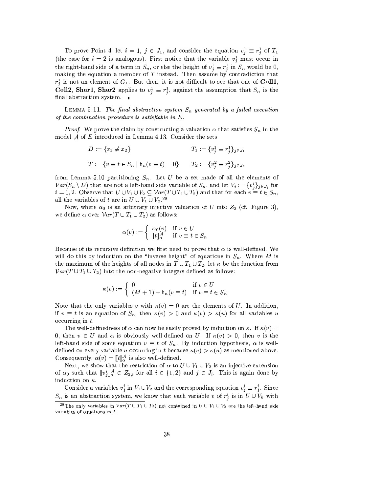To prove Point 4, let  $i = 1$ ,  $j \in J_1$ , and consider the equation  $v_j^1 \equiv r_j^1$  of  $T_1$ (the case for  $i = 2$  is analogous). First notice that the variable  $v_i^1$  must occur in the right-hand side of a term in  $S_n$ , or else the height of  $v_j^1 \equiv r_j^1$  in  $S_n$  would be 0, making the equation a member of  $T$  instead. Then assume by contradiction that  $r_i^1$  is not an element of  $G_1$ . But then, it is not difficult to see that one of Coll1, **Coll2**, Shar1, Shar2 applies to  $v_j^1 \equiv r_j^1$ , against the assumption that  $S_n$  is the final abstraction system.  $\quad \blacksquare$ 

LEMMA 5.11. The final abstraction system  $S_n$  generated by a failed execution of the combination procedure is satisfiable in  $E$ .

*Proof.* We prove the claim by constructing a valuation  $\alpha$  that satisfies  $S_n$  in the model  $\mathcal A$  of  $E$  introduced in Lemma 4.13. Consider the sets

$$
D := \{x_1 \neq x_2\}
$$
  
\n
$$
T_1 := \{v_j^1 \equiv r_j^1\}_{j \in J_1}
$$
  
\n
$$
T := \{v \equiv t \in S_n \mid \mathbf{h}_n (v \equiv t) = 0\}
$$
  
\n
$$
T_2 := \{v_j^2 \equiv r_j^2\}_{j \in J_2}
$$

from Lemma 5.10 partitioning  $S_n$ . Let U be a set made of all the elements of  $Var(S_n \setminus D)$  that are not a left-hand side variable of  $S_n$ , and let  $V_i := \{v_j^i\}_{j \in J_i}$  for  $i = 1, 2$ . Observe that  $U \cup V_1 \cup V_2 \subseteq Var(T \cup T_1 \cup T_2)$  and that for each  $v \equiv t \in S_n$ , all the variables of t are in  $\overline{U} \cup \overline{V_1} \cup \overline{V_2}$ .<sup>28</sup>

Now, where  $\alpha_0$  is an arbitrary injective valuation of U into  $Z_2$  (cf. Figure 3), we define  $\alpha$  over  $Var(T \cup T_1 \cup T_2)$  as follows:

$$
\alpha(v) := \begin{cases} \alpha_0(v) & \text{if } v \in U \\ \llbracket t \rrbracket_{\alpha}^{\mathcal{A}} & \text{if } v \equiv t \in S_n \end{cases}
$$

Because of its recursive definition we first need to prove that  $\alpha$  is well-defined. We will do this by induction on the "inverse height" of equations in  $S_n$ . Where M is the maximum of the heights of all nodes in  $T \cup T_1 \cup T_2$ , let  $\kappa$  be the function from  $Var(T \cup T_1 \cup T_2)$  into the non-negative integers defined as follows:

$$
\kappa(v) := \begin{cases} 0 & \text{if } v \in U \\ (M+1) - \mathsf{h}_n(v \equiv t) & \text{if } v \equiv t \in S_n \end{cases}
$$

Note that the only variables v with  $\kappa(v) = 0$  are the elements of U. In addition, if  $v \equiv t$  is an equation of  $S_n$ , then  $\kappa(v) > 0$  and  $\kappa(v) > \kappa(u)$  for all variables u occurring in  $t$ .

The well-definedness of  $\alpha$  can now be easily proved by induction on  $\kappa$ . If  $\kappa(v)$  = 0, then  $v \in U$  and  $\alpha$  is obviously well-defined on U. If  $\kappa(v) > 0$ , then v is the left-hand side of some equation  $v \equiv t$  of  $S_n$ . By induction hypothesis,  $\alpha$  is welldefined on every variable u occurring in t because  $\kappa(v) > \kappa(u)$  as mentioned above. Consequently,  $\alpha(v) = \llbracket t \rrbracket_{\alpha}^{\mathcal{A}}$  is also well-defined.

Next, we show that the restriction of  $\alpha$  to  $U \cup V_1 \cup V_2$  is an injective extension of  $\alpha_0$  such that  $[\![v_i^i]\!]_\alpha^A \in Z_{2,i}$  for all  $i \in \{1,2\}$  and  $j \in J_i$ . This is again done by induction on  $\kappa$ .

Consider a variables  $v_j^i$  in  $V_1 \cup V_2$  and the corresponding equation  $v_j^i \equiv r_j^i$ . Since  $S_n$  is an abstraction system, we know that each variable v of  $r_i^i$  is in  $U \cup V_k$  with

<sup>&</sup>lt;sup>28</sup>The only variables in  $Var(T \cup T_1 \cup T_2)$  not contained in  $U \cup V_1 \cup V_2$  are the left-hand side variables of equations in  $T$ .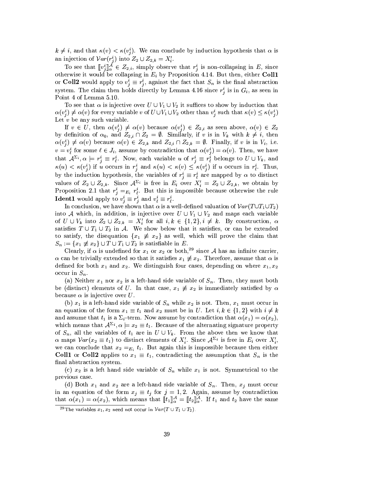$k \neq i$ , and that  $\kappa(v) < \kappa(v_i^i)$ . We can conclude by induction hypothesis that  $\alpha$  is an injection of  $Var(r_j^i)$  into  $Z_2 \cup Z_{2,k} = X'_i$ .

To see that  $[v_i^i]_{\alpha}^{\mathcal{A}} \in Z_{2,i}$ , simply observe that  $r_i^i$  is non-collapsing in E, since otherwise it would be collapsing in  $E_i$  by Proposition 4.14. But then, either Coll1 or **Coll2** would apply to  $v_i^i \equiv r_i^i$ , against the fact that  $S_n$  is the final abstraction system. The claim then holds directly by Lemma 4.16 since  $r_i^i$  is in  $G_i$ , as seen in Point 4 of Lemma 5.10.

To see that  $\alpha$  is injective over  $U \cup V_1 \cup V_2$  it suffices to show by induction that  $\alpha(v_i^i) \neq \alpha(v)$  for every variable v of  $U \cup V_1 \cup V_2$  other than  $v_i^i$  such that  $\kappa(v) \leq \kappa(v_i^i)$ Let  $v$  be any such variable.

If  $v \in U$ , then  $\alpha(v_i^i) \neq \alpha(v)$  because  $\alpha(v_i^i) \in Z_{2,i}$  as seen above,  $\alpha(v) \in Z_2$ by definition of  $\alpha_0$ , and  $Z_{2,i} \cap Z_2 = \emptyset$ . Similarly, if v is in  $V_k$  with  $k \neq i$ , then  $\alpha(v_i^i) \neq \alpha(v)$  because  $\alpha(v) \in Z_{2,k}$  and  $Z_{2,i} \cap Z_{2,k} = \emptyset$ . Finally, if v is in  $V_i$ , i.e.  $v = v_i^i$  for some  $\ell \in J_i$ , assume by contradiction that  $\alpha(v_i^i) = \alpha(v)$ . Then, we have that  $\mathcal{A}^{\Sigma_i}, \alpha \models r^i_j \equiv r^i_\ell$ . Now, each variable u of  $r^i_j \equiv r^i_\ell$  belongs to  $U \cup V_k$ , and  $\kappa(u) < \kappa(v_i^i)$  if u occurs in  $r_i^i$  and  $\kappa(u) < \kappa(v) \leq \kappa(v_i^i)$  if u occurs in  $r_i^i$ . Thus, by the induction hypothesis, the variables of  $r_i^i \equiv r_i^i$  are mapped by  $\alpha$  to distinct values of  $Z_2 \cup Z_{2,k}$ . Since  $\mathcal{A}^{\Sigma_i}$  is free in  $E_i$  over  $X'_i = Z_2 \cup Z_{2,k}$ , we obtain by Proposition 2.1 that  $r_i^i =_{E_i} r_i^i$ . But this is impossible because otherwise the rule **Ident1** would apply to  $v_j^i \equiv r_j^i$  and  $v_\ell^i \equiv r_\ell^i$ .

In conclusion, we have shown that  $\alpha$  is a well-defined valuation of  $Var(T \cup T_1 \cup T_2)$ into A which, in addition, is injective over  $U \cup V_1 \cup V_2$  and maps each variable of  $U \cup V_k$  into  $Z_2 \cup Z_{2,k} = X'_i$  for all  $i,k \in \{1,2\}, i \neq k$ . By construction,  $\alpha$ satisfies  $T \cup T_1 \cup T_2$  in A. We show below that it satisfies, or can be extended to satisfy, the disequation  $\{x_1 \neq x_2\}$  as well, which will prove the claim that  $S_n := \{x_1 \not\equiv x_2\} \cup T \cup T_1 \cup T_2$  is satisfiable in E.

Clearly, if  $\alpha$  is undefined for  $x_1$  or  $x_2$  or both,<sup>29</sup> since A has an infinite carrier,  $\alpha$  can be trivially extended so that it satisfies  $x_1 \neq x_2$ . Therefore, assume that  $\alpha$  is defined for both  $x_1$  and  $x_2$ . We distinguish four cases, depending on where  $x_1, x_2$ occur in  $S_n$ .

(a) Neither  $x_1$  nor  $x_2$  is a left-hand side variable of  $S_n$ . Then, they must both be (distinct) elements of U. In that case,  $x_1 \neq x_2$  is immediately satisfied by  $\alpha$ because  $\alpha$  is injective over U.

(b)  $x_1$  is a left-hand side variable of  $S_n$  while  $x_2$  is not. Then,  $x_1$  must occur in an equation of the form  $x_1 \equiv t_1$  and  $x_2$  must be in U. Let  $i, k \in \{1, 2\}$  with  $i \neq k$ and assume that  $t_1$  is a  $\Sigma_i$ -term. Now assume by contradiction that  $\alpha(x_1) = \alpha(x_2)$ , which means that  $A^{\Sigma_i}$ ,  $\alpha \models x_2 \equiv t_1$ . Because of the alternating signature property of  $S_n$ , all the variables of  $t_1$  are in  $U \cup V_k$ . From the above then we know that  $\alpha$  maps  $Var(x_2 \equiv t_1)$  to distinct elements of  $X'_i$ . Since  $\mathcal{A}^{\Sigma_i}$  is free in  $E_i$  over  $X'_i$ , we can conclude that  $x_2 = E_i t_1$ . But again this is impossible because then either **Coll1** or **Coll2** applies to  $x_1 \equiv t_1$ , contradicting the assumption that  $S_n$  is the final abstraction system.

(c)  $x_2$  is a left hand side variable of  $S_n$  while  $x_1$  is not. Symmetrical to the previous case.

(d) Both  $x_1$  and  $x_2$  are a left-hand side variable of  $S_n$ . Then,  $x_i$  must occur in an equation of the form  $x_j \equiv t_j$  for  $j = 1, 2$ . Again, assume by contradiction that  $\alpha(x_1) = \alpha(x_2)$ , which means that  $[[t_1]]_{\alpha}^{\mathcal{A}} = [[t_2]]_{\alpha}^{\mathcal{A}}$ . If  $t_1$  and  $t_2$  have the same

<sup>&</sup>lt;sup>29</sup>The variables  $x_1, x_2$  need not occur in  $Var(T \cup T_1 \cup T_2)$ .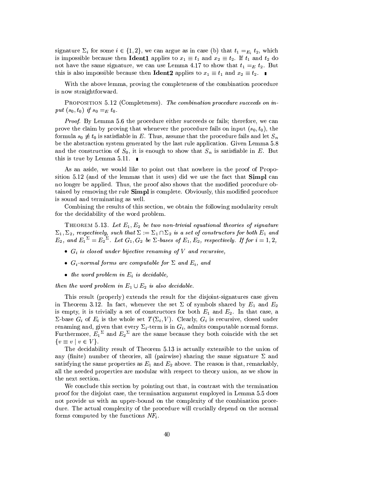signature  $\Sigma_i$  for some  $i \in \{1,2\}$ , we can argue as in case (b) that  $t_1 =_{E_i} t_2$ , which is impossible because then **Ident1** applies to  $x_1 \equiv t_1$  and  $x_2 \equiv t_2$ . If  $t_1$  and  $t_2$  do not have the same signature, we can use Lemma 4.17 to show that  $t_1 =_E t_2$ . But this is also impossible because then **Ident2** applies to  $x_1 \equiv t_1$  and  $x_2 \equiv t_2$ .

With the above lemma, proving the completeness of the combination procedure is now straightforward.

PROPOSITION 5.12 (Completeness). The combination procedure succeeds on input  $(s_0, t_0)$  if  $s_0 =_E t_0$ .

*Proof.* By Lemma 5.6 the procedure either succeeds or fails: therefore, we can prove the claim by proving that whenever the procedure fails on input  $(s_0, t_0)$ , the formula  $s_0 \neq t_0$  is satisfiable in E. Thus, assume that the procedure fails and let  $S_n$ be the abstraction system generated by the last rule application. Given Lemma 5.8 and the construction of  $S_0$ , it is enough to show that  $S_n$  is satisfiable in E. But this is true by Lemma 5.11.  $\blacksquare$ 

As an aside, we would like to point out that nowhere in the proof of Proposition 5.12 (and of the lemmas that it uses) did we use the fact that Simpl can no longer be applied. Thus, the proof also shows that the modified procedure obtained by removing the rule Simpl is complete. Obviously, this modified procedure is sound and terminating as well.

Combining the results of this section, we obtain the following modularity result for the decidability of the word problem.

THEOREM 5.13. Let  $E_1, E_2$  be two non-trivial equational theories of signature  $\Sigma_1, \Sigma_2$ , respectively, such that  $\Sigma := \Sigma_1 \cap \Sigma_2$  is a set of constructors for both  $E_1$  and  $E_2$ , and  $E_1^{\Sigma} = E_2^{\Sigma}$ . Let  $G_1, G_2$  be  $\Sigma$ -bases of  $E_1, E_2$ , respectively. If for  $i = 1, 2$ ,

- $G_i$  is closed under bijective renaming of V and recursive,
- $G_i$ -normal forms are computable for  $\Sigma$  and  $E_i$ , and
- the word problem in  $E_i$  is decidable,

then the word problem in  $E_1 \cup E_2$  is also decidable.

This result (properly) extends the result for the disjoint-signatures case given in Theorem 3.12. In fact, whenever the set  $\Sigma$  of symbols shared by  $E_1$  and  $E_2$ is empty, it is trivially a set of constructors for both  $E_1$  and  $E_2$ . In that case, a  $\Sigma$ -base  $G_i$  of  $E_i$  is the whole set  $T(\Sigma_i, V)$ . Clearly,  $G_i$  is recursive, closed under renaming and, given that every  $\Sigma_i$ -term is in  $G_i$ , admits computable normal forms. Furthermore,  $E_1^{\Sigma}$  and  $E_2^{\Sigma}$  are the same because they both coincide with the set  $\{v \equiv v \mid v \in V\}.$ 

The decidability result of Theorem 5.13 is actually extensible to the union of any (finite) number of theories, all (pairwise) sharing the same signature  $\Sigma$  and satisfying the same properties as  $E_1$  and  $E_2$  above. The reason is that, remarkably, all the needed properties are modular with respect to theory union, as we show in the next section.

We conclude this section by pointing out that, in contrast with the termination proof for the disjoint case, the termination argument employed in Lemma 5.5 does not provide us with an upper-bound on the complexity of the combination procedure. The actual complexity of the procedure will crucially depend on the normal forms computed by the functions  $NF_i$ .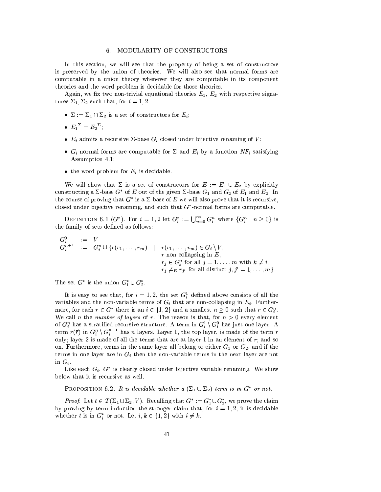### 6. MODULARITY OF CONSTRUCTORS

In this section, we will see that the property of being a set of constructors is preserved by the union of theories. We will also see that normal forms are computable in a union theory whenever they are computable in its component theories and the word problem is decidable for those theories.

Again, we fix two non-trivial equational theories  $E_1, E_2$  with respective signatures  $\Sigma_1$ ,  $\Sigma_2$  such that, for  $i = 1, 2$ 

- $\Sigma := \Sigma_1 \cap \Sigma_2$  is a set of constructors for  $E_i$ ;
- $E_1^{\Sigma} = E_2^{\Sigma}$
- $E_i$  admits a recursive  $\Sigma$ -base  $G_i$  closed under bijective renaming of V;
- $G_i$ -normal forms are computable for  $\Sigma$  and  $E_i$  by a function  $NF_i$  satisfying Assumption 4.1;
- the word problem for  $E_i$  is decidable.

We will show that  $\Sigma$  is a set of constructors for  $E := E_1 \cup E_2$  by explicitly constructing a  $\Sigma$ -base  $G^*$  of E out of the given  $\Sigma$ -base  $G_1$  and  $G_2$  of  $E_1$  and  $E_2$ . In the course of proving that  $G^*$  is a  $\Sigma$ -base of E we will also prove that it is recursive, closed under bijective renaming, and such that  $G^*$ -normal forms are computable.

DEFINITION 6.1  $(G^*)$ . For  $i = 1,2$  let  $G_i^* := \bigcup_{n=0}^{\infty} G_i^n$  where  $\{G_i^n | n \geq 0\}$  is the family of sets defined as follows:

$$
G_i^0 := V
$$
  
\n
$$
G_i^{n+1} := G_i^n \cup \{r(r_1, \dots, r_m) \mid r(v_1, \dots, v_m) \in G_i \setminus V,
$$
  
\n
$$
r \text{ non-collapsing in } E,
$$
  
\n
$$
r_j \in G_k^n \text{ for all } j = 1, \dots, m \text{ with } k \neq i,
$$
  
\n
$$
r_j \neq_E r_{j'} \text{ for all distinct } j, j' = 1, \dots, m \}
$$

The set  $G^*$  is the union  $G_1^* \cup G_2^*$ .

It is easy to see that, for  $i = 1, 2$ , the set  $G_i^1$  defined above consists of all the variables and the non-variable terms of  $G_i$  that are non-collapsing in  $E_i$ . Furthermore, for each  $r \in G^*$  there is an  $i \in \{1,2\}$  and a smallest  $n \geq 0$  such that  $r \in G_i^n$ . We call *n* the *number of layers* of *r*. The reason is that, for  $n > 0$  every element of  $G_i^n$  has a stratified recursive structure. A term in  $G_i^1 \setminus G_i^0$  has just one layer. A term  $r(\bar{r})$  in  $G_i^n \setminus G_i^{n-1}$  has *n* layers. Layer 1, the top layer, is made of the term *r* only; layer 2 is made of all the terms that are at layer 1 in an element of  $\bar{r}$ ; and so on. Furthermore, terms in the same layer all belong to either  $G_1$  or  $G_2$ , and if the terms in one layer are in  $G_i$  then the non-variable terms in the next layer are not in  $G_i$ .

Like each  $G_i$ ,  $G^*$  is clearly closed under bijective variable renaming. We show below that it is recursive as well.

PROPOSITION 6.2. It is decidable whether a  $(\Sigma_1 \cup \Sigma_2)$ -term is in  $G^*$  or not.

*Proof.* Let  $t \in T(\Sigma_1 \cup \Sigma_2, V)$ . Recalling that  $G^* := G_1^* \cup G_2^*$ , we prove the claim by proving by term induction the stronger claim that, for  $i = 1, 2$ , it is decidable whether t is in  $G_i^*$  or not. Let  $i, k \in \{1, 2\}$  with  $i \neq k$ .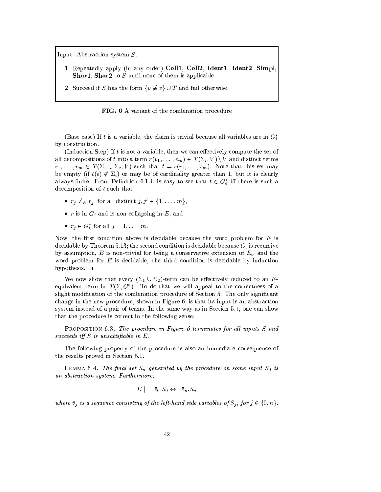Input: Abstraction system  $S$ .

- 1. Repeatedly apply (in any order) Coll1, Coll2, Ident1, Ident2, Simpl **Shar1**, **Shar2** to  $S$  until none of them is applicable.
- 2. Succeed if S has the form  $\{v \not\equiv v\} \cup T$  and fail otherwise.

FIG. 6 A variant of the combination procedure

(Base case) If t is a variable, the claim is trivial because all variables are in  $G_i^*$ by construction.

(Induction Step) If  $t$  is not a variable, then we can effectively compute the set of all decompositions of t into a term  $r(v_1, \ldots, v_m) \in T(\Sigma_i, V) \setminus V$  and distinct terms  $r_1, \ldots, r_m \in T(\Sigma_1 \cup \Sigma_2, V)$  such that  $t = r(r_1, \ldots, r_m)$ . Note that this set may be empty (if  $t(\epsilon) \notin \Sigma_i$ ) or may be of cardinality greater than 1, but it is clearly always finite. From Definition 6.1 it is easy to see that  $t \in G_i^*$  iff there is such a decomposition of  $t$  such that

- $r_j \neq_{E} r_{j'}$  for all distinct  $j, j' \in \{1, ..., m\},$
- $r$  is in  $G_i$  and is non-collapsing in  $E$ , and
- $r_i \in G_k^*$  for all  $j = 1, \ldots, m$ .

Now, the first condition above is decidable because the word problem for  $E$  is decidable by Theorem 5.13; the second condition is decidable because  $G_i$  is recursive by assumption, E is non-trivial for being a conservative extension of  $E_i$ , and the word problem for  $E$  is decidable; the third condition is decidable by induction hypothesis.  $\blacksquare$ 

We now show that every  $(\Sigma_1 \cup \Sigma_2)$ -term can be effectively reduced to an Eequivalent term in  $T(\Sigma, G^*)$ . To do that we will appeal to the correctness of a slight modification of the combination procedure of Section 5. The only significant change in the new procedure, shown in Figure 6, is that its input is an abstraction system instead of a pair of terms. In the same way as in Section 5.1, one can show that the procedure is correct in the following sense:

PROPOSITION 6.3. The procedure in Figure 6 terminates for all inputs S and succeeds iff  $S$  is unsatisfiable in  $E$ .

The following property of the procedure is also an immediate consequence of the results proved in Section 5.1.

LEMMA 6.4. The final set  $S_n$  generated by the procedure on some input  $S_0$  is an abstraction system. Furthermore,

$$
E \models \exists \bar v_0 . S_0 \leftrightarrow \exists \bar v_n . S_n
$$

where  $\bar{v}_j$  is a sequence consisting of the left-hand side variables of  $S_j$ , for  $j \in \{0, n\}$ .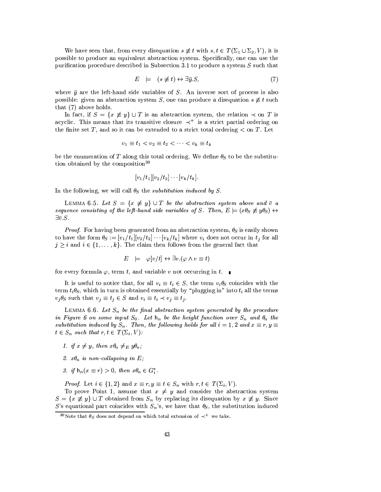We have seen that, from every disequation  $s \neq t$  with  $s, t \in T(\Sigma_1 \cup \Sigma_2, V)$ , it is possible to produce an equivalent abstraction system. Specifically, one can use the purification procedure described in Subsection 3.1 to produce a system  $S$  such that

$$
E \quad \models \quad (s \not\equiv t) \leftrightarrow \exists \bar{y}.S,\tag{7}
$$

where  $\bar{y}$  are the left-hand side variables of S. An inverse sort of process is also possible: given an abstraction system S, one can produce a disequation  $s \not\equiv t$  such that (7) above holds.

In fact, if  $S = \{x \neq y\} \cup T$  is an abstraction system, the relation  $\prec$  on T is acyclic. This means that its transitive closure  $\prec^+$  is a strict partial ordering on the finite set T, and so it can be extended to a strict total ordering  $\lt$  on T. Let

$$
v_1 \equiv t_1 < v_2 \equiv t_2 < \dots < v_k \equiv t_k
$$

be the enumeration of T along this total ordering. We define  $\theta_S$  to be the substitution obtained by the composition<sup>30</sup>

$$
[v_1/t_1][v_2/t_2]\cdots[v_k/t_k].
$$

In the following, we will call  $\theta_S$  the *substitution induced by S*.

LEMMA 6.5. Let  $S = \{x \neq y\} \cup T$  be the abstraction system above and  $\overline{v}$  a sequence consisting of the left-hand side variables of S. Then,  $E = (x\theta_S \neq y\theta_S) \leftrightarrow$  $\exists \bar{v}.S.$ 

*Proof.* For having been generated from an abstraction system,  $\theta_S$  is easily shown to have the form  $\theta_S := [v_1/t_1][v_2/t_2]\cdots[v_k/t_k]$  where  $v_i$  does not occur in  $t_j$  for all  $j \geq i$  and  $i \in \{1, ..., k\}$ . The claim then follows from the general fact that

$$
E \models \varphi[v/t] \leftrightarrow \exists v. (\varphi \land v \equiv t)
$$

for every formula  $\varphi$ , term t, and variable v not occurring in t.

It is useful to notice that, for all  $v_i \equiv t_i \in S$ , the term  $v_i \theta_S$  coincides with the term  $t_i\theta_S$ , which in turn is obtained essentially by "plugging in" into  $t_i$  all the terms  $v_j \theta_S$  such that  $v_j \equiv t_j \in S$  and  $v_i \equiv t_i \prec v_j \equiv t_j$ .

LEMMA 6.6. Let  $S_n$  be the final abstraction system generated by the procedure in Figure 6 on some input  $S_0$ . Let  $h_n$  be the height function over  $S_n$  and  $\theta_n$  the substitution induced by  $S_n$ . Then, the following holds for all  $i = 1, 2$  and  $x \equiv r, y \equiv$  $t \in S_n$  such that  $r, t \in T(\Sigma_i, V)$ :

- 1. if  $x \neq y$ , then  $x\theta_n \neq_E y\theta_n$ ;
- 2.  $x\theta_n$  is non-collapsing in E;
- 3. if  $h_n(x \equiv r) > 0$ , then  $x\theta_n \in G_i^*$ .

*Proof.* Let  $i \in \{1,2\}$  and  $x \equiv r, y \equiv t \in S_n$  with  $r, t \in T(\Sigma_i, V)$ .

To prove Point 1, assume that  $x \neq y$  and consider the abstraction system  $S = \{x \neq y\} \cup T$  obtained from  $S_n$  by replacing its disequation by  $x \neq y$ . Since S's equational part coincides with  $S_n$ 's, we have that  $\theta_S$ , the substitution induced

<sup>&</sup>lt;sup>30</sup>Note that  $\theta_S$  does not depend on which total extension of  $\prec^+$  we take.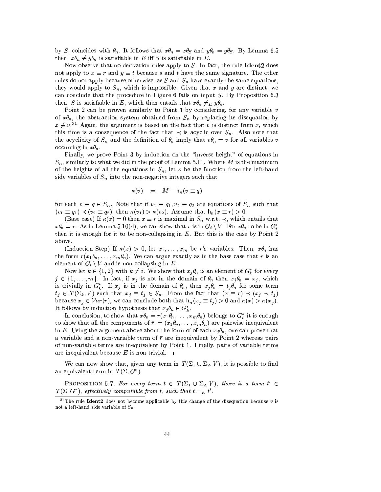by S, coincides with  $\theta_n$ . It follows that  $x\theta_n = x\theta_S$  and  $y\theta_n = y\theta_S$ . By Lemma 6.5 then,  $x\theta_n \not\equiv y\theta_n$  is satisfiable in E iff S is satisfiable in E.

Now observe that no derivation rules apply to  $S$ . In fact, the rule **Ident2** does not apply to  $x \equiv r$  and  $y \equiv t$  because s and t have the same signature. The other rules do not apply because otherwise, as  $S$  and  $S_n$  have exactly the same equations, they would apply to  $S_n$ , which is impossible. Given that x and y are distinct, we can conclude that the procedure in Figure 6 fails on input  $S$ . By Proposition 6.3 then, S is satisfiable in E, which then entails that  $x\theta_n \neq_E y\theta_n$ .

Point 2 can be proven similarly to Point 1 by considering, for any variable  $v$ of  $x\theta_n$ , the abstraction system obtained from  $S_n$  by replacing its disequation by  $x \neq v^{31}$  Again, the argument is based on the fact that v is distinct from x, which this time is a consequence of the fact that  $\prec$  is acyclic over  $S_n$ . Also note that the acyclicity of  $S_n$  and the definition of  $\theta_n$  imply that  $v\theta_n = v$  for all variables v occurring in  $x\theta_n$ .

Finally, we prove Point 3 by induction on the "inverse height" of equations in  $S_n$ , similarly to what we did in the proof of Lemma 5.11. Where M is the maximum of the heights of all the equations in  $S_n$ , let  $\kappa$  be the function from the left-hand side variables of  $S_n$  into the non-negative integers such that

$$
\kappa(v) \quad := \quad M - \mathsf{h}_n(v \equiv q)
$$

for each  $v \equiv q \in S_n$ . Note that if  $v_1 \equiv q_1, v_2 \equiv q_2$  are equations of  $S_n$  such that  $(v_1 \equiv q_1) \prec (v_2 \equiv q_2)$ , then  $\kappa(v_1) > \kappa(v_2)$ . Assume that  $h_n(x \equiv r) > 0$ .

(Base case) If  $\kappa(x) = 0$  then  $x \equiv r$  is maximal in  $S_n$  w.r.t.  $\prec$ , which entails that  $x\theta_n = r$ . As in Lemma 5.10(4), we can show that r is in  $G_i \setminus V$ . For  $x\theta_n$  to be in  $G_i^*$ then it is enough for it to be non-collapsing in  $E$ . But this is the case by Point 2 above.

(Induction Step) If  $\kappa(x) > 0$ , let  $x_1, \ldots, x_m$  be r's variables. Then,  $x\theta_n$  has the form  $r(x_1\theta_n,\ldots,x_m\theta_n)$ . We can argue exactly as in the base case that r is an element of  $G_i \setminus V$  and is non-collapsing in E.

Now let  $k \in \{1,2\}$  with  $k \neq i$ . We show that  $x_i \theta_n$  is an element of  $G_k^*$  for every  $j \in \{1, \ldots, m\}$ . In fact, if  $x_j$  is not in the domain of  $\theta_n$  then  $x_j \theta_n = x_j$ , which is trivially in  $G_k^*$ . If  $x_j$  is in the domain of  $\theta_n$ , then  $x_j\theta_n = t_j\theta_n$  for some term  $t_j \in T(\Sigma_k, V)$  such that  $x_j \equiv t_j \in S_n$ . From the fact that  $(x \equiv r) \prec (x_j \prec t_j)$ because  $x_i \in Var(r)$ , we can conclude both that  $h_n(x_i \equiv t_i) > 0$  and  $\kappa(x) > \kappa(x_i)$ . It follows by induction hypothesis that  $x_j \theta_n \in G_k^*$ .

In conclusion, to show that  $x\theta_n = r(x_1\theta_n, \dots, x_m\theta_n)$  belongs to  $G_i^*$  it is enough to show that all the components of  $\bar{r} := (x_1 \theta_n, \dots, x_m \theta_n)$  are pairwise inequivalent in E. Using the argument above about the form of of each  $x_i\theta_n$ , one can prove that a variable and a non-variable term of  $\bar{r}$  are inequivalent by Point 2 whereas pairs of non-variable terms are inequivalent by Point 1. Finally, pairs of variable terms are inequivalent because E is non-trivial.  $\blacksquare$ 

We can now show that, given any term in  $T(\Sigma_1 \cup \Sigma_2, V)$ , it is possible to find an equivalent term in  $T(\Sigma, G^*)$ .

**PROPOSITION 6.7.** For every term  $t \in T(\Sigma_1 \cup \Sigma_2, V)$ , there is a term  $t' \in$  $T(\Sigma, G^*)$ , effectively computable from t, such that  $t=_E t'$ .

<sup>&</sup>lt;sup>31</sup>The rule **Ident2** does not become applicable by this change of the disequation because v is not a left-hand side variable of  $S_n$ .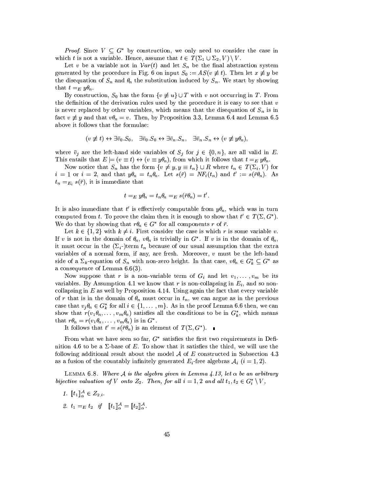*Proof.* Since  $V \subseteq G^*$  by construction, we only need to consider the case in which t is not a variable. Hence, assume that  $t \in T(\Sigma_1 \cup \Sigma_2, V) \setminus V$ .

Let v be a variable not in  $Var(t)$  and let  $S_n$  be the final abstraction system generated by the procedure in Fig. 6 on input  $S_0 := AS(v \neq t)$ . Then let  $x \neq y$  be the disequation of  $S_n$  and  $\theta_n$  the substitution induced by  $S_n$ . We start by showing that  $t=_E y\theta_n$ .

By construction,  $S_0$  has the form  $\{v \neq u\} \cup T$  with v not occurring in T. From the definition of the derivation rules used by the procedure it is easy to see that  $v$ is never replaced by other variables, which means that the disequation of  $S_n$  is in fact  $v \neq y$  and that  $v\theta_n = v$ . Then, by Proposition 3.3, Lemma 6.4 and Lemma 6.5 above it follows that the formulae:

$$
(v \not\equiv t) \leftrightarrow \exists \bar{v}_0 . S_0, \quad \exists \bar{v}_0 . S_0 \leftrightarrow \exists \bar{v}_n . S_n, \quad \exists \bar{v}_n . S_n \leftrightarrow (v \not\equiv y \theta_n),
$$

where  $\bar{v}_j$  are the left-hand side variables of  $S_j$  for  $j \in \{0, n\}$ , are all valid in E. This entails that  $E \models (v \equiv t) \leftrightarrow (v \equiv y\theta_n)$ , from which it follows that  $t =_E y\theta_n$ .

Now notice that  $S_n$  has the form  $\{v \neq y, y \equiv t_n\} \cup R$  where  $t_n \in T(\Sigma_i, V)$  for  $i = 1$  or  $i = 2$ , and that  $y\theta_n = t_n\theta_n$ . Let  $s(\bar{r}) = NF_i(t_n)$  and  $t' := s(\bar{r}\theta_n)$ . As  $t_n =_{E_i} s(\bar{r})$ , it is immediate that

$$
t =_E y \theta_n = t_n \theta_n =_E s(\bar{r}\theta_n) = t'.
$$

It is also immediate that t' is effectively computable from  $y\theta_n$ , which was in turn computed from t. To prove the claim then it is enough to show that  $t' \in T(\Sigma, G^*)$ . We do that by showing that  $r\theta_n \in G^*$  for all components r of  $\overline{r}$ .

Let  $k \in \{1,2\}$  with  $k \neq i$ . First consider the case is which r is some variable v. If v is not in the domain of  $\theta_n$ ,  $v\theta_n$  is trivially in  $G^*$ . If v is in the domain of  $\theta_n$ , it must occur in the  $(\Sigma_i)$ -term  $t_n$  because of our usual assumption that the extra variables of a normal form, if any, are fresh. Moreover,  $v$  must be the left-hand side of a  $\Sigma_k$ -equation of  $S_n$  with non-zero height. In that case,  $v\theta_n \in G_k^* \subseteq G^*$  as a consequence of Lemma  $6.6(3)$ .

Now suppose that r is a non-variable term of  $G_i$  and let  $v_1, \ldots, v_m$  be its variables. By Assumption 4.1 we know that r is non-collapsing in  $E_i$ , and so noncollapsing in  $E$  as well by Proposition 4.14. Using again the fact that every variable of r that is in the domain of  $\theta_n$  must occur in  $t_n$ , we can argue as in the previous case that  $v_i \theta_n \in G_k^*$  for all  $i \in \{1, ..., m\}$ . As in the proof Lemma 6.6 then, we can show that  $r(v_1\theta_n,\ldots,v_m\theta_n)$  satisfies all the conditions to be in  $G_k^*$ , which means that  $r\theta_n = r(v_1\theta_n, \dots, v_m\theta_n)$  is in  $G^*$ .

It follows that  $t' = s(\bar{r}\theta_n)$  is an element of  $T(\Sigma, G^*)$ .

From what we have seen so far,  $G^*$  satisfies the first two requirements in Definition 4.6 to be a  $\Sigma$ -base of E. To show that it satisfies the third, we will use the following additional result about the model  $A$  of E constructed in Subsection 4.3 as a fusion of the countably infinitely generated  $E_i$ -free algebras  $A_i$   $(i = 1, 2)$ .

LEMMA 6.8. Where A is the algebra given in Lemma 4.13, let  $\alpha$  be an arbitrary bijective valuation of V onto  $Z_2$ . Then, for all  $i = 1, 2$  and all  $t_1, t_2 \in G_i^* \setminus V$ ,

$$
1. \ \llbracket t_1 \rrbracket^{\mathcal{A}}_{\alpha} \in Z_{2,i}.
$$

2.  $t_1 =_E t_2$  if  $[[t_1]]_{\alpha}^{\mathcal{A}} = [[t_2]]_{\alpha}^{\mathcal{A}}$ .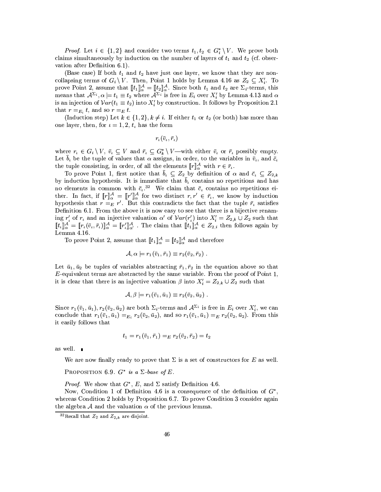*Proof.* Let  $i \in \{1,2\}$  and consider two terms  $t_1, t_2 \in G_i^* \setminus V$ . We prove both claims simultaneously by induction on the number of layers of  $t_1$  and  $t_2$  (cf. observation after Definition 6.1).

(Base case) If both  $t_1$  and  $t_2$  have just one layer, we know that they are noncollapsing terms of  $G_i \setminus V$ . Then, Point 1 holds by Lemma 4.16 as  $Z_2 \subseteq X'_i$ . To prove Point 2, assume that  $[\![t_1]\!]_{\alpha}^{\mathcal{A}} = [\![t_2]\!]_{\alpha}^{\mathcal{A}}$ . Since both  $t_1$  and  $t_2$  are  $\Sigma_i$ -terms, this means that  $\mathcal{A}^{\Sigma_i}$ ,  $\alpha \models t_1 \equiv t_2$  where  $\mathcal{A}^{\Sigma_i}$  is free in  $E_i$  over  $X'_i$  by Lemma 4.13 an is an injection of  $Var(t_1 \equiv t_2)$  into  $X_i$  by construction. It follows by Proposition 2.1 that  $r =_{E_i} t$ , and so  $r =_E t$ .

(Induction step) Let  $k \in \{1,2\}, k \neq i$ . If either  $t_1$  or  $t_2$  (or both) has more than one layer, then, for  $i = 1, 2, t_i$  has the form

$$
r_{\iota}(\bar{v}_{\iota},\bar{r}_{\iota})
$$

where  $r_i \in G_i \setminus V$ ,  $\bar{v}_i \subseteq V$  and  $\bar{r}_i \subseteq G_k^* \setminus V$  —with either  $\bar{v}_i$  or  $\bar{r}_i$  possibly empty. Let  $\bar{b}_i$  be the tuple of values that  $\alpha$  assigns, in order, to the variables in  $\bar{v}_i$ , and  $\bar{c}_i$ the tuple consisting, in order, of all the elements  $[\![r]\!]_{\alpha}^{\mathcal{A}}$  with  $r \in \bar{r}_i$ .

To prove Point 1, first notice that  $\bar{b}_\iota \subseteq Z_2$  by definition of  $\alpha$  and  $\bar{c}_\iota \subseteq Z_{2,k}$ <br>by induction hypothesis. It is immediate that  $\bar{b}_\iota$  contains no repetitions and has no elements in common with  $\bar{c}_{\mu}^{32}$ . We claim that  $\bar{c}_{\mu}$  contains no repetitions either. In fact, if  $[\![r]\!]_{\alpha}^{\mathcal{A}} = [\![r']\!]_{\alpha}^{\mathcal{A}}$  for two distinct  $r, r' \in \bar{r}_i$ , we know by induction hypothesis that  $r =_E r'$ . But this contradicts the fact that the tuple  $\bar{r}_i$  satisfies Definition 6.1. From the above it is now easy to see that there is a bijective renaming  $r'_i$  of  $r_i$  and an injective valuation  $\alpha'$  of  $Var(r'_i)$  into  $X'_i = Z_{2,k} \cup Z_2$  such that  $[\![t_i]\!]_{\alpha}^{\mathcal{A}} = [\![r_i(\bar{v}_i, \bar{r}_i)]\!]_{\alpha}^{\mathcal{A}} = [\![r'_i]\!]_{\alpha'}^{\mathcal{A}}$ . The claim that  $[\![t_i]\!]_{\alpha}^{\mathcal{A}} \in Z_{2,i}$  then follows again by Lemma  $4.16.$ 

To prove Point 2, assume that  $[\![t_1]\!]_{\alpha}^{\mathcal{A}} = [\![t_2]\!]_{\alpha}^{\mathcal{A}}$  and therefore

$$
\mathcal{A}, \alpha \models r_1(\bar{v}_1, \bar{r}_1) \equiv r_2(\bar{v}_2, \bar{r}_2) .
$$

Let  $\bar{u}_1, \bar{u}_2$  be tuples of variables abstracting  $\bar{r}_1, \bar{r}_2$  in the equation above so that  $E$ -equivalent terms are abstracted by the same variable. From the proof of Point 1, it is clear that there is an injective valuation  $\beta$  into  $X'_i = Z_{2,k} \cup Z_2$  such that

$$
\mathcal{A},\beta\models r_1(\bar{v}_1,\bar{u}_1)\equiv r_2(\bar{v}_2,\bar{u}_2)
$$

Since  $r_1(\bar{v}_1, \bar{u}_1), r_2(\bar{v}_2, \bar{u}_2)$  are both  $\Sigma_i$ -terms and  $\mathcal{A}^{\Sigma_i}$  is free in  $E_i$  over  $X_i'$ , we can conclude that  $r_1(\bar{v}_1, \bar{u}_1) =_{E_i} r_2(\bar{v}_2, \bar{u}_2)$ , and so  $r_1(\bar{v}_1, \bar{u}_1) =_E r_2(\bar{v}_2, \bar{u}_2)$ . From this it easily follows that

$$
t_1 = r_1(\bar{v}_1, \bar{r}_1) =_E r_2(\bar{v}_2, \bar{r}_2) = t_2
$$

as well.  $\blacksquare$ 

We are now finally ready to prove that  $\Sigma$  is a set of constructors for E as well.

PROPOSITION 6.9.  $G^*$  is a  $\Sigma$ -base of E.

*Proof.* We show that  $G^*$ , E, and  $\Sigma$  satisfy Definition 4.6.

Now, Condition 1 of Definition 4.6 is a consequence of the definition of  $G^*$ . whereas Condition 2 holds by Proposition 6.7. To prove Condition 3 consider again the algebra A and the valuation  $\alpha$  of the previous lemma.

<sup>&</sup>lt;sup>32</sup>Recall that  $Z_2$  and  $Z_{2,k}$  are disjoint.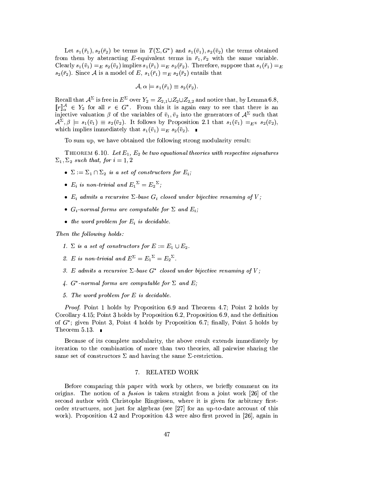Let  $s_1(\bar{r}_1), s_2(\bar{r}_2)$  be terms in  $T(\Sigma, G^*)$  and  $s_1(\bar{v}_1), s_2(\bar{v}_2)$  the terms obtained from them by abstracting E-equivalent terms in  $\bar{r}_1, \bar{r}_2$  with the same variable. Clearly  $s_1(\bar{v}_1) =_E s_2(\bar{v}_2)$  implies  $s_1(\bar{r}_1) =_E s_2(\bar{r}_2)$ . Therefore, suppose that  $s_1(\bar{r}_1) =_E$  $s_2(\bar{r}_2)$ . Since A is a model of E,  $s_1(\bar{r}_1) =_E s_2(\bar{r}_2)$  entails that

$$
\mathcal{A}, \alpha \models s_1(\bar{r}_1) \equiv s_2(\bar{r}_2)
$$

Recall that  $\mathcal{A}^{\Sigma}$  is free in  $E^{\Sigma}$  over  $Y_2 = Z_{2,1} \cup Z_2 \cup Z_{2,2}$  and notice that, by Lemma 6.8,<br>  $[\![r]\!]_{\alpha}^{\mathcal{A}} \in Y_2$  for all  $r \in G^*$ . From this it is again easy to see that there is an injective valuation  $\mathcal{A}^{\Sigma}, \beta \models s_1(\bar{v}_1) \equiv s_2(\bar{v}_2)$ . It follows by Proposition 2.1 that  $s_1(\bar{v}_1) =_{E^{\Sigma}} s_2(\bar{v}_2)$ , which implies immediately that  $s_1(\bar{v}_1) =_E s_2(\bar{v}_2)$ .

To sum up, we have obtained the following strong modularity result:

THEOREM 6.10. Let  $E_1, E_2$  be two equational theories with respective signatures  $\Sigma_1, \Sigma_2$  such that, for  $i = 1, 2$ 

- $\Sigma := \Sigma_1 \cap \Sigma_2$  is a set of constructors for  $E_i$ ;
- $E_i$  is non-trivial and  $E_1^{\Sigma} = E_2^{\Sigma}$ ;
- $E_i$  admits a recursive  $\Sigma$ -base  $G_i$  closed under bijective renaming of V;
- $G_i$ -normal forms are computable for  $\Sigma$  and  $E_i$ ;
- the word problem for  $E_i$  is decidable.

Then the following holds:

- 1.  $\Sigma$  is a set of constructors for  $E := E_1 \cup E_2$ .
- 2. E is non-trivial and  $E^{\Sigma} = E_1^{\Sigma} = E_2^{\Sigma}$ .
- 3. E admits a recursive  $\Sigma$ -base  $G^*$  closed under bijective renaming of V:
- 4.  $G^*$ -normal forms are computable for  $\Sigma$  and  $E$ ;
- 5. The word problem for  $E$  is decidable.

*Proof.* Point 1 holds by Proposition 6.9 and Theorem 4.7; Point 2 holds by Corollary 4.15; Point 3 holds by Proposition 6.2, Proposition 6.9, and the definition of  $G^*$ ; given Point 3, Point 4 holds by Proposition 6.7; finally, Point 5 holds by Theorem 5.13.  $\blacksquare$ 

Because of its complete modularity, the above result extends immediately by iteration to the combination of more than two theories, all pairwise sharing the same set of constructors  $\Sigma$  and having the same  $\Sigma$ -restriction.

#### RELATED WORK 7.

Before comparing this paper with work by others, we briefly comment on its origins. The notion of a *fusion* is taken straight from a joint work [26] of the second author with Christophe Ringeissen, where it is given for arbitrary firstorder structures, not just for algebras (see [27] for an up-to-date account of this work). Proposition 4.2 and Proposition 4.3 were also first proved in [26], again in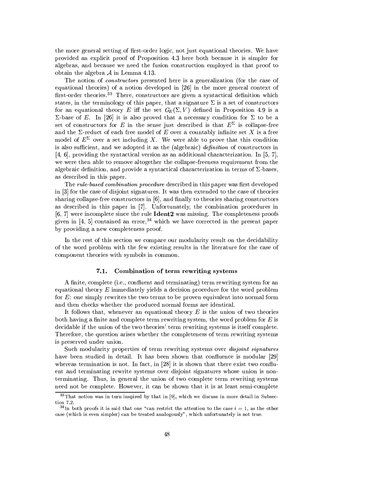the more general setting of first-order logic, not just equational theories. We have provided an explicit proof of Proposition 4.3 here both because it is simpler for algebras, and because we need the fusion construction employed in that proof to obtain the algebra  $A$  in Lemma 4.13.

The notion of *constructors* presented here is a generalization (for the case of equational theories) of a notion developed in [26] in the more general context of first-order theories.<sup>33</sup> There, constructors are given a syntactical definition which states, in the terminology of this paper, that a signature  $\Sigma$  is a set of constructors for an equational theory E iff the set  $G_E(\Sigma, V)$  defined in Proposition 4.9 is a  $\Sigma$ -base of E. In [26] it is also proved that a necessary condition for  $\Sigma$  to be a set of constructors for E in the sense just described is that  $E^{\Sigma}$  is collapse-free and the  $\Sigma$ -reduct of each free model of E over a countably infinite set X is a free model of  $E^{\Sigma}$  over a set including X. We were able to prove that this condition is also sufficient, and we adopted it as the (algebraic) definition of constructors in [4, 6], providing the syntactical version as an additional characterization. In [5, 7], we were then able to remove altogether the collapse-freeness requirement from the algebraic definition, and provide a syntactical characterization in terms of  $\Sigma$ -bases, as described in this paper.

The rule-based combination procedure described in this paper was first developed in [3] for the case of disjoint signatures. It was then extended to the case of theories sharing collapse-free constructors in  $[6]$ , and finally to theories sharing constructors as described in this paper in [7]. Unfortunately, the combination procedures in  $[6, 7]$  were incomplete since the rule **Ident2** was missing. The completeness proofs given in [4, 5] contained an error,<sup>34</sup> which we have corrected in the present paper by providing a new completeness proof.

In the rest of this section we compare our modularity result on the decidability of the word problem with the few existing results in the literature for the case of component theories with symbols in common.

#### $7.1.$ Combination of term rewriting systems

A finite, complete (i.e., confluent and terminating) term rewriting system for an equational theory  $E$  immediately yields a decision procedure for the word problem for  $E$ : one simply rewrites the two terms to be proven equivalent into normal form and then checks whether the produced normal forms are identical.

It follows that, whenever an equational theory  $E$  is the union of two theories both having a finite and complete term rewriting system, the word problem for  $E$  is decidable if the union of the two theories' term rewriting systems is itself complete. Therefore, the question arises whether the completeness of term rewriting systems is preserved under union.

Such modularity properties of term rewriting systems over *disjoint signatures* have been studied in detail. It has been shown that confluence is modular [29] whereas termination is not. In fact, in [28] it is shown that there exist two confluent and terminating rewrite systems over disjoint signatures whose union is nonterminating. Thus, in general the union of two complete term rewriting systems need not be complete. However, it can be shown that it is at least semi-complete

 $33$ That notion was in turn inspired by that in [9], which we discuss in more detail in Subsection 7.2.

<sup>&</sup>lt;sup>34</sup>In both proofs it is said that one "can restrict the attention to the case  $i = 1$ , as the other case (which is even simpler) can be treated analogously", which unfortunately is not true.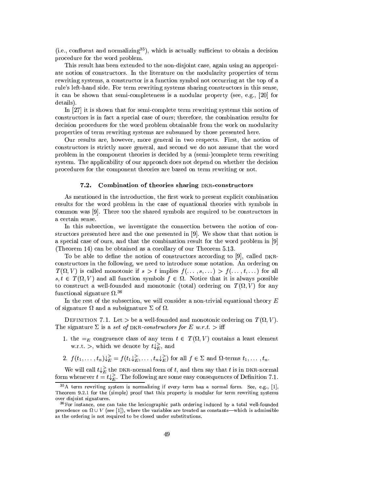(i.e., confluent and normalizing<sup>35</sup>), which is actually sufficient to obtain a decision procedure for the word problem.

This result has been extended to the non-disjoint case, again using an appropriate notion of constructors. In the literature on the modularity properties of term rewriting systems, a constructor is a function symbol not occurring at the top of a rule's left-hand side. For term rewriting systems sharing constructors in this sense, it can be shown that semi-completeness is a modular property (see, e.g., [20] for details).

In  $[27]$  it is shown that for semi-complete term rewriting systems this notion of constructors is in fact a special case of ours; therefore, the combination results for decision procedures for the word problem obtainable from the work on modularity properties of term rewriting systems are subsumed by those presented here.

Our results are, however, more general in two respects. First, the notion of constructors is strictly more general, and second we do not assume that the word problem in the component theories is decided by a (semi-)complete term rewriting system. The applicability of our approach does not depend on whether the decision procedures for the component theories are based on term rewriting or not.

#### $7.2.$ Combination of theories sharing DKR-constructors

As mentioned in the introduction, the first work to present explicit combination results for the word problem in the case of equational theories with symbols in common was [9]. There too the shared symbols are required to be constructors in a certain sense.

In this subsection, we investigate the connection between the notion of constructors presented here and the one presented in  $[9]$ . We show that that notion is a special case of ours, and that the combination result for the word problem in  $[9]$ (Theorem 14) can be obtained as a corollary of our Theorem 5.13.

To be able to define the notion of constructors according to [9], called DKRconstructors in the following, we need to introduce some notation. An ordering on  $T(\Omega, V)$  is called monotonic if  $s > t$  implies  $f(\ldots, s, \ldots) > f(\ldots, t, \ldots)$  for all  $s, t \in T(\Omega, V)$  and all function symbols  $f \in \Omega$ . Notice that it is always possible to construct a well-founded and monotonic (total) ordering on  $T(\Omega, V)$  for any functional signature  $\Omega^{36}$ 

In the rest of the subsection, we will consider a non-trivial equational theory  $E$ of signature  $\Omega$  and a subsignature  $\Sigma$  of  $\Omega$ .

DEFINITION 7.1. Let  $>$  be a well-founded and monotonic ordering on  $T(\Omega, V)$ . The signature  $\Sigma$  is a set of DKR-constructors for E w.r.t. > iff

- 1. the  $=_E$  congruence class of any term  $t \in T(\Omega, V)$  contains a least element w.r.t. >, which we denote by  $t\downarrow_F^>$ , and
- 2.  $f(t_1,\ldots,t_n)\mathcal{L}_E = f(t_1\mathcal{L}_E,\ldots,t_n\mathcal{L}_E)$  for all  $f \in \Sigma$  and  $\Omega$ -terms  $t_1,\ldots,t_n$ .

We will call  $t \downarrow_E^>$  the DKR-normal form of t, and then say that t is in DKR-normal form whenever  $t = t\downarrow_E^2$ . The following are some easy consequences of Definition 7.1.

<sup>&</sup>lt;sup>35</sup>A term rewriting system is normalizing if every term has a normal form. See, e.g., [1], Theorem 9.2.1 for the (simple) proof that this property is modular for term rewriting systems over disjoint signatures.

<sup>&</sup>lt;sup>36</sup>For instance, one can take the lexicographic path ordering induced by a total well-founded precedence on  $\Omega \cup V$  (see [1]), where the variables are treated as constants—which is admissible as the ordering is not required to be closed under substitutions.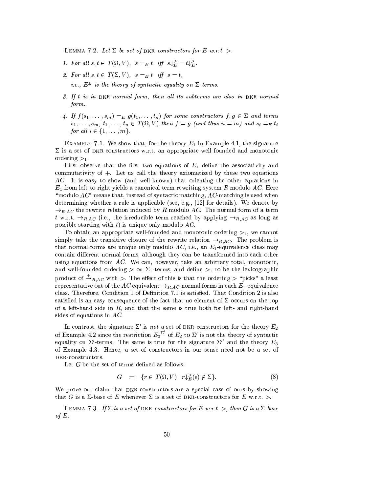LEMMA 7.2. Let  $\Sigma$  be set of DKR-constructors for E w.r.t. >.

- 1. For all  $s, t \in T(\Omega, V)$ ,  $s =_E t$  iff  $s \downarrow_E^> = t \downarrow_E^>$ .
- 2. For all  $s, t \in T(\Sigma, V)$ ,  $s =_E t$  iff  $s = t$ , *i.e.*,  $E^{\Sigma}$  *is the theory of syntactic equality on*  $\Sigma$ -terms.
- 3. If t is in DKR-normal form, then all its subterms are also in DKR-normal form.
- 4. If  $f(s_1,\ldots,s_m) =_E g(t_1,\ldots,t_n)$  for some constructors  $f,g \in \Sigma$  and terms  $s_1, \ldots, s_m, t_1, \ldots, t_n \in T(\Omega, V)$  then  $f = g$  (and thus  $n = m$ ) and  $s_i =_E t_i$ for all  $i \in \{1, \ldots, m\}$ .

EXAMPLE 7.1. We show that, for the theory  $E_1$  in Example 4.1, the signature  $\Sigma$  is a set of DKR-constructors w.r.t. an appropriate well-founded and monotonic ordering  $>_{1}$ .

First observe that the first two equations of  $E_1$  define the associativity and commutativity of  $+$ . Let us call the theory axiomatized by these two equations AC. It is easy to show (and well-known) that orienting the other equations in  $E_1$  from left to right yields a canonical term rewriting system R modulo AC. Here "modulo  $AC$ " means that, instead of syntactic matching,  $AC$ -matching is used when determining whether a rule is applicable (see, e.g.,  $[12]$  for details). We denote by  $\rightarrow_{R,AC}$  the rewrite relation induced by R modulo AC. The normal form of a term t w.r.t.  $\rightarrow_{R,AC}$  (i.e., the irreducible term reached by applying  $\rightarrow_{R,AC}$  as long as possible starting with  $t$ ) is unique only modulo  $AC$ .

To obtain an appropriate well-founded and monotonic ordering  $>1$ , we cannot simply take the transitive closure of the rewrite relation  $\rightarrow_{RAC}$ . The problem is that normal forms are unique only modulo AC, i.e., an  $E_1$ -equivalence class may contain different normal forms, although they can be transformed into each other using equations from  $AC$ . We can, however, take an arbitrary total, monotonic, and well-founded ordering  $>$  on  $\Sigma_1$ -terms, and define  $>_1$  to be the lexicographic product of  $\stackrel{+}{\rightarrow}_{R,AC}$  with >. The effect of this is that the ordering > "picks" a least representative out of the AC-equivalent  $\rightarrow_{R,AC}$ -normal forms in each  $E_1$ -equivalence class. Therefore, Condition 1 of Definition 7.1 is satisfied. That Condition 2 is also satisfied is an easy consequence of the fact that no element of  $\Sigma$  occurs on the top of a left-hand side in  $R$ , and that the same is true both for left- and right-hand sides of equations in  $AC$ .

In contrast, the signature  $\Sigma'$  is not a set of DKR-constructors for the theory  $E_2$ of Example 4.2 since the restriction  $E_2^{\Sigma'}$  of  $E_2$  to  $\Sigma'$  is not the theory of syntactic equality on  $\Sigma'$ -terms. The same is true for the signature  $\Sigma''$  and the theory  $E_3$ of Example 4.3. Hence, a set of constructors in our sense need not be a set of DKR-constructors.

Let  $G$  be the set of terms defined as follows:

$$
G := \{ r \in T(\Omega, V) \mid r \downarrow_F^>(\epsilon) \notin \Sigma \}. \tag{8}
$$

We prove our claim that DKR-constructors are a special case of ours by showing that G is a  $\Sigma$ -base of E whenever  $\Sigma$  is a set of DKR-constructors for E w.r.t. >.

LEMMA 7.3. If  $\Sigma$  is a set of DKR-constructors for E w.r.t. >, then G is a  $\Sigma$ -base of  $E$ .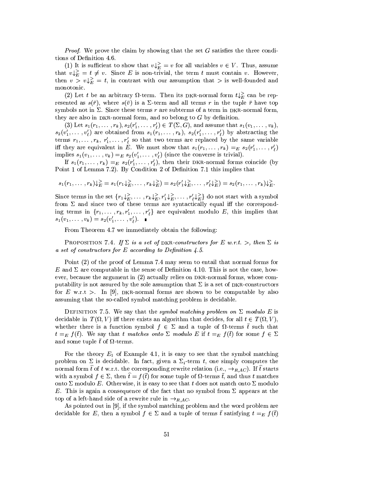*Proof.* We prove the claim by showing that the set  $G$  satisfies the three conditions of Definition 4.6.

(1) It is sufficient to show that  $v \downarrow_E^> = v$  for all variables  $v \in V$ . Thus, assume that  $v \downarrow_E^{\geq} = t \neq v$ . Since E is non-trivial, the term t must contain v. However, then  $v > v \sqrt{\varepsilon} = t$ , in contrast with our assumption that  $\gt$  is well-founded and monotonic.

(2) Let t be an arbitrary  $\Omega$ -term. Then its DKR-normal form  $t\downarrow_E^>$  can be represented as  $s(\bar{r})$ , where  $s(\bar{v})$  is a  $\Sigma$ -term and all terms r in the tuple  $\bar{r}$  have top symbols not in  $\Sigma$ . Since these terms r are subterms of a term in DKR-normal form, they are also in DKR-normal form, and so belong to  $G$  by definition.

(3) Let  $s_1(r_1,\ldots,r_k), s_2(r'_1,\ldots,r'_\ell) \in T(\Sigma,G)$ , and assume that  $s_1(v_1,\ldots,v_k)$ ,  $s_2(v'_1,\ldots,v'_\ell)$  are obtained from  $s_1(r_1,\ldots,r_k)$ ,  $s_2(r'_1,\ldots,r'_\ell)$  by abstracting the terms  $r_1, \ldots, r_k, r'_1, \ldots, r'_\ell$  so that two terms are replaced by the same variable iff they are equivalent in  $\tilde{E}$ . We must show that  $s_1(r_1,\ldots,r_k) =_E s_2(r'_1,\ldots,r'_k)$ implies  $s_1(v_1,\ldots,v_k) =_E s_2(v'_1,\ldots,v'_\ell)$  (since the converse is trivial).

If  $s_1(r_1,\ldots,r_k) =_E s_2(r'_1,\ldots,r'_\ell)$ , then their DKR-normal forms coincide (by Point 1 of Lemma 7.2). By Condition 2 of Definition 7.1 this implies that

$$
s_1(r_1,\ldots,r_k)\downarrow_E^{\geq} = s_1(r_1\downarrow_E^{\geq},\ldots,r_k\downarrow_E^{\geq}) = s_2(r'_1\downarrow_E^{\geq},\ldots,r'_\ell\downarrow_E^{\geq}) = s_2(r_1,\ldots,r_k)\downarrow_E^{\geq}.
$$

Since terms in the set  $\{r_1\downarrow_E^>, \ldots, r_k\downarrow_E^>, r_1'\downarrow_E^>, \ldots, r_\ell'\downarrow_E^>$  do not start with a symbol from  $\Sigma$  and since two of these terms are syntactically equal iff the corresponding terms in  $\{r_1, \ldots, r_k, r'_1, \ldots, r'_\ell\}$  are equivalent modulo E, this implies that  $s_1(v_1,\ldots,v_k) = s_2(v'_1,\ldots,v'_\ell).$ 

From Theorem 4.7 we immediately obtain the following:

PROPOSITION 7.4. If  $\Sigma$  is a set of DKR-constructors for E w.r.t. >, then  $\Sigma$  is a set of constructors for E according to Definition 4.5.

Point (2) of the proof of Lemma 7.4 may seem to entail that normal forms for E and  $\Sigma$  are computable in the sense of Definition 4.10. This is not the case, however, because the argument in (2) actually relies on DKR-normal forms, whose computability is not assured by the sole assumption that  $\Sigma$  is a set of DKR-constructors for E w.r.t >. In [9], DKR-normal forms are shown to be computable by also assuming that the so-called symbol matching problem is decidable.

DEFINITION 7.5. We say that the symbol matching problem on  $\Sigma$  modulo E is decidable in  $T(\Omega, V)$  iff there exists an algorithm that decides, for all  $t \in T(\Omega, V)$ , whether there is a function symbol  $f \in \Sigma$  and a tuple of  $\Omega$ -terms  $\bar{t}$  such that  $t =_E f(\bar{t})$ . We say that t matches onto  $\Sigma$  modulo E if  $t =_E f(\bar{t})$  for some  $f \in \Sigma$ and some tuple  $\bar{t}$  of  $\Omega$ -terms.

For the theory  $E_1$  of Example 4.1, it is easy to see that the symbol matching problem on  $\Sigma$  is decidable. In fact, given a  $\Sigma_i$ -term t, one simply computes the normal form  $\hat{t}$  of t w.r.t. the corresponding rewrite relation (i.e.,  $\rightarrow_{R,AC}$ ). If  $\hat{t}$  starts with a symbol  $f \in \Sigma$ , then  $\hat{t} = f(\bar{t})$  for some tuple of  $\Omega$ -terms  $\bar{t}$ , and thus t matches onto  $\Sigma$  modulo E. Otherwise, it is easy to see that t does not match onto  $\Sigma$  modulo E. This is again a consequence of the fact that no symbol from  $\Sigma$  appears at the top of a left-hand side of a rewrite rule in  $\rightarrow_{R,AC}$ .

As pointed out in [9], if the symbol matching problem and the word problem are decidable for E, then a symbol  $f \in \Sigma$  and a tuple of terms  $\bar{t}$  satisfying  $t =_E f(\bar{t})$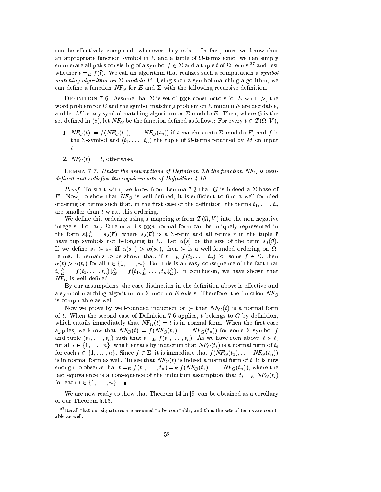can be effectively computed, whenever they exist. In fact, once we know that an appropriate function symbol in  $\Sigma$  and a tuple of  $\Omega$ -terms exist, we can simply enumerate all pairs consisting of a symbol  $f \in \Sigma$  and a tuple  $\bar{t}$  of  $\Omega$ -terms,<sup>37</sup> and test whether  $t =_E f(\bar{t})$ . We call an algorithm that realizes such a computation a symbol matching algorithm on  $\Sigma$  modulo E. Using such a symbol matching algorithm, we can define a function  $NF_G$  for E and  $\Sigma$  with the following recursive definition.

DEFINITION 7.6. Assume that  $\Sigma$  is set of DKR-constructors for E w.r.t. >, the word problem for E and the symbol matching problem on  $\Sigma$  modulo E are decidable, and let M be any symbol matching algorithm on  $\Sigma$  modulo E. Then, where G is the set defined in (8), let  $NF_G$  be the function defined as follows: For every  $t \in T(\Omega, V)$ ,

- 1.  $NF_G(t) := f(NF_G(t_1), \ldots, NF_G(t_n))$  if t matches onto  $\Sigma$  modulo E, and f is the  $\Sigma$ -symbol and  $(t_1, \ldots, t_n)$  the tuple of  $\Omega$ -terms returned by M on input  $t.$
- 2.  $NF_G(t) := t$ , otherwise.

LEMMA 7.7. Under the assumptions of Definition 7.6 the function  $NF_G$  is welldefined and satisfies the requirements of Definition 4.10.

*Proof.* To start with, we know from Lemma 7.3 that G is indeed a  $\Sigma$ -base of E. Now, to show that  $NF_G$  is well-defined, it is sufficient to find a well-founded ordering on terms such that, in the first case of the definition, the terms  $t_1, \ldots, t_n$ are smaller than  $t \text{ w.r.t. }$  this ordering.

We define this ordering using a mapping  $\alpha$  from  $T(\Omega, V)$  into the non-negative integers. For any  $\Omega$ -term s, its DKR-normal form can be uniquely represented in the form  $s\downarrow_E^> = s_0(\bar{r})$ , where  $s_0(\bar{v})$  is a  $\Sigma$ -term and all terms r in the tuple  $\bar{r}$ have top symbols not belonging to  $\Sigma$ . Let  $\alpha(s)$  be the size of the term  $s_0(\bar{v})$ . If we define  $s_1 \succ s_2$  iff  $\alpha(s_1) > \alpha(s_2)$ , then  $\succ$  is a well-founded ordering on  $\Omega$ terms. It remains to be shown that, if  $t =_E f(t_1, \ldots, t_n)$  for some  $f \in \Sigma$ , then  $\alpha(t) > \alpha(t_i)$  for all  $i \in \{1, ..., n\}$ . But this is an easy consequence of the fact that  $t\downarrow_E^> = f(t_1,\ldots,t_n)\downarrow_E^> = f(t_1\downarrow_E^>,\ldots,t_n\downarrow_E^>)$ . In conclusion, we have shown that  $NF_G$  is well-defined.

By our assumptions, the case distinction in the definition above is effective and a symbol matching algorithm on  $\Sigma$  modulo E exists. Therefore, the function  $NF_G$ is computable as well.

Now we prove by well-founded induction on  $\succ$  that  $NF_G(t)$  is a normal form of t. When the second case of Definition 7.6 applies, t belongs to G by definition, which entails immediately that  $NF<sub>G</sub>(t) = t$  is in normal form. When the first case applies, we know that  $NF_G(t) = f(NF_G(t_1), \ldots, NF_G(t_n))$  for some  $\Sigma$ -symbol f and tuple  $(t_1, \ldots, t_n)$  such that  $t =_E f(t_1, \ldots, t_n)$ . As we have seen above,  $t \succ t_i$ for all  $i \in \{1, ..., n\}$ , which entails by induction that  $NF_G(t_i)$  is a normal form of  $t_i$ for each  $i \in \{1, ..., n\}$ . Since  $f \in \Sigma$ , it is immediate that  $f(NF_G(t_1), ..., NF_G(t_n))$ is in normal form as well. To see that  $NF<sub>G</sub>(t)$  is indeed a normal form of t, it is now enough to observe that  $t = E f(t_1, \ldots, t_n) = E f(NF_G(t_1), \ldots, NF_G(t_n))$ , where the last equivalence is a consequence of the induction assumption that  $t_i =_E NF_G(t_i)$ for each  $i \in \{1, \ldots, n\}$ .

We are now ready to show that Theorem 14 in [9] can be obtained as a corollary of our Theorem 5.13.

 $37$  Recall that our signatures are assumed to be countable, and thus the sets of terms are countable as well.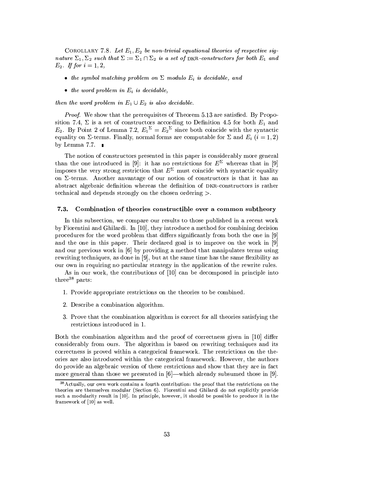COROLLARY 7.8. Let  $E_1, E_2$  be non-trivial equational theories of respective signature  $\Sigma_1, \Sigma_2$  such that  $\Sigma := \Sigma_1 \cap \Sigma_2$  is a set of DKR-constructors for both  $E_1$  and  $E_2$ . If for  $i = 1, 2$ ,

- the symbol matching problem on  $\Sigma$  modulo  $E_i$  is decidable, and
- $\bullet$  the word problem in  $E_i$  is decidable.

then the word problem in  $E_1 \cup E_2$  is also decidable.

Proof. We show that the prerequisites of Theorem 5.13 are satisfied. By Proposition 7.4,  $\Sigma$  is a set of constructors according to Definition 4.5 for both  $E_1$  and  $E_2$ . By Point 2 of Lemma 7.2,  $E_1^{\Sigma} = E_2^{\Sigma}$  since both coincide with the syntactic equality on  $\Sigma$ -terms. Finally, normal forms are computable for  $\Sigma$  and  $E_i$   $(i = 1, 2)$ by Lemma 7.7.  $\blacksquare$ 

The notion of constructors presented in this paper is considerably more general than the one introduced in [9]: it has no restrictions for  $E^{\Sigma}$  whereas that in [9] imposes the very strong restriction that  $E^{\Sigma}$  must coincide with syntactic equality on  $\Sigma$ -terms. Another any antage of our notion of constructors is that it has an abstract algebraic definition whereas the definition of DKR-constructors is rather technical and depends strongly on the chosen ordering  $\geq$ .

#### $7.3.$ Combination of theories constructible over a common subtheory

In this subsection, we compare our results to those published in a recent work by Fiorentini and Ghilardi. In [10], they introduce a method for combining decision procedures for the word problem that differs significantly from both the one in [9] and the one in this paper. Their declared goal is to improve on the work in [9] and our previous work in [6] by providing a method that manipulates terms using rewriting techniques, as done in [9], but at the same time has the same flexibility as our own in requiring no particular strategy in the application of the rewrite rules.

As in our work, the contributions of [10] can be decomposed in principle into three<sup>38</sup> parts:

- 1. Provide appropriate restrictions on the theories to be combined.
- 2. Describe a combination algorithm.
- 3. Prove that the combination algorithm is correct for all theories satisfying the restrictions introduced in 1.

Both the combination algorithm and the proof of correctness given in [10] differ considerably from ours. The algorithm is based on rewriting techniques and its correctness is proved within a categorical framework. The restrictions on the theories are also introduced within the categorical framework. However, the authors do provide an algebraic version of these restrictions and show that they are in fact more general than those we presented in  $[6]$ —which already subsumed those in [9].

<sup>&</sup>lt;sup>38</sup> Actually, our own work contains a fourth contribution: the proof that the restrictions on the theories are themselves modular (Section 6). Fiorentini and Ghilardi do not explicitly provide such a modularity result in [10]. In principle, however, it should be possible to produce it in the framework of [10] as well.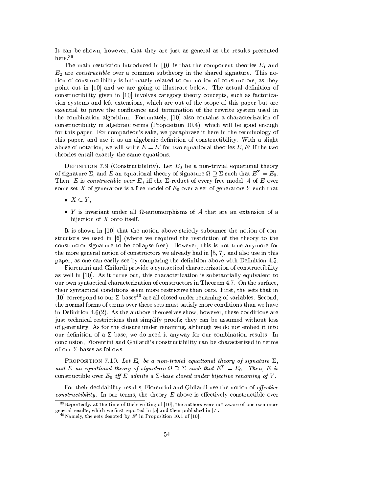It can be shown, however, that they are just as general as the results presented here.<sup>39</sup>

The main restriction introduced in [10] is that the component theories  $E_1$  and  $E_2$  are *constructible* over a common subtheory in the shared signature. This notion of constructibility is intimately related to our notion of constructors, as they point out in [10] and we are going to illustrate below. The actual definition of constructibility given in [10] involves category theory concepts, such as factorization systems and left extensions, which are out of the scope of this paper but are essential to prove the confluence and termination of the rewrite system used in the combination algorithm. Fortunately, [10] also contains a characterization of constructibility in algebraic terms (Proposition 10.4), which will be good enough for this paper. For comparison's sake, we paraphrase it here in the terminology of this paper, and use it as an algebraic definition of constructibility. With a slight abuse of notation, we will write  $E = E'$  for two equational theories E, E' if the two theories entail exactly the same equations.

DEFINITION 7.9 (Constructibility). Let  $E_0$  be a non-trivial equational theory of signature  $\Sigma$ , and E an equational theory of signature  $\Omega \supseteq \Sigma$  such that  $E^{\Sigma} = E_0$ . Then, E is constructible over  $E_0$  iff the  $\Sigma$ -reduct of every free model A of E over some set X of generators is a free model of  $E_0$  over a set of generators Y such that

•  $X \subset Y$ ,

• Y is invariant under all  $\Omega$ -automorphisms of A that are an extension of a bijection of  $X$  onto itself.

It is shown in [10] that the notion above strictly subsumes the notion of constructors we used in  $[6]$  (where we required the restriction of the theory to the constructor signature to be collapse-free). However, this is not true anymore for the more general notion of constructors we already had in [5, 7], and also use in this paper, as one can easily see by comparing the definition above with Definition 4.5.

Fiorentini and Ghilardi provide a syntactical characterization of constructibility as well in [10]. As it turns out, this characterization is substantially equivalent to our own syntactical characterization of constructors in Theorem 4.7. On the surface, their syntactical conditions seem more restrictive than ours. First, the sets that in [10] correspond to our  $\Sigma$ -bases<sup>40</sup> are all closed under renaming of variables. Second, the normal forms of terms over these sets must satisfy more conditions than we have in Definition 4.6(2). As the authors themselves show, however, these conditions are just technical restrictions that simplify proofs; they can be assumed without loss of generality. As for the closure under renaming, although we do not embed it into our definition of a  $\Sigma$ -base, we do need it anyway for our combination results. In conclusion, Fiorentini and Ghilardi's constructibility can be characterized in terms of our  $\Sigma$ -bases as follows.

PROPOSITION 7.10. Let  $E_0$  be a non-trivial equational theory of signature  $\Sigma$ , and E an equational theory of signature  $\Omega \supseteq \Sigma$  such that  $E^{\Sigma} = E_0$ . Then, E is constructible over  $E_0$  iff E admits a  $\Sigma$ -base closed under bijective renaming of V.

For their decidability results, Fiorentini and Ghilardi use the notion of *effective constructibility*. In our terms, the theory  $E$  above is effectively constructible over

 $39$ Reportedly, at the time of their writing of [10], the authors were not aware of our own more general results, which we first reported in [5] and then published in [7].

<sup>&</sup>lt;sup>40</sup>Namely, the sets denoted by  $E'$  in Proposition 10.1 of [10].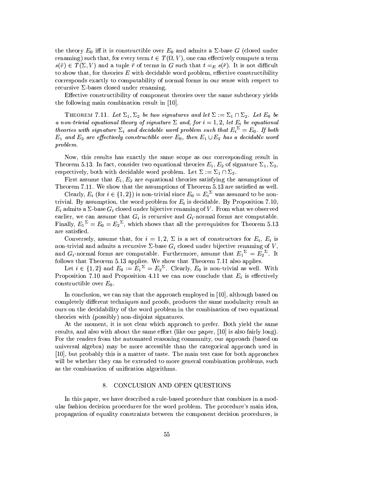the theory  $E_0$  iff it is constructible over  $E_0$  and admits a  $\Sigma$ -base G (closed under renaming) such that, for every term  $t \in T(\Omega, V)$ , one can effectively compute a term  $s(\bar{v}) \in T(\Sigma, V)$  and a tuple  $\bar{r}$  of terms in G such that  $t =_E s(\bar{r})$ . It is not difficult to show that, for theories  $E$  with decidable word problem, effective constructibility corresponds exactly to computability of normal forms in our sense with respect to recursive  $\Sigma$ -bases closed under renaming.

Effective constructibility of component theories over the same subtheory yields the following main combination result in [10].

THEOREM 7.11. Let  $\Sigma_1, \Sigma_2$  be two signatures and let  $\Sigma := \Sigma_1 \cap \Sigma_2$ . Let  $E_0$  be a non-trivial equational theory of signature  $\Sigma$  and, for  $i = 1, 2$ , let  $E_i$  be equational theories with signature  $\Sigma_i$  and decidable word problem such that  $E_i^{\ \Sigma} = E_0$ . If both  $E_1$  and  $E_2$  are effectively constructible over  $E_0$ , then  $E_1 \cup E_2$  has a decidable word problem.

Now, this results has exactly the same scope as our corresponding result in Theorem 5.13. In fact, consider two equational theories  $E_1, E_2$  of signature  $\Sigma_1, \Sigma_2$ , respectively, both with decidable word problem. Let  $\Sigma := \Sigma_1 \cap \Sigma_2$ .

First assume that  $E_1, E_2$  are equational theories satisfying the assumptions of Theorem 7.11. We show that the assumptions of Theorem 5.13 are satisfied as well.

Clearly,  $E_i$  (for  $i \in \{1,2\}$ ) is non-trivial since  $E_0 = E_i^{\Sigma}$  was assumed to be nontrivial. By assumption, the word problem for  $E_i$  is decidable. By Proposition 7.10,  $E_i$  admits a  $\Sigma$ -base  $G_i$  closed under bijective renaming of V. From what we observed earlier, we can assume that  $G_i$  is recursive and  $G_i$ -normal forms are computable. Finally,  $E_1^{\Sigma} = E_0 = E_2^{\Sigma}$ , which shows that all the prerequisites for Theorem 5.13 are satisfied.

Conversely, assume that, for  $i = 1, 2, \Sigma$  is a set of constructors for  $E_i$ ,  $E_i$  is non-trivial and admits a recursive  $\Sigma$ -base  $G_i$  closed under bijective renaming of  $V$ , and  $G_i$ -normal forms are computable. Furthermore, assume that  $E_1^{\Sigma} = E_2^{\Sigma}$ . It follows that Theorem 5.13 applies. We show that Theorem 7.11 also applies.

Let  $i \in \{1,2\}$  and  $E_0 := E_1^{\Sigma} = E_2^{\Sigma}$ . Clearly,  $E_0$  is non-trivial as well. With Proposition 7.10 and Proposition 4.11 we can now conclude that  $E_i$  is effectively constructible over  $E_0$ .

In conclusion, we can say that the approach employed in [10], although based on completely different techniques and proofs, produces the same modularity result as ours on the decidability of the word problem in the combination of two equational theories with (possibly) non-disjoint signatures.

At the moment, it is not clear which approach to prefer. Both yield the same results, and also with about the same effort (like our paper, [10] is also fairly long). For the readers from the automated reasoning community, our approach (based on universal algebra) may be more accessible than the categorical approach used in [10], but probably this is a matter of taste. The main test case for both approaches will be whether they can be extended to more general combination problems, such as the combination of unification algorithms.

### CONCLUSION AND OPEN QUESTIONS 8.

In this paper, we have described a rule-based procedure that combines in a modular fashion decision procedures for the word problem. The procedure's main idea, propagation of equality constraints between the component decision procedures, is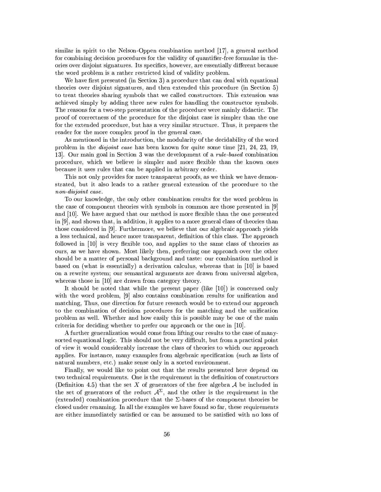similar in spirit to the Nelson-Oppen combination method [17], a general method for combining decision procedures for the validity of quantifier-free formulae in theories over disjoint signatures. Its specifics, however, are essentially different because the word problem is a rather restricted kind of validity problem.

We have first presented (in Section 3) a procedure that can deal with equational theories over disjoint signatures, and then extended this procedure (in Section 5) to treat theories sharing symbols that we called constructors. This extension was achieved simply by adding three new rules for handling the constructor symbols. The reasons for a two-step presentation of the procedure were mainly didactic. The proof of correctness of the procedure for the disjoint case is simpler than the one for the extended procedure, but has a very similar structure. Thus, it prepares the reader for the more complex proof in the general case.

As mentioned in the introduction, the modularity of the decidability of the word problem in the *disjoint case* has been known for quite some time [21, 24, 23, 19, 13. Our main goal in Section 3 was the development of a *rule-based* combination procedure, which we believe is simpler and more flexible than the known ones because it uses rules that can be applied in arbitrary order.

This not only provides for more transparent proofs, as we think we have demonstrated, but it also leads to a rather general extension of the procedure to the non-disjoint case.

To our knowledge, the only other combination results for the word problem in the case of component theories with symbols in common are those presented in [9] and [10]. We have argued that our method is more flexible than the one presented in [9], and shown that, in addition, it applies to a more general class of theories than those considered in [9]. Furthermore, we believe that our algebraic approach yields a less technical, and hence more transparent, definition of this class. The approach followed in [10] is very flexible too, and applies to the same class of theories as ours, as we have shown. Most likely then, preferring one approach over the other should be a matter of personal background and taste: our combination method is based on (what is essentially) a derivation calculus, whereas that in [10] is based on a rewrite system; our semantical arguments are drawn from universal algebra, whereas those in [10] are drawn from category theory.

It should be noted that while the present paper (like  $[10]$ ) is concerned only with the word problem, [9] also contains combination results for unification and matching, Thus, one direction for future research would be to extend our approach to the combination of decision procedures for the matching and the unification problem as well. Whether and how easily this is possible may be one of the main criteria for deciding whether to prefer our approach or the one in [10].

A further generalization would come from lifting our results to the case of manysorted equational logic. This should not be very difficult, but from a practical point of view it would considerably increase the class of theories to which our approach applies. For instance, many examples from algebraic specification (such as lists of natural numbers, etc.) make sense only in a sorted environment.

Finally, we would like to point out that the results presented here depend on two technical requirements. One is the requirement in the definition of constructors (Definition 4.5) that the set X of generators of the free algebra  $A$  be included in the set of generators of the reduct  $A^{\Sigma}$ , and the other is the requirement in the (extended) combination procedure that the  $\Sigma$ -bases of the component theories be closed under renaming. In all the examples we have found so far, these requirements are either immediately satisfied or can be assumed to be satisfied with no loss of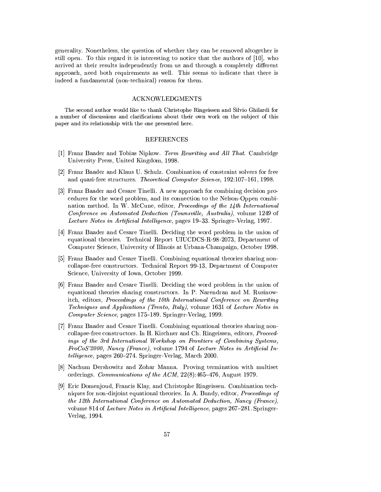generality. Nonetheless, the question of whether they can be removed altogether is still open. To this regard it is interesting to notice that the authors of [10], who arrived at their results independently from us and through a completely different approach, need both requirements as well. This seems to indicate that there is indeed a fundamental (non-technical) reason for them.

# **ACKNOWLEDGMENTS**

The second author would like to thank Christophe Ringeissen and Silvio Ghilardi for a number of discussions and clarifications about their own work on the subject of this paper and its relationship with the one presented here.

# **REFERENCES**

- [1] Franz Baader and Tobias Nipkow. Term Rewriting and All That. Cambridge University Press, United Kingdom, 1998.
- [2] Franz Baader and Klaus U. Schulz. Combination of constraint solvers for free and quasi-free structures. Theoretical Computer Science, 192:107-161, 1998.
- [3] Franz Baader and Cesare Tinelli. A new approach for combining decision procedures for the word problem, and its connection to the Nelson-Oppen combination method. In W. McCune, editor, Proceedings of the  $1/4$ th International Conference on Automated Deduction (Townsville, Australia), volume 1249 of Lecture Notes in Artificial Intelligence, pages 19–33. Springer-Verlag, 1997.
- [4] Franz Baader and Cesare Tinelli. Deciding the word problem in the union of equational theories. Technical Report UIUCDCS-R-98-2073, Department of Computer Science, University of Illinois at Urbana-Champaign, October 1998.
- [5] Franz Baader and Cesare Tinelli. Combining equational theories sharing noncollapse-free constructors. Technical Report 99-13, Department of Computer Science, University of Iowa, October 1999.
- [6] Franz Baader and Cesare Tinelli. Deciding the word problem in the union of equational theories sharing constructors. In P. Narendran and M. Rusinowitch, editors, Proceedings of the 10th International Conference on Rewriting Techniques and Applications (Trento, Italy), volume 1631 of Lecture Notes in Computer Science, pages 175–189. Springer-Verlag, 1999.
- [7] Franz Baader and Cesare Tinelli. Combining equational theories sharing noncollapse-free constructors. In H. Kirchner and Ch. Ringeissen, editors, Proceedings of the 3rd International Workshop on Frontiers of Combining Systems, FroCoS'2000, Nancy (France), volume 1794 of Lecture Notes in Artificial Intelligence, pages 260-274. Springer-Verlag, March 2000.
- [8] Nachum Dershowitz and Zohar Manna. Proving termination with multiset orderings. Communications of the ACM,  $22(8):465-476$ , August 1979.
- [9] Eric Domenjoud, Francis Klay, and Christophe Ringeissen. Combination techniques for non-disjoint equational theories. In A. Bundy, editor, *Proceedings of* the 12th International Conference on Automated Deduction, Nancy (France), volume 814 of Lecture Notes in Artificial Intelligence, pages 267–281. Springer-Verlag, 1994.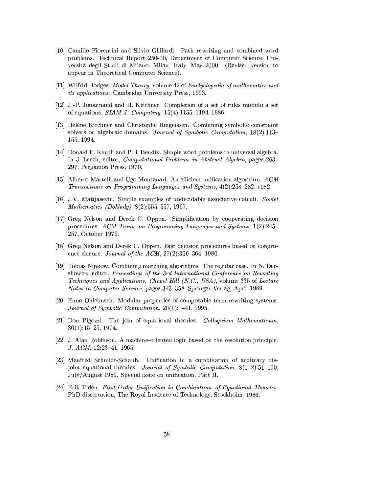- [10] Camillo Fiorentini and Silvio Ghilardi. Path rewriting and combined word problems. Technical Report 250-00, Department of Computer Science, Università degli Studi di Milano, Milan, Italy, May 2000. (Revised version to appear in Theoretical Computer Science).
- [11] Wilfrid Hodges. Model Theory, volume 42 of Enclyclopedia of mathematics and *its applications.* Cambridge University Press, 1993.
- [12] J.-P. Jouannaud and H. Kirchner. Completion of a set of rules modulo a set of equations. *SIAM J. Computing*,  $15(4)$ :1155-1194, 1986.
- [13] Hélène Kirchner and Christophe Ringeissen. Combining symbolic constraint solvers on algebraic domains. Journal of Symbolic Computation,  $18(2):113-$ 155, 1994.
- [14] Donald E. Knuth and P.B. Bendix. Simple word problems in universal algebra. In J. Leech, editor, *Computational Problems in Abstract Algebra*, pages 263-297. Pergamon Press, 1970.
- [15] Alberto Martelli and Ugo Montanari. An efficient unification algorithm.  $ACM$ Transactions on Programming Languages and Systems, 4(2):258–282, 1982.
- [16] J.V. Matijasevic. Simple examples of undecidable associative calculi. Soviet Mathematics (Doklady),  $8(2):555-557$ , 1967.
- [17] Greg Nelson and Derek C. Oppen. Simplification by cooperating decision procedures. ACM Trans. on Programming Languages and Systems, 1(2):245– 257, October 1979.
- [18] Greg Nelson and Derek C. Oppen. Fast decision procedures based on congruence closure. *Journal of the ACM*,  $27(2):356-364$ , 1980.
- [19] Tobias Nipkow. Combining matching algorithms: The regular case. In N. Dershowitz, editor, Proceedings of the 3rd International Conference on Rewriting Techniques and Applications, Chapel Hill (N.C., USA), volume 335 of Lecture *Notes in Computer Science*, pages 343–358. Springer-Verlag, April 1989.
- [20] Enno Ohlebusch. Modular properties of composable term rewriting systems. *Journal of Symbolic Computation,*  $20(1)$ :1-41, 1995.
- [21] Don Pigozzi. The join of equational theories. Colloquium Mathematicum,  $30(1):15-25, 1974.$
- [22] J. Alan Robinson. A machine-oriented logic based on the resolution principle.  $J. ACM, 12:23-41, 1965.$
- [23] Manfred Schmidt-Schauß. Unification in a combination of arbitrary disjoint equational theories. Journal of Symbolic Computation,  $8(1-2):51-100$ , July/August 1989. Special issue on unification. Part II.
- [24] Erik Tidén. First-Order Unification in Combinations of Equational Theories. PhD dissertation, The Royal Institute of Technology, Stockholm, 1986.